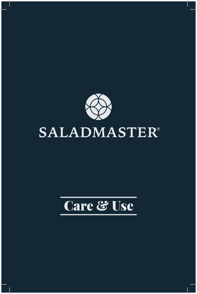

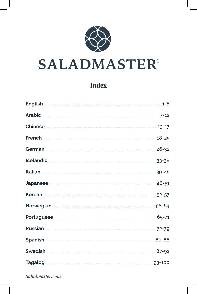

# **Index**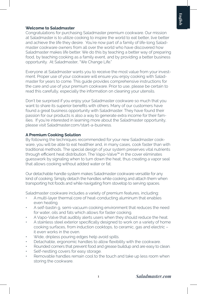### **Welcome to Saladmaster**

Congratulations for purchasing Saladmaster premium cookware. Our mission at Saladmaster is to utilize cooking to inspire the world to eat better, live better and achieve the life they desire. You're now part of a family of life-long Saladmaster cookware owners from all over the world who have discovered how Saladmaster makes life better. We do this by teaching a better way of preparing food, by teaching cooking as a family event, and by providing a better business opportunity. At Saladmaster, "We Change Life."

Everyone at Saladmaster wants you to receive the most value from your investment. Proper use of your cookware will ensure you enjoy cooking with Saladmaster for years to come. This guide provides comprehensive instructions for the care and use of your premium cookware. Prior to use, please be certain to read this carefully, especially the information on cleaning your utensils.

Don't be surprised if you enjoy your Saladmaster cookware so much that you want to share its superior benefits with others. Many of our customers have found a great business opportunity with Saladmaster. They have found their passion for our products is also a way to generate extra income for their families. If you're interested in learning more about the Saladmaster opportunity, please visit Saladmaster.com/start-a-business.

#### **A Premium Cooking Solution**

By following the techniques recommended for your new Saladmaster cookware, you will be able to eat healthier and, in many cases, cook faster than with traditional methods. The special design of your system preserves vital nutrients through efficient heat distribution. The Vapo-Valve™ in the cover eliminates guesswork by signaling when to turn down the heat, thus creating a vapor seal that allows cooking without added water or fat.

Our detachable handle system makes Saladmaster cookware versatile for any kind of cooking. Simply detach the handles while cooking and attach them when transporting hot foods and while navigating from stovetop to serving spaces.

Saladmaster cookware includes a variety of premium features, including:

- A multi-layer thermal core of heat-conducting aluminum that enables even heating.
- A self-bastin g, semi-vacuum cooking environment that reduces the need for water, oils and fats which allows for faster cooking.
- A Vapo-Valve that audibly alerts users when they should reduce the heat.
- A stainless steel exterior specifically designed to work on a variety of home cooking surfaces, from induction cooktops, to ceramic, gas and electric – it even works in the oven.
- Wide, dripless pouring edges help avoid spills.
- Detachable, ergonomic handles to allow flexibility with the cookware.
- Rounded corners that prevent food and grease buildup and are easy to clean.
- Self-nestling covers for easy storage.
- Removable handles remain cool to the touch and take up less room when storing the cookware.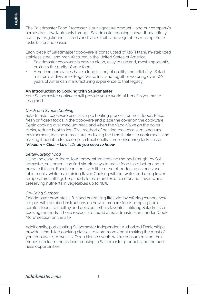The Saladmaster Food Processor is our signature product – and our company's namesake – available only through Saladmaster cooking shows. It beautifully cuts, grates, juliennes, shreds and slices fruits and vegetables making these tasks faster and easier.

Each piece of Saladmaster cookware is constructed of 316Ti titanium-stabilized stainless steel, and manufactured in the United States of America.

- Saladmaster cookware is easy to clean, easy to use and, most importantly, protects the purity of your food.
- American companies have a long history of quality and reliability. Saladmaster is a division of Regal Ware, Inc., and together we bring over 100 years of American manufacturing experience to that legacy.

#### **An Introduction to Cooking with Saladmaster**

Your Saladmaster cookware will provide you a world of benefits you never imagined.

#### *Quick and Simple Cooking*

Saladmaster cookware uses a simple heating process for most foods. Place fresh or frozen foods in the cookware and place the cover on the cookware. Begin cooking over medium heat, and when the Vapo-Valve on the cover clicks, reduce heat to low. This method of heating creates a semi-vacuum environment, locking in moisture, reducing the time it takes to cook meals and making it possible to accomplish traditionally time-consuming tasks faster. *"Medium – Click – Low", it's all you need to know.*

#### *Better-Tasting Food*

Using the easy-to-learn, low-temperature cooking methods taught by Saladmaster, customers can find simple ways to make food taste better and to prepare it faster. Foods can cook with little or no oil, reducing calories and fat in meals, while maintaining flavor. Cooking without water and using lower temperature settings help foods to maintain texture, color and flavor, while preserving nutrients in vegetables up to 98%.

# *On-Going Support*

Saladmaster promotes a fun and energizing lifestyle, by offering owners new recipes with detailed instructions on how to prepare foods, ranging from comfort foods to healthy and delicious ethnic favorites, utilizing Saladmaster cooking methods. These recipes are found at Saladmaster.com, under "Cook More" section on the site.

Additionally, participating Saladmaster Independent Authorized Dealerships provide scheduled cooking classes to learn more about making the most of your cookware, as well as, Open House events where consumers and their friends can learn more about cooking in Saladmaster products and the business opportunities.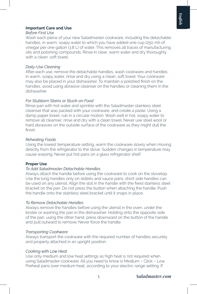# **Important Care and Use**

#### *Before First Use*

Wash each piece of your new Saladmaster cookware, including the detachable handles, in warm, soapy water to which you have added one cup (250 ml) of vinegar per one gallon (3.8 L) of water. This removes all traces of manufacturing oils and polishing compounds. Rinse in clear, warm water and dry thoroughly with a clean, soft towel.

# *Daily-Use Cleaning*

After each use, remove the detachable handles, wash cookware and handles in warm, soapy water, rinse and dry using a clean, soft towel. Your cookware may also be placed in your dishwasher. To maintain a polished finish on the handles, avoid using abrasive cleanser on the handles or cleaning them in the dishwasher.

# *For Stubborn Stains or Stuck-on Food*

Rinse pan with hot water and sprinkle with the Saladmaster stainless steel cleanser that was packed with your cookware, and create a paste. Using a damp paper towel, rub in a circular motion. Wash well in hot, soapy water to remove all cleanser, rinse and dry with a clean towel. Never use steel wool or hard abrasives on the outside surface of the cookware as they might dull the finish.

# *Reheating Foods*

Using the lowest temperature setting, warm the cookware slowly when moving directly from the refrigerator to the stove. Sudden changes in temperature may cause warping. Never put hot pans on a glass refrigerator shelf.

# **Proper Use**

# *To Add Saladmaster Detachable Handles*

Always attach the handle before using the cookware to cook on the stovetop. Use the long handles only on skillets and sauce pans; short side handles can be used on any utensil. Align the slot in the handle with the fixed stainless steel bracket on the pan. Do not press the button when attaching the handle. Push the handle onto the stainless steel bracket until it snaps in place.

# *To Remove Detachable Handles*

Always remove the handles before using the utensil in the oven, under the broiler or washing the pan in the dishwasher. Holding onto the opposite side of the pan, using the other hand, press downward on the button of the handle and pull outward to remove. Never force the handle.

# *Transporting Cookware*

Always transport the cookware with the required number of handles securely and properly attached in an upright position.

# *Cooking with Low Heat*

Use only medium and low heat settings as high heat is not required when using Saladmaster cookware. All you need to know is Medium – Click – Low. Preheat pans over medium heat, according to your electric range setting. If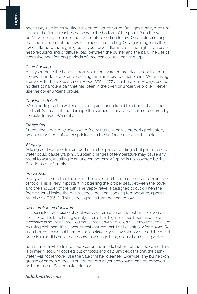necessary, use lower settings to control temperature. On a gas range, medium is when the flame reaches halfway to the bottom of the pan. When the Vapo-Valve clicks, then turn the temperature setting to low. On an electric range, that should be set at the lowest temperature setting. On a gas range it is the lowest flame without going out. If your lowest flame is still too high, then use a heat-reducing ring or diffuser pad between the burner and the pan. The use of excessive heat for long periods of time can cause a pan to warp.

## *Oven Cooking*

Always remove the handles from your cookware before placing cookware in the oven, under a broiler or washing them in a dishwasher or sink. When using a cover with the knob, do not exceed 350°F (177°C) in the oven. Always use pot holders to handle a pan that has been in the oven or under the broiler. Never use the cover under a broiler.

#### *Cooking with Salt*

When adding salt to water or other liquids, bring liquid to a boil first and then add salt. Salt can pit and damage the surfaces. This damage is not covered by the Saladmaster Warranty.

#### *Preheating*

Preheating a pan may take two to five minutes. A pan is properly preheated, when a few drops of water sprinkled on the surface bead and dissipate.

#### *Warping*

Adding cold water or frozen food into a hot pan, or putting a hot pan into cold water could cause warping. Sudden changes of temperature may cause any metal to warp, resulting in an uneven bottom. Warping is not covered by the Saladmaster Warranty.

#### *Proper Seal*

Always make sure that the rim of the cover and the rim of the pan remain free of food. This is very important in obtaining the proper seal between the cover and the shoulder of the pan. The Vapo-Valve is designed to click when the food or liquid inside the pan reaches the ideal cooking temperature, approximately 187°F (86°C). This is the signal to turn the heat to low.

#### *Discoloration on Cookware*

It is possible that a piece of cookware will turn blue on the bottom, or even on the inside. This blue tinting simply means that high heat has been used for an excessive amount of time. You can scorch anything, even Saladmaster cookware, by using high heat. If this occurs, rest assured that it will eventually fade away. Remember, you have not harmed the cookware; you have simply burned the metal. Keep in mind; it is never necessary to use high heat, even when boiling water.

Sometimes a white film will appear on the inside bottom of the cookware. This is primarily sodium cooked out of foods and calcium deposits that the dishwater will not remove. Use the Saladmaster cleanser. Likewise, any burned-on grease or carbon deposits on the bottom of your cookware can be removed with the use of Saladmaster cleanser.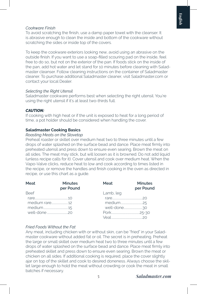### *Cookware Finish*

To avoid scratching the finish, use a damp paper towel with the cleanser. It is abrasive enough to clean the inside and bottom of the cookware without scratching the sides or inside top of the covers.

To keep the cookware exteriors looking new, avoid using an abrasive on the outside finish. If you want to use a soap-filled scouring pad on the inside, feel free to do so, but not on the exterior of the pan. If foods stick on the inside of the pan, add hot water and let stand for 10 minutes before cleaning with Saladmaster cleanser. Follow cleaning instructions on the container of Saladmaster cleaner. To purchase additional Saladmaster cleaner, visit Saladmaster.com or contact your local Dealer.

#### *Selecting the Right Utensil*

Saladmaster cookware performs best when selecting the right utensil. You're using the right utensil if it's at least two-thirds full.

## *CAUTION:*

If cooking with high heat or if the unit is exposed to heat for a long period of time, a pot holder should be considered when handling the cover.

#### **Saladmaster Cooking Basics**

#### *Roasting Meats on the Stovetop*

Preheat roaster or skillet over medium heat two to three minutes until a few drops of water splashed on the surface bead and dance. Place meat firmly into preheated utensil and press down to ensure even searing. Brown the meat on all sides. The meat may stick, but will loosen as it is browned. Do not add liquid (unless recipe calls for it). Cover utensil and cook over medium heat. When the Vapo-Valve clicks, reduce heat to low and cook according to times listed in the recipe, or remove the handles and finish cooking in the oven as directed in recipe, or use this chart as a guide.

| Meat        | <b>Minutes</b><br>per Pound | Meat      | <b>Minutes</b><br>per Pound |
|-------------|-----------------------------|-----------|-----------------------------|
| <b>Beef</b> |                             | Lamb, leg |                             |
|             |                             |           |                             |
|             |                             |           |                             |
|             |                             |           |                             |
|             |                             |           |                             |
|             |                             |           |                             |

#### *Fried Foods Without the Fat*

Any meat, including chicken with or without skin, can be "fried" in your Saladmaster cookware without added fat or oil. The secret is in preheating. Preheat the large or small skillet over medium heat two to three minutes until a few drops of water splashed on the surface bead and dance. Place meat firmly into preheated skillet and press down to ensure even searing. Brown the meat or chicken on all sides. If additional cooking is required, place the cover slightly ajar on top of the skillet and cook to desired doneness. Always choose the skillet large enough to hold the meat without crowding or cook the meat in small batches if necessary.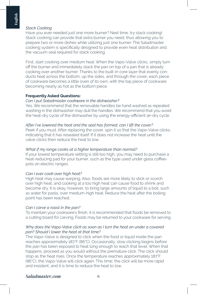# *Stack Cooking*

Have you ever needed just one more burner? Next time, try stack cooking! Stack cooking can provide that extra burner you need, thus allowing you to prepare two or more dishes while utilizing just one burner. The Saladmaster cooking system is specifically designed to provide even heat distribution and the vacuum seal required for stack cooking.

First, start cooking over medium heat. When the Vapo-Valve clicks, simply turn off the burner and immediately stack the pan on top of a pan that is already cooking over another burner. Thanks to the built-in core layer that evenly conducts heat across the bottom, up the sides, and through the cover, each piece of cookware becomes a little oven of its own, with the top piece of cookware becoming nearly as hot as the bottom piece.

#### **Frequently Asked Questions:**

#### *Can I put Saladmaster cookware in the dishwasher?*

Yes. We recommend that the removable handles be hand washed as repeated washing in the dishwasher may dull the handles. We recommend that you avoid the heat-dry cycle of the dishwasher by using the energy-efficient air-dry cycle.

#### *After I've lowered the heat and the seal has formed, can I lift the cover?*

Peek if you must. After replacing the cover, spin it so that the Vapo-Valve clicks, indicating that it has resealed itself. If it does not increase the heat until the valve clicks then reduce the heat to low.

#### *What if my range cooks at a higher temperature than normal?*

If your lowest temperature setting is still too high, you may need to purchase a heat-reducing pad for your burner, such as the type used under glass coffeepots on electric ranges.

#### *Can I ever cook over high heat?*

High heat may cause warping. Also, foods are more likely to stick or scorch over high heat, and cooking at a too high heat can cause food to shrink and become dry. It is okay, however, to bring large amounts of liquid to a boil, such as water for pasta, over medium-high heat. Reduce the heat after the boiling point has been reached.

# *Can I carve a roast in the pan?*

To maintain your cookware's finish, it is recommended that foods be removed to a cutting board for carving. Foods may be returned to your cookware for serving.

#### *Why does the Vapo-Valve click as soon as I turn the heat on under a covered pan? Should I lower the heat at that time?*

The Vapo-Valve is designed to click when the food or liquid inside the pan reaches approximately 187°F (86°C). Occasionally, slow clicking begins before the pan has been exposed to heat long enough to reach that level. When that happens, proceed as you would without the premature click. The click should stop as the heat rises. Once the temperature reaches approximately 187°F (86°C), the Vapo-Valve will click again. This time, the click will be more rapid and insistent, and it is time to reduce the heat to low.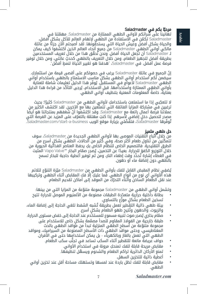# ًا بكم في Saladmaster مرحب

تهانينا على شرائكم لأواني الطهي الممتازة من Saladmaster. مهمّتنا في Saladmaster تكمُن في الآستفادة من الطهي لإلهام العالم للأكل بشكلٍ أفضل، والحياة بشكلٍ افضل وعيش الحياة التي يستحقونها. لقد أصبحتم الآن جزءًا من عائلة مالكي أواني الطهي Saladmaster من جميع أنحاء العالم الذين اكتشفوا كيف يمكن لـ Saladmaster أن تجعل الحياة أفضل. ونحن نُحقّق هذا من خلال تعريف المستخدمين ٍ بطريقة أفضل لتجهيز الطعام، ومن خالل التعريف بالطهي كحدث عائلي، ومن خالل توفير فرصة عمل أفضل. في Saladmaster، " ٍ هدفنا هو تغيير الحياة لنمط أفضل".

ّإن الجميع في عائلة Saladmaster ِ يرغب في حصولكم على أقصى قيمة من استثمارك. ٍ سيضمن لكم استخدام أواني الطهي بشكل مناسب االستمتاع بالطهي باستخدام أواني الطهي Saladmaster لأعوامٍ في المستقبل. يُوفّر هذا الدليل تعليمات شاملة للعناية باواني الطهِي الممتازة واستخدامها. قبل الاستخدام، يُرجى التاكد من قراءة هذا الدليل ً بعناية، خاصة المعلومات المعنية بتنظيف أواني الطهي.

عسدت بيرضة المثل التعليم المدينة المناسبة. وقد التنفسون المستقسم بمنتجاته سو ايضا<br>مصدر لتحصيل دخلٍ إضافي لأسرهم. إذا كنتِ مهتمّة بالتعرّف على المزيد عن الفرصة التي لا تتعجّبي إذا ما استمتعتِ باستخدامكِ لأواني الطهي من Saladmaster كثيرًا؛ بحيث ترغبين في مشاركة المزايا الفائقة التي تتمتّعين بها ّمع الآخرين. لقد اكتشف الكثير منِ عمالئنا فرصة أعمال رائعة مع Saladmaster. ّ وقد اكتشفوا أن ً شغفهم بمنتجاتنا هو أيضا تُوفّرها Saladmaster **، فتفَضّلي بزيارة موقع الويب** Saladmaster.com/start-a-business.

# حل طهي متميز

من خلال ّاتّباع التقنيات الموصى بها لأواني الطهي الجديدة من ِSaladmaster، سوف تتمكّنين من تناول طعام أكثر صحة، وفي كَثير من آلحالات، الطهّي بشكل أسرع من الطرق التقليدية. فالتصميم الخاص للنظآم الخاص بكِ يحفظ العناصر الغذائية الحيوية من خلال التوزيع الكفؤ للحرارة. بعيدًا عن التخمين، يُصدِر صمّامِ البخار ™Vapo Valve المثبت في الغطاء إشارة تُحدِّد وقت إطفاء النار، ومن ثم توفير أغطية حاجبة للبخار تسمح بالطهي دون إضافة ماء أو دهون.

يُضفِي نظام المقبض القابِل للفك بأواني الطهي من Saladmaster ميّزة التنوّع لتلائم هذه الأواني أي نوع من أنواع الطهي. فما عليكِ إلّا فك المقابض أثناء الطهي وتركيبها عند نقل الطعام الساخن واتناء التحرّك من الموقد إلى اماكن تقديم الطعام.

وتشمل أواني الطهي من Saladmaster ّ مجموعة متنوعة من المزايا التي من بينها:

- ّ بطانة داخلية حرارية متعددة الطبقات مصنوعة من األلمنيوم الموصل للحرارة تتيح تسخين الطعام بشكل موزّع بالتساوي.
- ُ بيئة طهي ذاتية التقطير تعمل بطريقة تشبه الشفط تلغي الحاجة إلى إضافة الماء، والزيوت، والدهون وتُتيح طهو الطعام بشكل أسرع.
- صمّام بخاري يُصدِر صوت تنبيه مسموع للمستخدم عند الحاجة إلى خفض مستوى الحرارة.
- طبقة خارجية من الفولاذ المقاوم للصدأ مصمّمة بشكلٍ خاص للاستخدام على<br>مجموعة متنوّعة من أسطح الطهي المنزلية تبدأ من مواقد الطهي بالحث المغناطيسي، وحتى مواقد الطهي ذات الأسطح المصنوعة من السيراميك، ومواقد الطهي التي تعمل بالغاز وبالكهرباء - بل يمكن استخدامها حتى في الأفران.
	- ُّ حواف عريضة مانعة للتقطير أثناء السكب تساعد في تجنب سكب الطعام.
		- **•** ِ مقابض مريحة قابلة للفك تمنحك مرونة في استخدام األواني.
		- **•** ُ تمنع األركان الدائرية تراكم الطعام والشحوم ويسهل تنظيفها.
			- **•** أغطية ذاتية للتخزين السهل.
- مقابض قابلة للفك تظل باردة عند لمسها وتستهلك مساحة أقل عند تخزين أواني الطهي.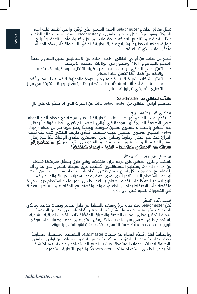يُمثل معالج الطعام Saladmaster المنتج المتميز الذي نوفره والذي أطلقنا عليه اسم الشركة، وهو متوفّر خلال عروض الطهي من Saladmaster فقط. ويتميّز معالج الطعام هذا بالقدرة على تقطيع الفواكه والخضروات إلى أجزاءٍ كبيرة، وأجزاءٍ ناعمة، وشرائح ُ طولية، ومكعبات صغيرة، وشرائح عرضية، بطريقة تضفي السهولة على هذه المهام وتُوفّر الوقت الذي تستغرقه.

ُتصنع كل قطعة من أواني الطهي Saladmaster من االستانليس ستيل المقاوم للصدأ المُدعّم بالتيتانيوم <sub>اَّ31</sub>6 ومصنوع في الولايات المتحدة الأمريكية.

- ّ ز أواني الطهي من Saladmaster بسهولة التنظيف، وسهولة االستخدام تتمي والأهم من هذا، أنّها تضمن نقاء الطعام.
- تتميّز الشركات الأمرِيكية بتاريخِ طويل من الجودة والموثوقية في هذا المجال. تُعَد Saladmaster أحد أقسام شركة .Inc ,Ware Regal ّ ويتمتعان بخبرة مشتركة في مجال التصنيع الأمريكي تتجاوز 100 عام.

# ِّ مقدمة للطهي مع Saladmaster

ِ ستمنحكِ أواني الطّهي من Saladmaster عالمًا من الميزات التي لم تخطُر لكِ على بال.

# الطهي البسيط والسريع

تستخدم أواني الطهي من Saladmaster طريقة تسخين بسيطة مع معظم أنواع الطعام. ضعِي الأطعمة الطازجة أو المجمدة في أواني الطهي ثم ضعِي الغطاء فوقها. يمكنكِ<br>بدء الطهي باستخدام مستوى تسخين متوسط، وعندما يصدر صوت نقر من صمّام -Vapo Valve ، اخفضي مستوى التسخين لدرجة منخفضة. تُنشِيَ طريقة الطهي هذه بيئة تَشبه الفراغ؛ حيث يتم احتجاز الرطوبة وتقليل الزمن المستغرق لطهي الوجبات ممّا يتيح إنجاز مهام الطهي التي تستغرق وقتا طويلاً في العادة في مدّةِ أقصر. **كل ما تحتاجين إلى** معرفته هو "المستوى المتوسط – النقرة – اإلعداد المنخفض".

# ً الحصول على طعام ألذ مذاقا

باستخدام طرق الطهي على درجة حرارة منخفضة وهي طرق يسهُل معرفتها مُقدَّمَة من Saladmaster ٍ ، يستطيع المستهلكون اكتشاف طرق بسيطة للحصول على مذاق ألذ للطعام مع تحضيره بشكل أسرع. يمكن طهي الأطعمة باستخدام مقدار بسيط من الزيت أو بدون استخدام الزيت، أَلأمر الّذي يؤدي لخفّض عدد السعرات الحرارية والدهون في الوجبات، مع الحفاظ على نكهة الطعام. يساعد الطهي بدون ماء وباستخدام درجات حرارة منخفضة علّى الاحتفاظ بملمس الطعام، ولونه، ونكهته، مع الحفاظ على العناصر المغذَية في الخضروات بنسبة تصل إلى .98%

# الدِعم أثناء التنقّل

تُعزّز Saladmaster نمط حياة مرحْ ومفعم بالنشاط من خلال تقديم وصفات جديدة لمالكي المنتجات تتميّز بتعليمات دقيقة بشان كيفية تجهيز الإطعمة، التي تبدأ من الأطعمة سهلة التحضير وحتى الوجبات الصحية والأطباق المفضّلة ذات النكهات العرقية الشهية، باستخدام طرق الطهي من Saladmaster. يمكن العثور على هذه الوصفات على موقع الويب Saladmaster.com ضمن القسم Cook More (طهو المزيد) بالموقع.

وبالإضافة لهذا، تُقدِّم أقسام بيع منتجات Saladmaster المعتمدة المستقلَّة المشاركة ّ ف على كيفية تحقيق أقصى استفادة من أواني الطهي ً حصصا تعليمية مجدولة للتعر بالإضافة لأحداث الدعوات المفتوحة؛ حيث يستطيع المستهلكون وأصدقائهم اكتشاف المزيد عن الطهي باستخدام منتجات Saladmaster ّ والفرص التجارية المتوفرة.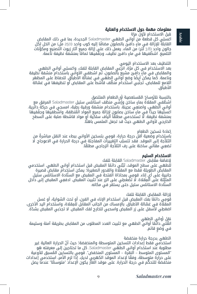# معلومات مهمة حول االستخدام والعناية

قبل الاستخدام لأول مرّة

**Arabic**

ِ اغسلي كل قطعة من أواني الطهي Saladmaster الجديدة، بما في ذلك المقابض القابلة للإزالة في ماء دافئ بالصابون مضافًا إليه كوب واحد (250 مل) من الخل لكل جالون واحد (3.8 لتر) من الماء. يعمل ذلك على إزالة جميع آثار زيوت التصنيع ومكوِّنات التلميع. اشطّفيها في ماءٍ دافئ نظيف، وجفّفيها تمامًا بمنشفة نظيفة ناعمة.

# التنظيف بعد االستخدام اليومي

بعد الاستخدام في كل مرّة، انزعِي المقابض القابلة للفك، واغسلِي أواني الطهي والمقابض في ماءٍ دافئ مشبع بالصابون، ثم اشطفي الأواني باستخدام منشفة نظيفة وناعمة. كما يمكن أيضًا وضع أواني الطهي في غسّالة الأطباق. للحفاظ على المظهر اللامع للمقابض، تجنّبي استخدام منظَّف قاشط على المقابض أو تنظيفها في غسَّالة الأطباق.

**Icelandic** ً اغسليها جيد ٍ ا في ماء ُ ساخن بصابون إلزالة جميع المواد الم ّ نظفة، واشطفيها وجففيها بالنسبة للأوساخ المُستعصية أو الطعام الملتصق<br>إشطُفي المقلاة بماءٍ ساخن ورُشِّي منظف استانلس ستيل Saladmaster المرفق معِ أواني الّطهي، واصنعِي عجينة. باستخدام منشفة ورقية رطِبة، امسحِي في حركة دائرية. بمنشفة نظيفة. لا تستخدمي مطلقًا ألياف سلكية أو مواد قاشطة صلبة على السطح الخارجي لأواني الطهي حيث قد تجعل الملمس باهتًا.

#### إعادة تسخين الطعام

باستِخدام وضعية أقل درجة حرارة، قومِي بتسخين الأواني ببطء عند النقل مباشرة من التلاجة إلى الموقد. فقد تتسبّب التِّغييرات المفاجئة في درجة الحرارة في الاعوجاج. لا تضعِي مقالي ساخنة على رف الثلاّجة الزجاجي مطلقًا. ُ

# االستخدام السليم

#### إلضافة مقابض Saladmaster القابلة للفك

لْلطهي على سطح الموقد، ثبَّتي دائمًا المقبض قبل استخدام أواني الطهي. استخدمي المقابض الطويلة فقط مع المقالة والقدور الصغيرة؛ يمكن استخدام مقابض قصيرة جانبية على أي إناء. قومِي بمحاذاة الفتحة في المقبض مع السنّادة الاستانلس ستيل المتيَّتة على المِقلاة. لا تضغطِي على الزر عند تتبيت المقبض. ادفعِي المقبض إلى داخل<br>... ّ السنادة االستانلس ستيل حتى يستقر في مكانه.

#### إلزالة المقابض القابلة للفك

قُومِي دائمًا بفك المقبض قبل استخدام الإناء في الفرن، أو تحت الشواية، أو غسل<br>المقلاة في غسَّالة الأطباق. بالإمساك من الجانب المقابل للمِقلاة، واستخدام اليد الأخرى، اضغطِي لأسفل على زر المقبض واسحبي للخارج لفك المقبض. لا تجذبي المقبض بشدّة.

# نقل أواني الطهي

انقُلي دائْمًا أواني الطهي مع تثبيت العدد المطلوب من المقابض بطريقة آمنة وسليمة في وضع قائم.

#### الطهي بدرجة حرارة منخفضة

ّ استخدمي فقط إعدادات التسخين المتوسطة والمنخفضة؛ حيث أن الحرارة العالية غير مطلوبة عند استخدام أواني الطهي Saladmaster. كل ما تحتاجين إلى معرفته هو "المستوى المتوسط – النِقرّة – المستوى المنخفض". قومِي بالتسخين المُسبق للأوعية على حرارة متوسطة، وفقًا لإعداد الموقد الكهربي لديكِ. إذا لزم الأمر، استخدمي إعدادات منخفضة للتحكّم في درجة الحرارة. على موقد الغاز يكون الإعداد "متوسطًا" عندما يصل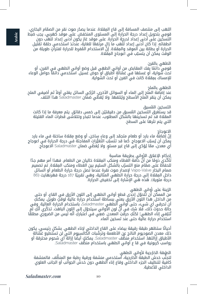اللهب إلى منتصف المسافة إلى قاع المِقلاة. عندما يصدُر صوت نقر من الصمّام البخاري، ِ قومي بتحويل إعداد درجة الحرارة إلى المستوى المنخفض. على موقد كهربي، يجب ضبط التسخين على أدنى إعداد لدرجة الحرارة. على موقد غاز يكون أدنى إعداد للهب دون انطفائه. إذا كان أدنى إعداد للّهب ما زال مرتفعًا للغاية، عندئذ استخدمي حلقة تقليل الحرارة أو بطانة بين الموقد والمِقلاة. إنّ الاستخدام المُفرط للحرارة لفتراّتٍ طويلة من الوقت يمكن ان يتسبّب في اعوجاج المِقلاة.

# الطهي بالفرن

قومِي ّ دائمًا بِفك المقابض من أواني الطهي قبل وضع أواني الطهي في الفرن، أو تحت شواية، أو غسلها في غسَّالة أطباق أو حوض غسيل. استخدمي دائمًا حوامل الوعاء<br>للامساك بمقلاة كانت في الفرن أو تحت الشواية.

# الطهي بالملح

عند إضافة الملح إلى الماء او السوائل الأخرى، اترُكِي السائل يغلي اولاً ثم اضيفي الملح. يمكن أن ينقر الملح الأسطح ويُتلفها. ولا يُغطَي ضمَان Saladmaster هذا التلف.

التسخين المُسبق<br>قد يستغرق التسخين المُسبق من دقيقتيْن إلى خمس دقائق. يتم معرفة ما إذا كانت المقلاة قد تم تسخينها بالشكل المطلوب، عندما تتبخر وتتلاشى قطرات الماء القليلة التي يتم نثرها على السطح.

# االعوجاج

إنّ إضافة ماء بارد أو طعام متجمّد إلى وعاءِ ساخن، أو وضع مِقلاة ساخنة في ماء بارد بِمكن ان يُسبّب الاعوجاج. كما قد تتسبّب التغيّرات المفاجئة في درجة الحرارة في اعوجاج أي معدن، ممّا يُؤدّي إلى قاع غير مستوٍ. ولا يُغطَي ضمان Saladmaster الاعوجاج.

# إحكام الإغلاق الأواني بطريقة مناسبة

تأكّدي دومًا من أنّ حافة الغطاء ومنكب المقلاة خاليان من الطعام. فهذا أمر مهم جدًا للحفاظ على صمّام منع التسرّب بالشكل السليم بين الغطاء ومنكب المقلاة. تم تصميم صمام البخار Vapo-Valve لإصدار صوت نقرة عندما تصل درجة حرارة الطعام أو السائل داخل المِقلاة إلى درجة حرارة الطهي المثالية، وهي تقريبًا 187 درجة فهرنهايت (86 درجة مئوية). هذه هي الإشارة إلى تخفيض الحرارة. ۖ

الزينة على أواني الطهي<br>من الممكن أن تتحوّل إحدى قطع أواني الطهي إلى اللون الأزرق في القاع، أو حتى من الداخل. هذا اللون الأزرق يعني ببساطة استخدام حرارة عالية لوقتٍ طويل. يمكنكِ أن تحرقي أي شيء، حتى أواني الطهي Saladmaster، باستخدام الحرارة العالية. وفي حالة حدوث ذلك، فلا شك في أنّ لون الأوانى سيتحوّل إلى اللون الباهت. تذكّرى أنّكِ لمّ تُتلِفي إناء الطهي؛ لكنَّكِ حرقتِ المعدن. ِ ضعِي في اعتباركِ أنَّه ليس من الضروري مطلقًا استخدام حرارة عالية حتى عند تسخين الماء.

ً أحيانا ستظهر طبقة رقيقة بيضاء على القاع الداخلي إلناء الطهي. ٍ بشكل رئيسي، يكون ذلك معدن الصوديوم الناتج عن الاطعمة وترسّبات الكالسيوم التي لن تستطيع غسّالة<br>الأطباق إزالتها. استخدام منظّف Saladmaster. يمكنك أيضًا إزالة أي شحوم محترقة أو ِّ رواسب كربونية في قا ع أواني الطهي باستخدام منظف Saladmaster.

# الطبقة الخارجية لأواني الطهي

لتجنب خدش الطبقة الخارجية، استخدمي منشفة ورقية رطبة مع المنظف. فالمنشفة كافية لتنظيف الجزء الداخلي وقاع إناء الطهي دون خدش الجوانب أو الجانب العلوي الداخلي للأغطية.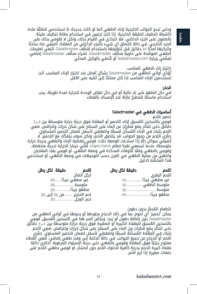وحتى تبدو الجوانب الخارجية لإناء الطهي كما لو كانت جديدة، لا تستخدمي مُطلقًا مادة كاشطة لتنظيف الطبقة الخارجية. ِ إذا كنت ترغبين في استخدام بطانة تنظيف مليئة بالصابون على الجزء الداخلي، فلا تتردّدي في القيام بذلك، ولكن لا تقومي بذلك على<br>الجزء الخارجي. في حالة التصاق أي شيء بالجزء الداخلي من المقلاة، أضيفِي ماءً ساخنًا واتركيها لمدَّة or دقائق قبل تنظيفها باستخدام مُنظِّف Saladmaster. اتبعي تعليمات<br>الطهي الموضّحة على حاوية منظّف Saladmaster. لشراء منظِّف Saladmaster إضافي، تفضّلي بزيارة Saladmaster.com أو اتّصلي بالوكيل المحلّي.

# اختيار إناء الطهي المناسب

تَؤدّي أواني الطهي من Saladmaster ٍبشكل أفضل عند اختيار الإناء المناسب. أنت تستخدمين الإناء المناسب إذا كان ممتلئًا إلىً ثلثيه على الأقل.

# الحذر:

في حال الطهو على نار عالية او في حال تعرّض الوحدة للحرارة لمدة طويلة، يجب استخدام ماسكة للمطبخ عازلة عند اإلمساك بالغطاء

# أساسيات الطهي في Saladmaster

تحمير اللحم

ِ قومِي بالتسخين المُسبق لِاناء التحمير أو المِقلاة فوق درجة حرارة متوسطة بين 2 و 3 دقائق حتى تتناثر بِضع قطراتٍ من الماء على السطح على شكل خرزات وتتراقص. ضعِي<br>اللحم بثبات في الاِناء المُسخّن مُسبقًا واضغطِي لأسفل لضمان التحمير المتساوي. حمِّري اللحم من جميع الجوانب. قد يلتصق اللحم، ولكن سوف يتفكّك مع التحمير. لا تُضيفَى سوائل (إلّا إذّا استدعت الوصفة ذلك). قومِي بتغطية الإناء والطّهي بدرجة حرارة متوسطة. ّ عندما تسمعي نقرة صمام Valve-Vapo ِّ ، قللي حينئذ الحرارة لدرجة منخفضة، وقومِي بالطهي وفقًا للأوقات المحدّدة في وصفة الطهي، أو قومِي بفك المقابض وانتهي من عملية الطهي في الفرن حسب التوجيهات في وصفة الطهي، أو استخدمي هذا المخطّط كدليل.

| دقىقة الكل رطل               | اللحم       | دقيقة لكل رطل | اللحم                             |
|------------------------------|-------------|---------------|-----------------------------------|
|                              | أرحُل الضأن |               | اللحم البقري<br>غير مطهي جيدًا 10 |
| غير مطهى جيدًا20             |             |               |                                   |
|                              |             |               |                                   |
| مطهو جيدًا 30                |             |               |                                   |
| لحم الخنزير …………من 25 إلى 30 |             |               |                                   |
|                              |             |               |                                   |

الطعام المُحمَّر بدون دهون<br>يمكن "تحمير" أي لحوم، بما في ذلك الدجاج بجلودها أو بدونها في أواني الطهي من Saladmaster دون إضافة دهون أو زيت. ويكمُن السر هنا في التسخين الْمُسبق. َقومِي<br>بالتسخين المُسبق للمِقلاة الكبيرة أو الصغيرة فوق درجة حرارة متوسطة بين 2 و 3 دقائق حتى تتناثر بضع قطرات مِن الماء على السطح على شكل خرزات وتتراقص. ضعِي اللحم ِ بثبات في المِقْلَاة المُسخّنة مُسبقًا واضغطِي لأسفل لضمان التحمير المتساوي. حمّري اللحم أو الدجاج من جميع الجوانب. في حالة الحاجة إلى وقت طهي إضافي، ضَعي الغطاء مفتوح جزئيًّا فوق المِقلاة وقومِي بالطهي حتى درجة الإستواء المرغوبة. اختاري دائمًا مقلاة كبيرة الحجم بدرجة كافية لأحتواء اللحم دون انحشار، أو قومي بطهي اللحم على دفعات صغيرة إذا لزم الأمر.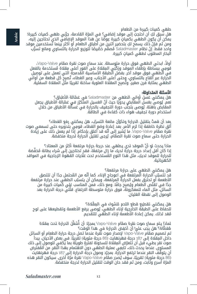# طهي كميات كبيرة من الطعام

هل سبق لكِ ان احتجتِ إلى موقد إضافي؟ في المرّة القادمة، جرّبي طهي كميات كبيرة! يمكن أن يكون الطهي بكمياتٍ كبيرة عِوضًا عن هذا الموقد الإضافي الذي تحتاجين إليه، ومن ثم فإنّ ذلك يسمح لكِ بتحضير اثنين من أطباق الطعام أو أكثر بينما تستخدمين موقد واحد فقط. إنّ نظام Saladmaster مُصمّم خصّيصًا لتوزيع الحرارة بالتساوي ومانع تسرّب ٍ البخار المطلوب لطهي كميات كبيرة.

ً أوال، ابدئي الطهي فوق حرارة متوسطة. ّ عند سماع صوت نقرة صمام Valve-Vapo، قومِي ببساطة بإطفاء الموقد ورَكبَي المِقلاةِ على الفورِ اعلى مِقلاة مُستخدمة بالفعل في الطهي فوق موقد آخر. بفضل الطبقة الأساسية المُدمجة التي تعمل على توصيل ۖ الحرارة عبر القاع بالتساوي، وحتى أعلى الأجناب، وعبر الغطاء، تُصبح كل قطعة من أواني الطهي بمتابة فرن صغير، وتصبِح المقلاة العلوية ساخنة تقريبًا متل المقلاة السفلية.

# الأسئلة المتداولة:

هل يمكنني غسل أواني الطهي من Saladmaster َّ في غسالة األطباق؟ نعم. يُوصى بغسل المقابض يدويًا حيث أنّ الغسيل المتكرّر في غسّالة الأطباق يجعل<br>'' المقابض باهتة. يُوصى بتجنب دورة التجفيف بالحرارة في غسالة الاطباق من خلال استخدام دورة تجفيف هواء ذات كفاءة في الطاقة.

بِعد أن قمتُ بتقليل الحرارة ِوتكوَّن مانعة التسرّب، هل يمكنني رفع الغطاء؟ ألق نظرة خاطفة إذا لزم الأمر. بعد إعادة وضع الغطاء، قومِي بتدويره حتى تسمعي صوت نقرَة صمّام Vapo-Valve، ما يُشير إلى أنّه قد أغلق بإحكام. إذّا لم يعمل ذلك على زيّادة نقرة صمّام Vapo-Valve، ما يُشير إلى أنّه قد أغلق بإحكام. إذا لم يعمل ذلا<br>الحرارة حتى سماع صوت نقرة الصمّام، يُرجى تقليل الحرارة لدرجة منخفضة.

ماذا يحدث لو أنّ الموقد لدي يطهي عند درجة حرارة مرتفعة أكثر من المعتاد؟ إذا كان أقل إعداد درجة حرارة لديك ما زال مرتفعًا، فقد تحتاجين إلى شراء بطانة مُخفِّضة للحرارة للموقد لديكِ، مثل هذا النوع المُستخدم تحت غلايات القهوة الزجاجية في المواقد الكهربائية.

# هل يمكنني الطهي على حرارة مرتفعة؟

قد تتسبُّبِ الحرارة المرتفعة في اعوجاج الإناء. كما إنه من المُحتمل جدًا ان تلتصق الأطعمة أو تحترق بفعل الحرارة المرتفعة، ويمكن أن يتسبّب الطهي عند حرارة مرتفعة جدًا في تقلص الطعام ويُصبِح جافا. ومع ذلك، فمن المناسب غِلِي كميات كبيرة من السائل، مثل الماء للمعكرونة، فوق حرارة متوسطة االرتفاع. ِّ قللي درجة الحرارة بعد الوصول إلى نقطة الغليان.

ِ هل يمكنني تقطيع قطع اللحم للشواء في المْقالة؟ للحفاظ على الطبقة الخارجية لإناء الطهي، يُوصى برفع الاطعمة وتقطيعها على لوح مُعَد لذلك. يمكن إعادة الأطعمة لإناء الطهي للتقديم.

# بّد أن أُشغِّل الحرارة تحت مِقلاة لماذا يتم سماع صوت نقرة صمّام Vapo-Valve بمجرّد أن أُ<br>مُغطَّاة؟ هل يجب عليَّ أن أخفِض الحرارة في هذا الوقت؟

تم تصميم صمّام Vapo-Valve لإصدار صوت نقرة عندما تصل درجة حرارة الطعام أو السائل داخل المقلاة إلى 187 درجة فهرنهايت (86 درجة مئوية) تقريبًا. في بعض الأحيان، يبدأ صوت نقر بطيء قبل ان تتعرّض المِقلاة للسخونة لفترةٍ طويلة بما يكفي للوصول إِلى ذلك المستوى. عندما يحدث ذلك، تابعي عملية الطهي دون الاهتمام بهذا النقر. من المُفترض أن يتوقف النقر عندما ترتفع الحرارة. بمجرّد وصول درجة الحرارة إلى 187 درجة فهرنهايت (86 درجة مئوية) تقريبًا، سوف يُصدِر صمّام Vapo-Valve نقرة مرّة أخرى. سيكون النقر هذه<br>. المرّة اسرع وتابت، ومن تم فقد حان الوقت لتقليل الحرارة لدرجة منخفضة.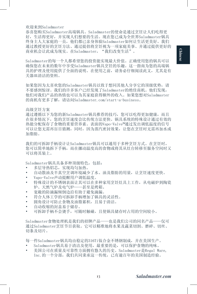#### 欢迎来到Saladmaster

恭喜您购买Saladmaster高端锅具。Saladmaster的使命是通过烹饪让人们吃得更 好,生活得更好,并实现人们想要的生活。现在您已成为全世界Saladmaster锅具 终身主人大家庭的一员,他们都已亲身体验Saladmaster如何让生活更美好。我们 通过教授更好的烹饪方法、通过提倡将烹饪视为一项家庭美事、并通过提供更好的 商业机会让此成为现实。在Saladmaster, "我们改变生活"。

Saladmaster的每一个人都希望您的投资能实现最大价值。正确使用您的锅具可以 确保您在未来的数年中享受Saladmaster锅具烹饪的乐趣。这一指南为您的高端锅 具的护理及使用提供了全面的说明。在使用之前,请务必仔细阅读此文,尤其是有 关器皿清洁的资料。

如果您因为太喜欢您的Saladmaster锅具以致于想同其他人分享它的顶级优势,请 不要感到惊讶。我们的许多客户已经发现了Saladmaster的绝佳商机。他们发现, 他们对我们产品的热情也可以为其家庭获得额外的收入。如果您想对Saladmaster 的商机有更多了解,请访问Saladmaster.com/start-a-business。

#### 高级烹饪方案

通过遵循以下为您的新Saladmaster锅具推荐的技巧,您可以吃得更加健康,而且 在很多情况下,您的烹饪速度会比传统方法更快。锅具系统的特殊设计通过有效的 热能分配保存了食物的重要营养素。表面的Vapo-Valve™通过发出调低温度的信号 可以让您无需再盲目猜测,同时,因为蒸汽密封效果,让您在烹饪时无需再加水或 加脂肪。

我们的可拆卸手柄设计让Saladmaster锅具可以通用于多种烹饪方式。在烹饪时, 您可以简单地拆下手柄,而在挪动温度高的食物或将其从灶台转移至服务空间时又 可以将其装上。

Saladmaster锅具具备多种顶级特色,包括:

- 多层导热铝芯,实现均匀加热。
- 自动散油及半真空烹调环境减少了水、油及脂肪的用量,让烹饪速度更快。
- Vapo-Valve声动提醒用户调低温度。
- 特殊设计的不锈钢表面让其可以在多种家用烹饪灶具上工作,从电磁炉到陶瓷 炉、天然气炉及电气炉——甚至是烤箱。
- 宽敞的防滴漏倾倒边沿有助于避免滴漏。
- 符合人体工学的可拆卸手柄增加了锅具的灵活性。
- 圆角设计可防止食物及油脂累积,且易于清洁。
- 自动收缩的封盖易于储存。
- 可拆卸手柄不会烫手,可随时触碰,且使锅具储存时占用的空间较小。

Saladmaster食物处理机是我们的招牌产品——也是我们公司的同名产品——仅可 通过Saladmaster烹饪节目获取。它可以精准地将水果及蔬菜切割、磨碎、切丝、 切条及切片。

每一件Saladmaster锅具均由稳定的316Ti钛合金不锈钢制成,并在美国生产。

- Saladmaster锅具易于清洁及使用,最重要的是,可以保护食物的纯味。
- 美国公司在质量及可靠性方面拥有悠久的历史。Saladmaster是Regal Ware, Inc.的一个分部,我们共同秉承这一传统,已有逾百年的美国制造经验。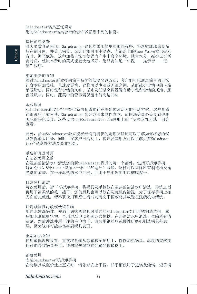Saladmaster锅具烹饪简介 您的Saladmaster锅具会带给您许多意想不到的惊喜。

#### 快速简单烹饪

对大多数食品来说,Saladmaster锅具均采用简单的加热程序。将新鲜或冰冻食品 放在锅具内,并盖上锅盖。烹饪开始时用中温煮,当锅盖上的Vapo-Valve发出提示 音时,调至低温。这种加热方法可使锅内产生半真空环境,锁住水分,减少烹饪所 需时间, 使原本费时的菜式能更快地煮好。您只需知道"中温——提示音——低 温"程序。

#### 更加美味的食物

通过Saladmaster所教授的简单易学的低温烹调方法,客户们可以通过简单的方法 让食物更加美味,且速度更快。食物可以少油或无油烹调,从而减少食物中的卡路 里及脂肪,同时保留食物的风味。无水及低温烹调设置有助于保留食物的质地、颜 色及风味,同时,蔬菜中的营养素保留率能高达98%。

#### 永久服务

Saladmaster通过为客户提供新的食谱推行充满乐趣及活力的生活方式,这些食谱 详细说明了如何使用Saladmaster烹饪方法来制作食物,范围涵盖爽心美食到健康 美味的特色美食。这些食谱可在Saladmaster.com网址上的"更多烹饪方法"部分 查看。

此外,参加Saladmaster独立授权经销商提供的定期烹饪班可以了解如何将您的锅 具发挥最大用处,同时,在客户日活动上,客户及其朋友可以了解更多Saladmaster产品烹饪方法及商业机会。

#### 重要护理及使用

在初次使用之前

在温热的清洁水中清洗您的新Saladmaster锅具的每一个部件,包括可拆卸手柄, 每加仑(3.8升)水中需加入一杯(250毫升)食醋。这样可以去除所有制造油及抛 光剂的痕迹。在干净温热的水中冲洗,并用干净柔软的毛巾彻底擦干。

#### 日常使用清洁

每次使用后,拆下可拆卸手柄,将锅具及手柄放在温热的清洁水中清洗,冲洗之后 再用干净柔软的毛巾擦干。您的厨具也可以放在洗碗机内清洗。为了保存手柄上抛 光面的完整性,请不要使用研磨性清洁剂清洗手柄或将其放置在洗碗机内清洗。

#### 针对顽固性污渍或残留食物

用热水冲洗锅体,并洒上您购买锅具时赠送的Saladmaster专用不锈钢清洁剂,然 后加水形成糊状物。再用湿纸巾以划圆方式擦拭。在热清洁水中清洗,去除所有清 洁剂,然后冲洗并用干净的毛巾擦干。请勿用钢丝球或硬性研磨机刷洗锅具外表 层,因为这样可能会伤害到锅具表面。

#### 重新加热食物

使用最低温度设置,直接将食物从冰箱移至炉灶上,慢慢加热锅具。温度的突然变 化可能导致锅具变形。请勿将热锅放在冰箱的玻璃格上。

#### 正确使用

安装Saladmaster可拆卸手柄 在将锅具放至炉灶上烹煮时,请务必安上手柄。长手柄仅用于煮锅及炖锅;短手柄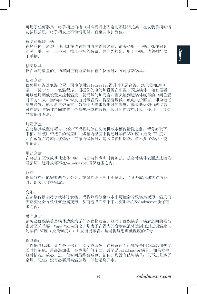可用于任何器具。将手柄上的槽口对准锅具上固定的不锈钢托架。在安装手柄时请 勿按压按钮。将手柄安上不锈钢托架,直至其卡扣到位。

移除可拆卸手柄

在烤箱内、烤炉下使用或在洗碗机内清洗锅具之前,请务必取下手柄。抓住锅具 的另一端,另一只手向下按压手柄的按钮,并向外拉出,取下手柄。请勿强行取 下手柄。

移动锅具

仅在规定数量的手柄牢固正确地安装在直立位置时,方可移动锅具。

#### 低温烹煮

仅使用中温及低温设置,因为使用Saladmaster锅具时无需高温。您只需知道中 温——提示音——低温程序。根据您的电气炉设置在中温下预热锅体。如有需要, 可以使用调低设置来控制温度。就天然气炉而言,当火焰到达锅体底部的中间位置 时即为中火。当Vapo-Valve发出提示音后,将温度调低。就电气炉而言,即为最低 温度设置。就天然气炉而言,为最低火焰未散出时的温度。倘最低火焰仍然过高, 可在炉灶与锅体之间放置一个降热环或扩散板。长时间在过热环境下使用,可能会 导致锅具变形。

#### 烤箱烹煮

在将锅具放至烤箱内、烤炉下或将其放在洗碗机或水槽内清洗之前,请务必取下 手柄。当使用带把手的锅盖时,烤箱内温度不得超过华氏350 度(摄氏177 度) 。在放置在烤箱内或烤炉上工作的锅体时,请务必使用锅垫。请不要在烤炉下使 用锅盖。

#### 用盐烹煮

在将盐加至水或其他液体中时,请在液体煮沸时再加盐。盐会使锅体表面造成凹陷 及损坏。这种损坏不在Saladmaster质保范围之内。

#### 预热

锅体预热可能需要两至五分钟。在锅具表面洒上少量水,当其变成水珠状并消散 时,即表示预热完成。

#### 变形

在热锅内添加冷水或冰冻食物、或将热锅放至冷水中可能会导致锅具变形。温度的 突然变化会导致任何金属变形,从而造成底部不平。变形不在Saladmaster质保范 围之内。

#### 妥当密封

请务必确保锅盖及锅体边缘均无任务食物残留。这对于确保锅盖与锅肩之间的妥当 密封至关重要。Vapo-Valve的设计是为了在锅内的食物或液体达到理想烹调温度( 约华氏187度(摄氏86度))时发出提示音。这是提醒您调低温度的信号。

#### 锅具褪色

一件锅具底部、甚至是内部有可能变成蓝色。这种蓝色着色纯粹是因为高温加热过 长时间造成。用高温加热,会烧焦任何东西,甚至是Saladmaster锅具。如果发生 这种情况,放心,过一段时间最终会褪色。记住,您没有破坏锅具;只不过是烧了 金属。记住;没有必要用高温加热,即使是烧开水。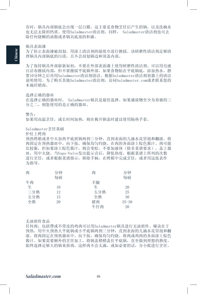有时,锅具内部锅底会出现一层白膜。这主要是食物烹饪后产生的钠,以及洗碗水 也无法去除的钙质。使用Saladmaster清洁剂。同样, Saladmaster清洁剂也可去 除任何烧糊的油脂或者锅具底部的积碳。

#### 锅具表面漆

为了防止表面漆被刮划,用涂上清洁剂的湿纸巾进行擦拭。该研磨性清洁剂足够清 理锅具内部锅底的污渍,且不会刮划锅边和顶盖内部。

为了保持锅具外部崭新如初,不要在外部表面漆上使用研磨性清洁剂。可以用皂液 百洁布擦拭内部,但不要擦拭平底锅外部。如果食物粘在平底锅底,添加热水,静 置10分钟之后再用Saladmaster清洁剂清洁。根据Saladmaster清洁剂容器上的清洁 说明使用。为了购买其他Saladmaster清洁剂,访问Saladmaster.com或者联系您的 本地经销商。

#### 选择正确的器皿

在选择正确的器皿时, Saladmaster锅具是最佳选择。如果盛放物至少为容器的三 分之二,则您使用的是正确的器皿。

#### 警告:

如果用高温烹饪,或长时间加热,则在揭开锅盖时建议使用隔热手套。

#### Saladmaster烹饪基础

炉灶上烤肉

预热烤箱或者中火加热平底煎锅两到三分钟,直到表面的几滴水花冒泡和翻滚。将 肉固定在预热器皿中,向下按,确保均匀灼烧。在肉的各面涂上棕色酱汁。肉可能 比较黏,但如果涂上棕色酱汁,则会变松。不要加液体(除非菜谱要求)。盖上器 皿,用中火烧。当Vapo-Valve发出提示音后,降低热度,根据菜谱上所列的次数 进行烹饪,或者根据菜谱指示,移除手柄,在烤箱中完成烹饪,或者用这张表作 为指导。

| 肉   | 分钟 | 肉   | 分钟        |
|-----|----|-----|-----------|
|     | 每磅 |     | 每磅        |
| 牛肉  |    | 羊腿  |           |
| 生   | 10 | 生   | 20        |
| 三分熟 | 12 | 五分熟 | 25        |
| 五分熟 | 15 | 全熟  | 30        |
| 全熟  | 20 | 猪肉  | $25 - 30$ |
|     |    | 牛仔肉 | 20        |

无油煎炸食品

任何肉,包括帶或不带皮的鸡肉可以用Saladmaster锅具进行无油煎炸。秘诀在于 预热。用中火预热大平底锅或小平底锅两到三分钟,直到表面的几滴水花冒泡和翻 滚。将肉固定在预热器皿中,向下按,确保均匀灼烧。将肉或鸡肉的各面涂上棕色 酱汁。如果需要额外的烹饪加工,将锅盖稍稍盖住平底锅,直至做到理想的熟度。 始终选择足够大的锅来煎肉,这样肉不会太满,或如必要的话,分小批进行烹饪。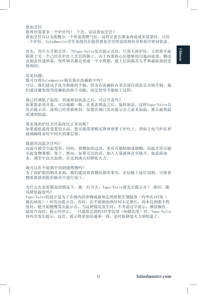叠加烹饪

您曾经需要多一个炉灶吗? 下次, 试试叠加烹饪! 叠加烹饪可以为您腾出一个所需的燃气灶,这样让您在准备两道或多道菜时,只用 一个炉灶。Saladmaster烹饪系统旨在提供叠加烹饪所需的热传导和真空密封状态。

首先,用中火开始烹饪。当Vapo-Valve发出提示音时,只需关掉炉灶,立即将平底 锅置于另一个已经在炉灶上烹饪的锅上。由于内置核心层能够均匀地向底部、侧边 及锅盖传递热量,每件锅具都会变成一个小烤箱,最上层的锅具几乎和最底部的受 热相同。

常见问题:

我可以将Saladmaster锅具放在洗碗机中吗? 可以。我们建议手洗可拆除的手柄,因为在洗碗机内多次进行清洗会弄钝手柄。我 们建议避免使用洗碗机的热干功能,而是使用节能晾干过程。

我已经调低了温度,形成密封状态之后,可以开盖吗? 如果您必须开盖,可以偷瞄一眼。在重盖锅盖之后,旋转锅盖,这样Vapo-Valve会 发出提示音,说明已经重新密封。如果在阀门发出提示音之前未加温,那么就将温 度调到低温。

要是我的炉灶烹饪温度比正常高呢? 如果最低温度设置仍太高,您可能需要购买降热垫置于炉灶上,类似于电气炉在煮 玻璃咖啡壶时中间夹的那层垫。

我能用高温烹饪吗?

高温可能会引起变形。同时,食物加热过高,更有可能粘锅或烧糊;高温烹饪可能 引起食物萎缩,变干。然而,如果可以的话,加入大量液体直至烧开,如意面加 水,调至中高火加热。在达到沸点时降低火力。

我可以在平底锅中切割烧烤物吗?

为了保护您的锅具表面,我们建议将食物从锅里拿出,在砧板上进行切割。可将食 物重新放到您的锅具中进行加工。

为什么在盖着锅盖的情况下,我一打开火, Vapo-Valve就发出提示音? 那时, 我 该降低温度吗?

Vapo-Valve的设计是为了在锅内的食物或液体达到理想烹调温度(约华氏187度( 摄氏86度))时发出提示音。有时,在平底锅加热时间不足够长,尚未达到那个程 度时,便开始慢慢发出提示音。当这种情况发生时,不考虑过早提示,继续操作。 温度升高时,提示应停止。一旦温度达到约187华氏度(86摄氏度)时, Vapo-Valve 将再次发出提示。这次,提示将更加迅速和一致,是时候降低火力到低温了。

**Chinese**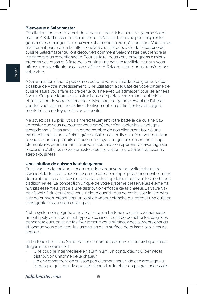#### **Bienvenue à Saladmaster**

Félicitations pour votre achat de la batterie de cuisine haut de gamme Saladmaster. À Saladmaster, notre mission est d'utiliser la cuisine pour inspirer les gens à mieux manger, à mieux vivre et à mener la vie qu'ils désirent. Vous faites maintenant partie de la famille mondiale d'utilisateurs à vie de la batterie de cuisine Saladmaster qui ont découvert comment Saladmaster peut rendre la vie encore plus exceptionnelle. Pour ce faire, nous vous enseignons à mieux préparer vos repas et à faire de la cuisine une activité familiale, et nous vous offrons une excellente occasion d'affaires. À Saladmaster, « nous transformons votre vie ».

À Saladmaster, chaque personne veut que vous retiriez la plus grande valeur possible de votre investissement. Une utilisation adéquate de votre batterie de cuisine saura vous faire apprécier la cuisine avec Saladmaster pour les années à venir. Ce guide fournit des instructions complètes concernant l'entretien et l'utilisation de votre batterie de cuisine haut de gamme. Avant de l'utiliser, veuillez vous assurer de les lire attentivement, en particulier les renseignements liés au nettoyage de vos ustensiles.

Ne soyez pas surpris : vous aimerez tellement votre batterie de cuisine Saladmaster que vous ne pourrez vous empêcher d'en vanter les avantages exceptionnels à vos amis. Un grand nombre de nos clients ont trouvé une excellente occasion d'affaires grâce à Saladmaster. Ils ont découvert que leur passion pour nos produits est aussi un moyen de générer des revenus supplémentaires pour leur famille. Si vous souhaitez en apprendre davantage sur l'occasion d'affaires de Saladmaster, veuillez visiter le site Saladmaster.com/ start-a-business.

#### **Une solution de cuisson haut de gamme**

En suivant les techniques recommandées pour votre nouvelle batterie de cuisine Saladmaster, vous serez en mesure de manger plus sainement et, dans de nombreux cas, de cuisiner des plats plus rapidement qu'avec les méthodes traditionnelles. La conception unique de votre système préserve les éléments nutritifs essentiels grâce à une distribution efficace de la chaleur. La valve Vapo-ValveMC du couvercle vous indique quand vous devez baisser la température de cuisson, créant ainsi un joint de vapeur étanche qui permet une cuisson sans ajouter d'eau ni de corps gras.

Notre système à poignée amovible fait de la batterie de cuisine Saladmaster un outil polyvalent pour tout type de cuisine. Il suffit de détacher les poignées pendant la cuisson et de les fixer lorsque vous déplacez des aliments chauds et lorsque vous déplacez les ustensiles de la surface de cuisson aux aires de service.

La batterie de cuisine Saladmaster comprend plusieurs caractéristiques haut de gamme, notamment :

- Une couche intermédiaire en aluminium, un conducteur qui permet la distribution uniforme de la chaleur.
- Un environnement de cuisson partiellement sous vide et à arrosage automatique qui réduit la quantité d'eau, d'huile et de corps gras nécessaire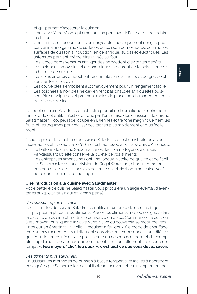et qui permet d'accélérer la cuisson.

- Une valve Vapo-Valve qui émet un son pour avertir l'utilisateur de réduire la chaleur.
- Une surface extérieure en acier inoxydable spécifiquement conçue pour convenir à une gamme de surfaces de cuisson domestiques, comme les surfaces de cuisson à induction, en céramique, au gaz et électriques. Les ustensiles peuvent même être utilisés au four.
- Les larges bords verseurs anti-gouttes permettent d'éviter les dégâts.
- Les poignées amovibles et ergonomiques procurent de la polyvalence à la batterie de cuisine.
- Les coins arrondis empêchent l'accumulation d'aliments et de graisse et sont faciles à nettoyer.
- Les couvercles s'emboîtent automatiquement pour un rangement facile.
- Les poignées amovibles ne deviennent pas chaudes afin qu'elles puissent être manipulées et prennent moins de place lors du rangement de la batterie de cuisine.

Le robot culinaire Saladmaster est notre produit emblématique et notre nom s'inspire de cet outil. Il n'est offert que par l'entremise des émissions de cuisine Saladmaster. Il coupe, râpe, coupe en juliennes et tranche magnifiquement les fruits et les légumes pour réaliser ces tâches plus rapidement et plus facilement.

Chaque pièce de la batterie de cuisine Saladmaster est construite en acier inoxydable stabilisé au titane 316Ti et est fabriquée aux États-Unis d'Amérique.

- La batterie de cuisine Saladmaster est facile à nettoyer et à utiliser. Par-dessus tout, elle conserve la pureté de vos aliments.
- Les entreprises américaines ont une longue histoire de qualité et de fiabilité. Saladmaster est une division de Regal Ware, Inc., et nous comptons ensemble plus de 100 ans d'expérience en fabrication américaine; voilà notre contribution à cet héritage.

# **Une introduction à la cuisine avec Saladmaster**

Votre batterie de cuisine Saladmaster vous procurera un large éventail d'avantages auxquels vous n'auriez jamais pensé.

#### *Une cuisson rapide et simple*

Les ustensiles de cuisine Saladmaster utilisent un procédé de chauffage simple pour la plupart des aliments. Placez les aliments frais ou congelés dans la batterie de cuisine et mettez le couvercle en place. Commencez la cuisson à feu moyen, puis, quand la valve Vapo-Valve du couvercle se recourbe vers l'intérieur en émettant un « clic », réduisez à feu doux. Ce mode de chauffage crée un environnement partiellement sous vide qui emprisonne l'humidité, ce qui réduit le temps nécessaire pour la cuisson des repas et permet d'accomplir plus rapidement des tâches qui demandent traditionnellement beaucoup de temps. **« Feu moyen, "clic", feu doux », c'est tout ce que vous devez savoir.**

#### *Des aliments plus savoureux*

En utilisant les méthodes de cuisson à basse température faciles à apprendre enseignées par Saladmaster, nos utilisateurs peuvent obtenir simplement des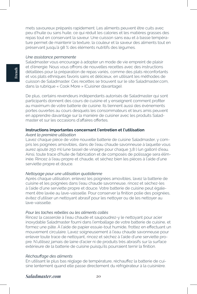mets savoureux préparés rapidement. Les aliments peuvent être cuits avec peu d'huile ou sans huile, ce qui réduit les calories et les matières grasses des repas tout en conservant la saveur. Une cuisson sans eau et à basse température permet de maintenir la texture, la couleur et la saveur des aliments tout en préservant jusqu'à 98 % des éléments nutritifs des légumes.

#### *Une assistance permanente*

Saladmaster vous encourage à adopter un mode de vie empreint de plaisir et d'énergie. Nous vous offrons de nouvelles recettes avec des instructions détaillées pour la préparation de repas variés, comme des plats réconfortants et vos plats ethniques favoris sains et délicieux, en utilisant les méthodes de cuisson de Saladmaster. Ces recettes se trouvent sur le site Saladmaster.com, dans la rubrique « Cook More » (Cuisiner davantage).

De plus, certains revendeurs indépendants autorisés de Saladmaster qui sont participants donnent des cours de cuisine et y enseignent comment profiter au maximum de votre batterie de cuisine. Ils tiennent aussi des événements portes ouvertes au cours desquels les consommateurs et leurs amis peuvent en apprendre davantage sur la manière de cuisiner avec les produits Saladmaster et sur les occasions d'affaires offertes.

# **Instructions importantes concernant l'entretien et l'utilisation**

#### *Avant la première utilisation*

Lavez chaque pièce de votre nouvelle batterie de cuisine Saladmaster, y compris les poignées amovibles, dans de l'eau chaude savonneuse à laquelle vous aurez ajouté 250 ml (une tasse) de vinaigre pour chaque 3,8 l (un gallon) d'eau. Ainsi, toute trace d'huile de fabrication et de composés de polissage sera éliminée. Rincez à l'eau propre et chaude, et séchez bien les pièces à l'aide d'une serviette propre et douce.

#### *Nettoyage pour une utilisation quotidienne*

Après chaque utilisation, enlevez les poignées amovibles, lavez la batterie de cuisine et les poignées dans l'eau chaude savonneuse, rincez et séchez-les à l'aide d'une serviette propre et douce. Votre batterie de cuisine peut également être lavée au lave-vaisselle. Pour conserver la finition polie des poignées, évitez d'utiliser un nettoyant abrasif pour les nettoyer ou de les nettoyer au lave-vaisselle.

#### *Pour les taches rebelles ou les aliments collés*

Rincez la casserole à l'eau chaude et saupoudrez-y le nettoyant pour acier inoxydable Saladmaster fourni dans l'emballage de votre batterie de cuisine, et formez une pâte. À l'aide de papier essuie-tout humide, frottez en effectuant un mouvement circulaire. Lavez soigneusement à l'eau chaude savonneuse pour enlever toute trace de nettoyant, rincez et séchez à l'aide d'une serviette propre. N'utilisez jamais de laine d'acier ni de produits très abrasifs sur la surface extérieure de la batterie de cuisine puisqu'ils pourraient ternir la finition.

#### *Réchauffage des aliments*

En utilisant le plus bas réglage de température, réchauffez la batterie de cuisine lentement quand elle passe directement du réfrigérateur à la cuisinière.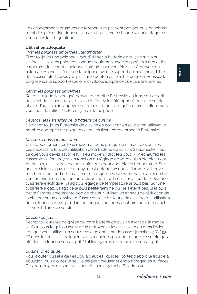Les changements brusques de température peuvent provoquer le gauchissement des pièces. Ne déposez jamais de casserole chaude sur une étagère en verre dans le réfrigérateur.

#### **Utilisation adéquate**

# *Fixer les poignées amovibles Saladmaster*

Fixez toujours une poignée avant d'utiliser la batterie de cuisine sur la cuisinière. Utilisez les poignées longues seulement avec les poêles à frire et les casseroles; les courtes poignées latérales peuvent être utilisées avec tout ustensile. Alignez la fente de la poignée avec le support en acier inoxydable de la casserole. N'appuyez pas sur le bouton en fixant la poignée. Poussez la poignée sur le support en acier inoxydable jusqu'à ce qu'elle s'enclenche.

#### *Retirer les poignées amovibles*

Retirez toujours les poignées avant de mettre l'ustensile au four, sous le gril ou avant de le laver au lave-vaisselle. Tenez le côté opposé de la casserole, et avec l'autre main, appuyez sur le bouton de la poignée et tirez celle-ci vers vous pour la retirer. Ne forcez jamais la poignée.

# *Déplacer les ustensiles de la batterie de cuisine*

Déplacez toujours l'ustensile de cuisine en position verticale et en utilisant le nombre approprié de poignées et en les fixant correctement à l'ustensile.

#### *Cuisson à basse température*

Utilisez seulement les feux moyen et doux puisque la chaleur élevée n'est pas nécessaire lors de l'utilisation de la batterie de cuisine Saladmaster. Tout ce que vous devez savoir est « Feu moyen, "clic", feu doux ». Préchauffez les casseroles à feu moyen, en fonction du réglage de votre cuisinière électrique. Au besoin, utilisez des réglages inférieurs pour contrôler la température. Sur une cuisinière à gaz, un feu moyen est obtenu lorsque la flamme se trouve à mi-chemin du fond de la casserole. Lorsque la valve Vapo-Valve se recourbe vers l'intérieur en émettant un « clic », réduisez la cuisson à feu doux. Sur une cuisinière électrique, il s'agit du réglage de température le plus bas. Sur une cuisinière à gaz, il s'agit de la plus petite flamme qui ne s'éteint pas. Si la plus petite flamme crée encore trop de chaleur, utilisez un anneau de réduction de la chaleur ou un coussinet diffuseur entre le brûleur et la casserole. L'utilisation de chaleur excessive pendant de longues périodes peut provoquer le gauchissement d'une casserole.

#### *Cuisson au four*

Retirez toujours les poignées de votre batterie de cuisine avant de la mettre au four, sous le gril, ou avant de la nettoyer au lave-vaisselle ou dans l'évier. Lorsque vous utilisez un couvercle à poignée, ne dépassez jamais 177 °C (350 °F) dans le four. Utilisez toujours des maniques pour porter une casserole qui a été dans le four ou sous le gril. N'utilisez jamais un couvercle sous le gril.

# *Cuisiner avec du sel*

Pour ajouter du sel à de l'eau ou à d'autres liquides, portez d'abord le liquide à ébullition, puis ajoutez le sel. Le sel peut creuser et endommager les surfaces. Ces dommages ne sont pas couverts par la garantie Saladmaster.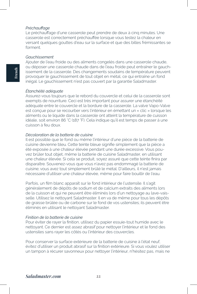#### *Préchauffage*

Le préchauffage d'une casserole peut prendre de deux à cinq minutes. Une casserole est correctement préchauffée lorsque vous testez la chaleur en versant quelques gouttes d'eau sur la surface et que des billes frémissantes se forment.

#### *Gauchissement*

Ajouter de l'eau froide ou des aliments congelés dans une casserole chaude, ou déposer une casserole chaude dans de l'eau froide peut entraîner le gauchissement de la casserole. Des changements soudains de température peuvent provoquer le gauchissement de tout objet en métal, ce qui entraîne un fond inégal. Le gauchissement n'est pas couvert par la garantie Saladmaster.

#### *Étanchéité adéquate*

Assurez-vous toujours que le rebord du couvercle et celui de la casserole sont exempts de nourriture. Ceci est très important pour assurer une étanchéité adéquate entre le couvercle et la bordure de la casserole. La valve Vapo-Valve est conçue pour se recourber vers l'intérieur en émettant un « clic » lorsque les aliments ou le liquide dans la casserole ont atteint la température de cuisson idéale, soit environ 86 °C (187 °F). Cela indique qu'il est temps de passer à une cuisson à feu doux.

### *Décoloration de la batterie de cuisine*

Il est possible que le fond ou même l'intérieur d'une pièce de la batterie de cuisine devienne bleu. Cette teinte bleue signifie simplement que la pièce a été exposée à une chaleur élevée pendant une durée excessive. Vous pouvez brûler tout objet, même la batterie de cuisine Saladmaster, en utilisant une chaleur élevée. Si cela se produit, soyez assuré que cette teinte finira par disparaître. Souvenez-vous que vous n'avez pas endommagé la batterie de cuisine; vous avez tout simplement brûlé le métal. D'ailleurs, il n'est jamais nécessaire d'utiliser une chaleur élevée, même pour faire bouillir de l'eau.

Parfois, un film blanc apparaît sur le fond intérieur de l'ustensile. Il s'agit généralement de dépôts de sodium et de calcium extraits des aliments lors de la cuisson et qui ne peuvent être éliminés lors d'un nettoyage au lave-vaisselle. Utilisez le nettoyant Saladmaster. Il en va de même pour tous les dépôts de graisse brûlée ou de carbone sur le fond de vos ustensiles; ils peuvent être éliminés en utilisant le nettoyant Saladmaster.

#### *Finition de la batterie de cuisine*

Pour éviter de rayer la finition, utilisez du papier essuie-tout humide avec le nettoyant. Ce dernier est assez abrasif pour nettoyer l'intérieur et le fond des ustensiles sans rayer les côtés ou l'intérieur des couvercles.

Pour conserver la surface extérieure de la batterie de cuisine à l'état neuf, évitez d'utiliser un produit abrasif sur la finition extérieure. Si vous voulez utiliser un tampon à récurer savonneux pour nettoyer l'intérieur, n'hésitez pas, mais ne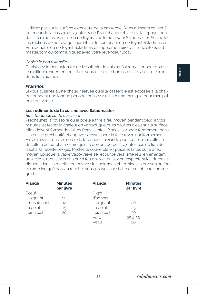l'utilisez pas sur la surface extérieure de la casserole. Si les aliments collent à l'intérieur de la casserole, ajoutez-y de l'eau chaude et laissez-la reposer pendant 10 minutes avant de la nettoyer avec le nettoyant Saladmaster. Suivez les instructions de nettoyage figurant sur le contenant du nettoyant Saladmaster. Pour acheter du nettoyant Saladmaster supplémentaire, visitez le site Saladmaster.com ou communiquez avec votre revendeur local.

#### *Choisir le bon ustensile*

Choisissez le bon ustensile de la batterie de cuisine Saladmaster pour obtenir le meilleur rendement possible. Vous utilisez le bon ustensile s'il est plein aux deux tiers au moins.

## *Prudence:*

Si vous cuisinez à une chaleur élevée ou si la casserole est exposée à la chaleur pendant une longue période, pensez à utiliser une manique pour manipuler le couvercle.

# **Les rudiments de la cuisine avec Saladmaster**

#### *Rôtir la viande sur la cuisinière*

Préchauffez la rôtissoire ou la poêle à frire à feu moyen pendant deux à trois minutes, et testez la chaleur en versant quelques gouttes d'eau sur la surface; elles doivent former des billes frémissantes. Placez la viande fermement dans l'ustensile préchauffé et appuyez dessus pour la faire revenir uniformément. Faites revenir tous les côtés de la viande. La viande peut coller, mais elle se décollera au fur et à mesure qu'elle devient dorée. N'ajoutez pas de liquide (sauf si la recette l'exige). Mettez le couvercle en place et faites cuire à feu moyen. Lorsque la valve Vapo-Valve se recourbe vers l'intérieur en émettant un « clic », réduisez la chaleur à feu doux et cuisez en respectant les durées indiquées dans la recette, ou enlevez les poignées et terminez la cuisson au four comme indiqué dans la recette. Vous pouvez aussi utiliser ce tableau comme guide.

| <b>Viande</b> | <b>Minutes</b><br>par livre | <b>Viande</b> | <b>Minutes</b><br>par livre |
|---------------|-----------------------------|---------------|-----------------------------|
| Boeuf         |                             | Gigot         |                             |
| saignant      | 10                          | d'agneau      |                             |
| mi-saignant   | 12                          | saignant      | 20                          |
| à point       | 15                          | à point       | 25                          |
| bien cuit     | 20                          | bien cuit     | 30                          |
|               |                             | Porc.         | 25 à 30                     |
|               |                             | Veau          | 20                          |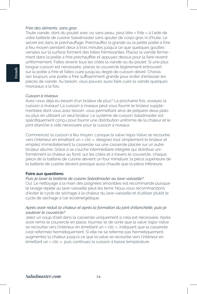#### *Frire des aliments, sans gras*

Toute viande, dont du poulet avec ou sans peau, peut être « frite » à l'aide de votre batterie de cuisine Saladmaster sans ajouter de corps gras ni d'huile. Le secret est dans le préchauffage. Préchauffez la grande ou la petite poêle à frire à feu moyen pendant deux à trois minutes jusqu'à ce que quelques gouttes versées sur la surface forment des billes frémissantes. Placez la viande fermement dans la poêle à frire préchauffée et appuyez dessus pour la faire revenir uniformément. Faites revenir tous les côtés la viande ou du poulet. Si une plus longue cuisson est nécessaire, placez le couvercle légèrement entrouvert sur la poêle à frire et faites cuire jusqu'au degré de cuisson désiré. Choisissez toujours une poêle à frire suffisamment grande pour éviter d'entasser les pièces de viande. Au besoin, vous pouvez aussi faire cuire la viande quelques morceaux à la fois.

#### *Cuisson à niveaux*

Avez-vous déjà eu besoin d'un brûleur de plus? La prochaine fois, essayez la cuisson à niveaux! La cuisson à niveaux peut vous fournir le brûleur supplémentaire dont vous avez besoin, vous permettant ainsi de préparer deux plats ou plus en utilisant un seul brûleur. Le système de cuisson Saladmaster est spécifiquement conçu pour fournir une distribution uniforme de la chaleur et le joint étanche à vide nécessaire pour la cuisson à niveaux.

Commencez la cuisson à feu moyen. Lorsque la valve Vapo-Valve se recourbe vers l'intérieur en émettant un « clic », éteignez tout simplement le brûleur et empilez immédiatement la casserole sur une casserole placée sur un autre brûleur allumé. Grâce à sa couche intermédiaire intégrée qui distribue uniformément la chaleur au fond, sur les côtés et à travers le couvercle, chaque pièce de la batterie de cuisine devient un four miniature; la pièce supérieure de la batterie de cuisine devient presque aussi chaude que la pièce inférieure.

#### **Foire aux questions:**

# *Puis-je laver la batterie de cuisine Saladmaster au lave-vaisselle?*

Oui. Le nettoyage à la main des poignées amovibles est recommandé puisque le lavage répété au lave-vaisselle peut les ternir. Nous vous recommandons d'éviter le cycle de séchage à la chaleur du lave-vaisselle et d'utiliser plutôt le cycle de séchage à l'air écoénergétique.

#### *Après avoir réduit la chaleur et après la formation du joint d'étanchéité, puis-je soulever le couvercle?*

Jetez un coup d'œil dans la casserole uniquement si cela est nécessaire. Après avoir remis le couvercle en place, tournez-le de sorte que la valve Vapo-Valve se recourbe vers l'intérieur en émettant un « clic », indiquant que la casserole s'est refermée hermétiquement. Si elle ne se referme pas hermétiquement, augmentez la chaleur jusqu'à ce que la valve se recourbe vers l'intérieur en émettant un « clic », puis continuez la cuisson à basse température.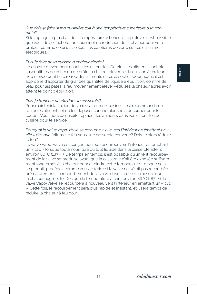# *Que dois-je faire si ma cuisinière cuit à une température supérieure à la normale?*

Si le réglage le plus bas de la température est encore trop élevé, il est possible que vous deviez acheter un coussinet de réduction de la chaleur pour votre brûleur, comme celui utilisé sous les cafetières de verre sur les cuisinières électriques.

#### *Puis-je faire de la cuisson à chaleur élevée?*

La chaleur élevée peut gauchir les ustensiles. De plus, les aliments sont plus susceptibles de coller ou de brûler à chaleur élevée, et la cuisson à chaleur trop élevée peut faire rétrécir les aliments et les assécher. Cependant, il est approprié d'apporter de grandes quantités de liquide à ébullition, comme de l'eau pour les pâtes, à feu moyennement élevé. Réduisez la chaleur après avoir atteint le point d'ébullition.

# *Puis-je trancher un rôti dans la casserole?*

Pour maintenir la finition de votre batterie de cuisine, il est recommandé de retirer les aliments et de les déposer sur une planche à découper pour les couper. Vous pouvez ensuite replacer les aliments dans vos ustensiles de cuisine pour le service.

#### *Pourquoi la valve Vapo-Valve se recourbe-t-elle vers l'intérieur en émettant un « clic » dès que* j'allume le feu sous une casserole couverte? Dois-je alors réduire le feu?

La valve Vapo-Valve est conçue pour se recourber vers l'intérieur en émettant un « clic » lorsque toute nourriture ou tout liquide dans la casserole atteint environ 86 °C (187 °F). De temps en temps, il est possible qu'un lent recourbement de la valve se produise avant que la casserole n'ait été exposée suffisamment longtemps à la chaleur pour atteindre cette température. Lorsque cela se produit, procédez comme vous le feriez si la valve ne s'était pas recourbée prématurément. Le recourbement de la valve devrait cesser à mesure que la chaleur augmente. Dès que la température atteint environ 86 °C (187 °F), la valve Vapo-Valve se recourbera à nouveau vers l'intérieur en émettant un « clic ». Cette fois, le recourbement sera plus rapide et insistant, et il sera temps de réduire la chaleur à feu doux.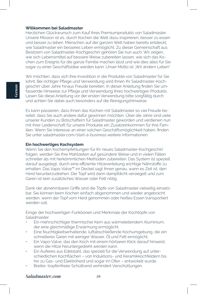#### **Willkommen bei Saladmaster**

Herzlichen Glückwunsch zum Kauf Ihres Premiumprodukts von Saladmaster. Unsere Mission ist es, durch Kochen die Welt dazu inspirieren, besser zu essen und besser zu leben. Menschen auf der ganzen Welt haben bereits entdeckt, wie Saladmaster ein besseres Leben ermöglicht. Zu dieser Gemeinschaft aus Besitzern von Saladmaster-Kochgeschirr gehören Sie nun auch. Wir zeigen, wie sich Lebensmittel auf bessere Weise zubereiten lassen, wie sich das Kochen zum Ereignis für die ganze Familie machen lässt und wie dies alles für Sie sogar zu einer Geschäftsidee werden kann. Unser Motto ist "Wir ändern Leben".

Wir möchten, dass sich Ihre Investition in die Produkte von Saladmaster für Sie lohnt. Bei richtiger Pflege und Verwendung wird Ihnen Ihr Saladmaster-Kochgeschirr über Jahre hinaus Freude bereiten. In dieser Anleitung finden Sie umfassende Hinweise zur Pflege und Verwendung Ihres hochwertigen Produkts. Lesen Sie diese Anleitung vor der ersten Verwendung bitte sorgfältig durch und achten Sie dabei auch besonders auf die Reinigungshinweise.

Es kann passieren, dass Ihnen das Kochen mit Saladmaster so viel Freude bereitet, dass Sie auch andere dafür gewinnen möchten. Über die Jahre sind viele unserer Kunden zu Botschaftern für Saladmaster geworden und verdienen nun mit ihrer Leidenschaft für unsere Produkte ein Zusatzeinkommen für ihre Familien. Wenn Sie Interesse an einer solchen Geschäftsmöglichkeit haben, finden Sie unter saladmaster.com/start-a-business weitere Informationen.

#### **Ein hochwertiges Kochsystem**

Wenn Sie den Kochempfehlungen für Ihr neues Saladmaster-Kochgeschirr folgen, werden Sie Ihre Mahlzeiten auf gesündere Weise und in vielen Fällen schneller als mit herkömmlichen Methoden zubereiten. Das System ist speziell darauf ausgelegt, durch eine effiziente Hitzeverteilung wichtige Nährstoffe zu erhalten. Das Vapo-Valve™ im Deckel sagt Ihnen genau, wann es Zeit ist, den Herd herunterzudrehen. Der Topf wird dann dampfdicht versiegelt und zum Garen ist kein zusätzliches Wasser oder Fett nötig.

Dank der abnehmbaren Griffe sind die Töpfe von Saladmaster vielseitig einsetzbar. Sie können beim Kochen einfach abgenommen und wieder angebracht werden, wenn der Topf vom Herd genommen oder heißes Essen transportiert werden soll.

Einige der hochwertigen Funktionen und Merkmale der Kochtöpfe von Saladmaster:

- Ein mehrschichtiger thermischer Kern aus wärmeleitendem Aluminium, der eine gleichmäßige Erwärmung ermöglicht.
- Eine feuchtigkeitserhaltende, luftabschließende Kochumgebung, die ein schnelleres Garen mit weniger Wasser, Öl und Fett ermöglicht.
- Ein Vapo-Valve, das den Koch mit einem hörbaren Klick darauf hinweist, wenn die Hitze heruntergedreht werden kann.
- Ein Äußeres aus Edelstahl, das speziell für die Verwendung auf unterschiedlichen Kochflächen – von Induktions- und Keramikkochfeldern bis hin zu Gas- und Elektroherd und sogar im Ofen – entwickelt wurde.
- Breiter, tropfenfreier Schüttrand verhindert Verschüttungen.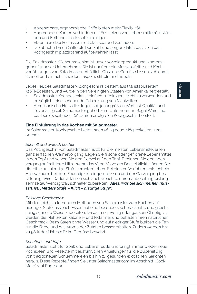- Abnehmbare, ergonomische Griffe bieten mehr Flexibilität.
- Abgerundete Kanten verhindern ein Festsetzen von Lebensmittelrückständen und Fett und sind leicht zu reinigen.
- Stapelbare Deckel lassen sich platzsparend verstauen.
- Die abnehmbaren Griffe bleiben kühl und sorgen dafür, dass sich das Kochgeschirr platzsparend aufbewahren lässt.

Die Saladmaster-Küchenmaschine ist unser Vorzeigeprodukt und Namensgeber für unser Unternehmen. Sie ist nur über die Messeauftritte und Kochvorführungen von Saladmaster erhältlich. Obst und Gemüse lassen sich damit schnell und einfach scheiden, raspeln, stifteln und hobeln.

Jedes Teil des Saladmaster-Kochgeschirrs besteht aus titanstabilisertem 316Ti-Edelstahl und wurde in den Vereinigten Staaten von Amerika hergestellt.

- Saladmaster-Kochgeschirr ist einfach zu reinigen, leicht zu verwenden und ermöglicht eine schonende Zubereitung von Mahlzeiten.
- Amerikanische Hersteller legen seit jeher größten Wert auf Qualität und Zuverlässigkeit. Saladmaster gehört zum Unternehmen Regal Ware, Inc., das bereits seit über 100 Jahren erfolgreich Kochgeschirr herstellt.

#### **Eine Einführung in das Kochen mit Saladmaster**

Ihr Saladmaster-Kochgeschirr bietet Ihnen völlig neue Möglichkeiten zum Kochen.

#### *Schnell und einfach kochen*

Das Kochgeschirr von Saladmaster nutzt für die meisten Lebensmittel einen ganz einfachen Wärmevorgang. Legen Sie frische oder gefrorene Lebensmittel in den Topf und setzen Sie den Deckel auf den Topf. Beginnen Sie den Kochvorgang auf mittlerer Hitze. wenn das Vapo-Valve am Deckel klickt, können Sie die Hitze auf niedrige Stufe herunterdrehen. Bei diesem Verfahren entsteht ein Halbvakuum, bei dem Feuchtigkeit eingeschlossen und der Garvorgang beschleunigt wird. Dadurch lassen sich auch Gerichte, deren Zubereitung bislang sehr zeitaufwendig war, schneller zubereiten. *Alles, was Sie sich merken müssen, ist: "Mittlere Stufe – Klick – niedrige Stufe".*

# *Besserer Geschmack*

Mit den leicht zu lernenden Methoden von Saladmaster zum Kochen auf niedriger Stufe lässt sich Essen auf eine besonders schmackhafte und gleichzeitig schnelle Weise zubereiten. Da dazu nur wenig oder gar kein Öl nötig ist, werden die Mahlzeiten kalorien- und fettärmer und behalten ihren natürlichen Geschmack. Beim Garen ohne Wasser und auf niedriger Stufe bleiben die Textur, die Farbe und das Aroma der Zutaten besser erhalten. Zudem werden bis zu 98 % der Nährstoffe im Gemüse bewahrt.

#### *Kochtipps und Hilfe*

Saladmaster steht für Spaß und Lebensfreude und bringt immer wieder neue Kochideen und Rezepte mit ausführlichen Anleitungen für die Zubereitung von traditionellen Schlemmereien bis hin zu gesunden exotischen Gerichten heraus. Diese Rezepte finden Sie unter Saladmaster.com im Abschnitt "Cook More" (auf Englisch).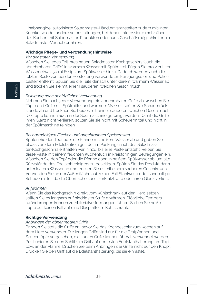Unabhängige, autorisierte Saladmaster-Händler veranstalten zudem mitunter Kochkurse oder andere Veranstaltungen, bei denen Interessierte mehr über das Kochen mit Saladmaster-Produkten oder auch Geschäftsmöglichkeiten im Saladmaster-Vertrieb erfahren.

#### **Wichtige Pflege- und Verwendungshinweise**

#### *Vor der ersten Verwendung*

Waschen Sie jedes Teil Ihres neuen Saladmaster-Kochgeschirrs (auch die abnehmbaren Griffe) in warmem Wasser mit Spülmittel. Fügen Sie pro vier Liter Wasser etwa 250 ml Essig zum Spülwasser hinzu. Dadurch werden auch die letzten Reste von bei der Herstellung verwendeten Fertigungsölen und Polierpasten entfernt. Spülen Sie die Teile danach unter klarem, warmem Wasser ab und trocken Sie sie mit einem sauberen, weichen Geschirrtuch.

#### *Reinigung nach der täglichen Verwendung*

Nehmen Sie nach jeder Verwendung die abnehmbaren Griffe ab, waschen Sie Töpfe und Griffe mit Spülmittel und warmem Wasser, spülen Sie Schaumrückstände ab und trocknen Sie beides mit einem sauberen, weichen Geschirrtuch. Die Töpfe können auch in der Spülmaschine gereinigt werden. Damit die Griffe ihren Glanz nicht verlieren, sollten Sie sie nicht mit Scheuermittel und nicht in der Spülmaschine reinigen.

#### *Bei hartnäckigen Flecken und angebrannten Speiseresten*

Spülen Sie den Topf oder die Pfanne mit heißem Wasser ab und geben Sie etwas von dem Edelstahlreiniger, der im Packungsinhalt des Saladmaster-Kochgeschirrs enthalten war, hinzu, bis eine Paste entsteht. Reiben Sie diese Paste mit einem feuchten Küchentuch in kreisförmigen Bewegungen ein. Waschen Sie den Topf oder die Pfanne dann in heißem Spülwasser ab, um alle Rückstände des Edelstahlreinigers zu beseitigen. Spülen Sie das Produkt dann unter klarem Wasser ab und trocken Sie es mit einem sauberen Geschirrtuch. Verwenden Sie an der Außenfläche auf keinen Fall Stahlwolle oder sandhaltige Scheuermittel, da die Oberfläche sonst zerkratzt wird oder ihren Glanz verliert.

#### *Aufwärmen*

Wenn Sie das Kochgeschirr direkt vom Kühlschrank auf den Herd setzen, sollten Sie es langsam auf niedrigster Stufe erwärmen. Plötzliche Temperaturänderungen können zu Materialverformungen führen. Stellen Sie heiße Töpfe auf keinen Fall auf eine Glasplatte im Kühlschrank.

#### **Richtige Verwendung**

# *Anbringen der abnehmbaren Griffe*

Bringen Sie stets die Griffe an, bevor Sie das Kochgeschirr zum Kochen auf dem Herd verwenden. Die langen Griffe sind nur für die Bratpfannen und Saucentöpfe vorgesehen, die kurzen Griffe können überall verwendet werden. Positionieren Sie den Schlitz im Griff auf der festen Edelstahlhalterung am Topf bzw. an der Pfanne. Drücken Sie beim Anbringen der Griffe nicht auf den Knopf. Drücken Sie den Griff auf die Edelstahlhalterung, bis sie einrastet.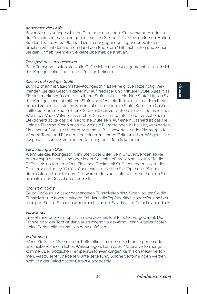# **German**

#### *Abnehmen der Griffe*

Bevor Sie das Kochgeschirr im Ofen oder unter dem Grill verwenden oder in die Geschirrspülmaschine geben, müssen Sie die Griffe stets entfernen. Halten Sie den Topf bzw. die Pfanne dazu an der gegenüberliegenden Seite fest, drücken Sie mit der anderen Hand den Knopf am Griff nach unten und ziehen Sie den Griff ab. Wenden Sie keine übermäßige Kraft an.

#### *Transport des Kochgeschirrs*

Beim Transport sollten stets alle Griffe sicher und fest angebracht sein und sich das Kochgeschirr in aufrechter Position befinden.

# *Kochen auf niedriger Stufe*

Zum Kochen mit Saladmaster-Kochgeschirr ist keine große Hitze nötig. Verwenden Sie das Geschirr daher nur auf niedriger und mittlerer Stufe. Alles, was Sie sich merken müssen, ist: "Mittlere Stufe - Klick - niedrige Stufe". Heizen Sie das Kochgeschirr auf mittlerer Stufe vor. Wenn die Temperatur auf dem Elektroherd zu hoch ist, stellen Sie ihn auf eine niedrigere Stufe. Bei einem Gasherd sollte die Flamme auf mittlerer Stufe halb bis zur Unterseite des Topfes reichen. Wenn das Vapo-Valve klickt, drehen Sie die Temperatur herunter. Auf einem Elektroherd sollte das die niedrigste Stufe sein. Auf einem Gasherd ist das die kleinste Flamme. Wenn auch die kleinste Flamme noch zu heiß ist, verwenden Sie einen Aufsatz zur Hitzereduzierung (z. B. Hitzeverteiler oder Simmerplatte). Werden Töpfe und Pfannen über einen zu langen Zeitraum übermäßiger Hitze ausgesetzt, kann es zu einer Verformung des Metalls kommen.

# *Verwendung im Ofen*

Wenn Sie das Kochgeschirr im Ofen oder unter dem Grill verwenden sowie beim Abspülen von Hand oder in der Geschirrspülmaschine, sollten Sie die Griffe stets entfernen. Wenn Sie einen Deckel mit Griff verwenden, sollte die Ofentemperatur 177 °C nicht überschreiten. Stellen Sie Töpfe und Pfannen, die im Ofen oder unter dem Grill waren, stets auf Untersetzer. Verwenden Sie niemals einen Deckel unter dem Grill.

# *Kochen mit Salz*

Bevor Sie Salz zu Wasser oder anderen Flüssigkeiten hinzufügen, sollten Sie die Flüssigkeit zum Kochen bringen. Salz kann die Topfoberfläche angreifen und beschädigen. Solche Schäden werden nicht von der Saladmaster-Garantie abgedeckt.

# *Vorwärmen*

Eine Pfanne oder ein Topf ist in etwa zwei bis fünf Minuten vorgewärmt. Die Pfanne oder der Topf ist dann ausreichend vorgewärmt, wenn Wassertropfen kleine Perlen bilden und sich dann auflösen.

# *Verformung*

Wenn Sie kaltes Wasser oder Tiefkühlkost in eine heiße Pfanne geben oder eine heiße Pfanne in kaltes Wasser legen, kann es zu Materialverformungen kommen. Bei plötzlichen Temperaturschwankungen kann sich Metall verformen, was zu einer unebenen Unterseite führt. Solche Verformungen werden nicht von der Saladmaster-Garantie abgedeckt.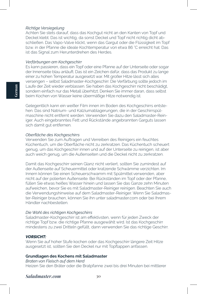#### *Richtige Versiegelung*

Achten Sie stets darauf, dass das Kochgut nicht an den Kanten von Topf und Deckel klebt. Das ist wichtig, da sonst Deckel und Topf nicht richtig dicht abschließen. Das Vapo-Valve klickt, wenn das Gargut oder die Flüssigkeit im Topf bzw. in der Pfanne die ideale Kochtemperatur von etwa 86 °C erreicht hat. Das ist das Signal zum Herunterdrehen des Herdes.

#### *Verfärbungen am Kochgeschirr*

Es kann passieren, dass ein Topf oder eine Pfanne auf der Unterseite oder sogar der Innenseite blau anläuft. Das ist ein Zeichen dafür, dass das Produkt zu lange einer zu hohen Temperatur ausgesetzt war. Mit großer Hitze lässt sich alles versengen – selbst Saladmaster-Kochgeschirr. Die Verfärbung sollte jedoch im Laufe der Zeit wieder verblassen. Sie haben das Kochgeschirr nicht beschädigt, sondern einfach nur das Metall überhitzt. Denken Sie immer daran, dass selbst beim Kochen von Wasser keine übermäßige Hitze notwendig ist.

Gelegentlich kann ein weißer Film innen im Boden des Kochgeschirrs entstehen. Das sind Natrium- und Kalziumablagerungen, die in der Geschirrspülmaschine nicht entfernt werden. Verwenden Sie dazu den Saladmaster-Reiniger. Auch eingebranntes Fett und Rückstände angebrannten Garguts lassen sich damit gut entfernen.

#### *Oberfläche des Kochgeschirrs*

Verwenden Sie zum Auftragen und Verreiben des Reinigers ein feuchtes Küchentuch, um die Oberfläche nicht zu zerkratzen. Das Küchentuch scheuert genug, um das Kochgeschirr innen und auf der Unterseite zu reinigen, ist aber auch weich genug, um die Außenseiten und die Deckel nicht zu zerkratzen.

Damit das Kochgeschirr seinen Glanz nicht verliert, sollten Sie zumindest auf der Außenseite auf Scheuermittel oder kratzende Schwämme verzichten. Im Innern können Sie einen Scheuerschwamm mit Spülmittel verwenden, aber nicht auf der polierten Außenseite. Bei Rückständen im Topf oder der Pfanne, füllen Sie etwas heißes Wasser hinein und lassen Sie das Ganze zehn Minuten aufweichen, bevor Sie es mit Saladmaster-Reiniger reinigen. Beachten Sie auch die Verwendungshinweise auf dem Saladmaster-Reiniger. Wenn Sie Saladmaster-Reiniger brauchen, können Sie ihn unter saladmaster.com oder bei Ihrem Händler nachbestellen.

#### *Die Wahl des richtigen Kochgeschirrs*

Saladmaster-Kochgeschirr ist am effektivsten, wenn für jeden Zweck der richtige Topf bzw. die richtige Pfanne ausgewählt wird. Ist das Kochgeschirr mindestens zu zwei Dritteln gefüllt, dann verwenden Sie das richtige Geschirr.

#### *VORSICHT:*

Wenn Sie auf hoher Stufe kochen oder das Kochgeschirr längere Zeit Hitze ausgesetzt ist, sollten Sie den Deckel nur mit Topflappen anfassen.

#### **Grundlagen des Kochens mit Saladmaster**

*Braten von Fleisch auf dem Herd* Heizen Sie den Bräter oder die Bratpfanne zwei bis drei Minuten bei mittlerer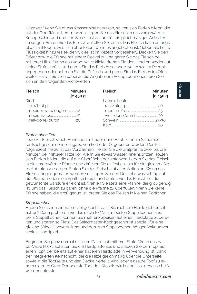Hitze vor. Wenn Sie etwas Wasser hineinspritzen, sollten sich Perlen bilden, die auf der Oberfläche herumtanzen. Legen Sie das Fleisch in das vorgewärmte Kochgeschirr und drücken Sie es fest an, um für ein gleichmäßiges Anbraten zu sorgen. Braten Sie das Fleisch auf allen Seiten an. Das Fleisch kann anfangs etwas ankleben, wird sich aber lösen, wenn es angebraten ist. Geben Sie keine Flüssigkeit hinzu (es sei denn, dies ist im Rezept vorgesehen). Decken Sie den Bräter bzw. die Pfanne mit einem Deckel zu und garen Sie das Fleisch bei mittlerer Hitze. Wenn das Vapo-Valve klickt, drehen Sie den Herd entweder auf kleine Stufe zurück und garen Sie das Fleisch so lange weiter wie im Rezept angegeben oder nehmen Sie die Griffe ab und garen Sie das Fleisch im Ofen weiter. Halten Sie sich dabei an die Angaben im Rezept oder orientieren Sie sich an den folgenden Richtwerten.

| <b>Fleisch</b>         | <b>Minuten</b><br>je 450 g | <b>Fleisch</b> | Minuten<br>je 450 g |
|------------------------|----------------------------|----------------|---------------------|
| Rind                   |                            | Lamm, Keule    |                     |
|                        |                            |                |                     |
| medium-rare/englisch12 |                            |                |                     |
|                        |                            |                |                     |
| well-done/durch        | 20                         |                |                     |
|                        |                            |                |                     |

#### *Braten ohne Fett*

Jede Art Fleisch (auch Hühnchen mit oder ohne Haut) kann im Saladmaster-Kochgeschirr ohne Zugabe von Fett oder Öl gebraten werden. Das Erfolgsrezept hierzu ist das Vorwärmen. Heizen Sie die Bratpfanne zwei bis drei Minuten bei mittlerer Hitze vor. Wenn Sie etwas Wasser hineinspritzen, sollten sich Perlen bilden, die auf der Oberfläche herumtanzen. Legen Sie das Fleisch in die vorgewärmte Pfanne und drücken Sie es fest an, um für ein gleichmäßiges Anbraten zu sorgen. Braten Sie das Fleisch auf allen Seiten an. Wenn das Fleisch länger gebraten werden soll, legen Sie den Deckel etwas schräg auf die Pfanne, sodass ein Spalt frei bleibt, und braten Sie das Fleisch bis die gewünschte Garstufe erreicht ist. Wählen Sie stets eine Pfanne, die groß genug ist, um das Fleisch zu garen, ohne die Pfanne zu überfüllen. Wenn Sie keine Pfanne haben, die groß genug ist, braten Sie das Fleisch in kleinen Portionen.

#### *Stapelkochen*

Haben Sie schon einmal so viel gekocht, dass Sie mehrere Herde gebraucht hätten? Dann probieren Sie das nächste Mal am besten Stapelkochen aus. Beim Stapelkochen können Sie mehrere Speisen auf einer Herdplatte zubereiten und sparen so Platz. Das Saladmaster-Kochgeschirr ist speziell für eine gleichmäßige Hitzeverteilung und den zum Stapelkochen nötigen Vakuumverschluss konzipiert.

Beginnen Sie ganz normal mit dem Garen auf mittlerer Stufe. Wenn das Vapo-Valve klickt, schalten Sie die Herdplatte aus und stapeln Sie den Topf auf einen Topf, der bereits auf einer anderen Herdplatte in Verwendung ist. Dank der integrierten Kernschicht, die die Hitze gleichmäßig über die Unterseite sowie in die Topfseite und den Deckel verteilt, wird jeder einzelne Topf zu einem eigenen Ofen. Der oberste Topf des Stapels wird dabei fast genauso heiß wie der unterste.

**German**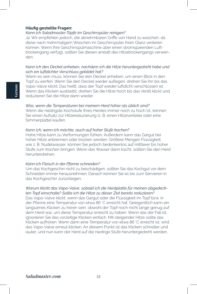## **Häufig gestellte Fragen:**

#### *Kann ich Saladmaster-Töpfe im Geschirrspüler reinigen?*

Ja. Wir empfehlen jedoch, die abnehmbaren Griffe von Hand zu waschen, da diese nach mehrmaligem Waschen im Geschirrspüler ihren Glanz verlieren können. Wenn Ihre Geschirrspülmaschine über einen stromsparenden Lufttrockengang verfügt, sollten Sie diesen anstatt des Hitzetrockengangs verwenden.

## *Kann ich den Deckel anheben, nachdem ich die Hitze heruntergedreht habe und sich ein luftdichter Verschluss gebildet hat?*

Wenn es sein muss, können Sie den Deckel anheben, um einen Blick in den Topf zu werfen. Wenn Sie den Deckel wieder auflegen, drehen Sie ihn bis das Vapo-Valve klickt. Das heißt, dass der Topf wieder luftdicht verschlossen ist. Wenn das Klicken ausbleibt, drehen Sie die Hitze hoch bis das Ventil klickt und reduzieren Sie die Hitze dann wieder.

*Was, wenn die Temperaturen bei meinem Herd höher als üblich sind?* Wenn die niedrigste Kochstufe Ihres Herdes immer noch zu hoch ist, können Sie einen Aufsatz zur Hitzereduzierung (z. B. einen Hitzeverteiler oder eine Simmerplatte) kaufen.

#### *Kann ich, wenn ich möchte, auch auf hoher Stufe kochen?*

Hohe Hitze kann zu Verformungen führen. Außerdem kann das Gargut bei hoher Hitze anbrennen oder trocken werden. Größere Mengen Flüssigkeit, wie z. B. Nudelwasser, können Sie jedoch bedenkenlos auf mittlerer bis hoher Stufe zum Kochen bringen. Wenn das Wasser dann kocht, sollten Sie den Herd herunterdrehen.

#### *Kann ich Fleisch in der Pfanne schneiden?*

Um das Kochgeschirr nicht zu beschädigen, sollten Sie das Kochgut vor dem Schneiden immer herausnehmen. Danach können Sie es bis zum Servieren in das Kochgeschirr zurücklegen.

#### *Warum klickt das Vapo-Valve, sobald ich die Herdplatte für meinen abgedeckten Topf einschalte? Sollte ich die Hitze zu dieser Zeit bereits reduzieren?*

Das Vapo-Valve klickt, wenn das Gargut oder die Flüssigkeit im Topf bzw. in der Pfanne eine Temperatur von etwa 86 °C erreicht hat. Gelegentlich kann ein langsames Klicken zu hören sein, obwohl der Topf noch nicht lange genug auf dem Herd war, um diese Temperatur erreicht zu haben. Wenn das der Fall ist, ignorieren Sie das vorzeitige Klicken einfach. Mit steigender Hitze sollte das Klicken aufhören. Wenn dann eine Temperatur von etwa 86 °C erreicht ist, wird das Vapo-Valve erneut klicken. An diesem Punkt ist das Klicken schneller und lauter, und nun kann der Herd auf die niedrige Stufe heruntergedreht werden.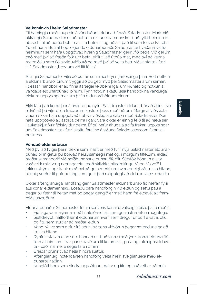#### **Velkomin/n í heim Saladmaster**

Til hamingju með kaup þín á vönduðum eldunarbúnaði Saladmaster. Markmið okkar hjá Saladmaster er að notfæra okkur eldamennsku til að fylla heiminn innblæstri til að borða betri mat, lifa betra lífi og öðlast það líf sem fólk óskar eftir. Þú ert núna hluti af hópi eigenda eldunarbúnaðs Saladmaster hvaðanæva frá heiminum sem hafa uppgötvað hvernig Saladmaster gerir lífið betra. Við gerum það með því að fræða fólk um betri leiðir til að útbúa mat, með því að kenna matreiðslu sem fjölskylduviðburð og með því að veita betri viðskiptatækifæri. Hjá Saladmaster "breytum við lífi fólks".

Allir hjá Saladmaster vilja að þú fáir sem mest fyrir fjárfestingu þína. Rétt notkun á eldunarbúnaði þínum tryggir að þú getir nýtt þér Saladmaster árum saman. Í þessari handbók er að finna ítarlegar leiðbeiningar um viðhald og notkun á vandaða eldunarbúnaði þínum. Fyrir notkun skaltu lesa handbókina vandlega, einkum upplýsingarnar um þrif á eldunaráhöldum þínum.

Ekki láta það koma þér á óvart ef þú nýtur Saladmaster eldunarbúnaðs þíns svo mikið að þú viljir deila frábærum kostum þess með öðrum. Margir af viðskiptavinum okkar hafa uppgötvað frábær viðskiptatækifæri með Saladmaster. Þeir hafa uppgötvað að ástríða þeirra í garð vara okkar er einnig leið til að næla sér í aukatekjur fyrir fjölskyldur þeirra. Ef þú hefur áhuga á að fá frekari upplýsingar um Saladmaster-tækifæri skaltu fara inn á síðuna Saladmaster.com/start-abusiness.

# **Vönduð eldunarlausn**

Með því að fylgja þeirri tækni sem mælt er með fyrir nýja Saladmaster eldunarbúnað þinn getur þú borðað heilsusamlegri mat og, í mörgum tilfellum, eldað hraðar samanborið við hefðbundnar eldunaraðferðir. Sérstök hönnun okkar varðveitir mikilvæg næringarefni með skilvirkri hitadreifingu. Vapo-Valve™ í lokinu útrýmir ágiskanir með því að gefa merki um hvenær eigi að lækka hitann, þannig verður til gufuþétting sem gerir það mögulegt að elda án vatns eða fitu.

Okkar aftengjanlega handfang gerir Saladmaster eldunarbúnað fjölhæfan fyrir alls konar eldamennsku. Losaðu bara handföngin við eldun og settu þau á þegar þú færir til heitan mat og þegar gengið er með hann frá eldavél að framreiðslusvæðum.

Eldunarbúnaður Saladmaster felur í sér ýmis konar úrvalseiginleika, þar á meðal:

- Fjöllaga varmakjarna með hitaleiðandi áli sem gerir jafna hitun mögulega.
- Sjálfdreypt, hálflofttæmt eldunarumhverfi sem dregur úr þörf á vatni, olíu og fitu sem stuðlar að hraðari eldun.
- Vapo-Valve sem gefur frá sér hljóðræna viðvörun þegar notendur eiga að lækka hitann.
- Ryðfrítt stál að utan sem hannað er til að vinna með ýmis konar eldunarflötum á heimilum, frá spaneldavélum til keramíks-, gas- og rafmagnseldavéla - það má meira segja fara í ofninn.
- Breiðar brúnir til að hella hindra slettur.
- Aftengjanleg, notendavæn handföng veita meiri sveigjanleika með eldunarbúnaðinn.
- Kringlótt horn sem hindra uppsöfnun matar og fitu og auðvelt er að þrífa.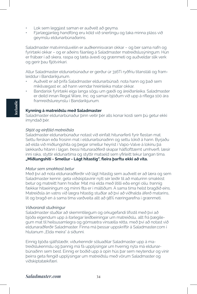- Lok sem leggjast saman er auðvelt að geyma.
- Fjarlægjanleg handföng eru köld við snertingu og taka minna pláss við geymslu eldunarbúnaðarins.

Saladmaster matvinnsluvélin er auðkennisvaran okkar – og ber sama nafn og fyrirtæki okkar – og er aðeins fáanleg á Saladmaster matreiðslusýningum. Hún er frábær í að skera, raspa og tæta ávexti og grænmeti og auðveldar slík verk og gerir þau fljótvirkari.

Allur Saladmaster eldunarbúnaður er gerður úr 316Ti ryðfríu títanstáli og framleiddur í Bandaríkjunum.

- Auðvelt er að þrífa Saladmaster eldunarbúnað, nota hann og það sem mikilvægast er, að hann verndar hreinleika matar okkar.
- Bandarísk fyrirtæki eiga langa sögu um gæði og áreiðanleika. Saladmaster er deild innan Regal Ware, Inc. og saman bjóðum við upp á ríflega 100 ára framreiðslureynslu í Bandaríkjunum.

#### **Kynning á matreiðslu með Saladmaster**

Saladmaster eldunarbúnaður þinn veitir þér alls konar kosti sem þú getur ekki ímyndað þér.

#### *Skjót og einföld matreiðsla*

Saladmaster eldunarbúnaður notast við einfalt hitunarferli fyrir flestan mat. Settu ferskan eða frosinn mat í eldunarbúnaðinn og settu lokið á hann. Byrjaðu að elda við miðlungshita og þegar smellur heyrist í Vapo-Valve á lokinu þá lækkarðu hitann í lágan. Þessi hitunaraðferð skapar hálflofttæmt umhverfi, læsir inni raka, styttir eldunartíma og styttir matseld sem yfirleitt tekur langan tíma. **"Miðlungshiti - Smellur - Lágt hitastig", fleira þarftu ekki að vita.**

#### *Matur sem smakkast betur*

Með því að nota eldunaraðferðir við lágt hitastig sem auðvelt er að læra og sem Saladmaster kennir, geta viðskiptavinir nýtt sér leiðir til að maturinn smakkist betur og matreitt hann hraðar. Mat má elda með lítilli eða engri olíu. Þannig fækkar hitaeiningum og minni fita er í máltíðum. Á sama tíma helst bragðið eins. Matreiðsla án vatns við lægra hitastig stuðlar að því að viðhalda áferð matarins, lit og bragð en á sama tíma varðveita allt að 98% næringarefna í grænmeti.

#### *Viðvarandi stuðningur*

Saladmaster stuðlar að skemmtilegum og orkugefandi lífsstíl með því að bjóða eigendum upp á ítarlegar leiðbeiningar um matreiðslu, allt frá þægilegum mat til heilsusamlegra og gómsætra vinsælla rétta, með því að notast við eldunaraðferðir Saladmaster. Finna má þessar uppskriftir á Saladmaster.com í hlutanum "Elda meira" á síðunni.

Einnig bjóða sjálfstæðir, viðurkenndir söluaðilar Saladmaster upp á matreiðslukennslu og þannig má fá upplýsingar um hvernig nýta má eldunarbúnaðinn sem best. Einnig er boðið upp á opin hús þar sem neytendur og vinir þeirra geta fengið upplýsingar um matreiðslu með vörum Saladmaster og viðskiptatækifæri.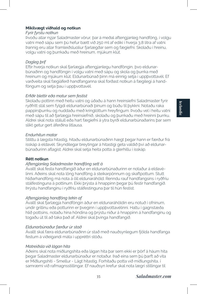## **Mikilvægt viðhald og notkun**

## *Fyrir fyrstu notkun*

Þvoðu allar nýjar Saladmaster vörur, þar á meðal aftengjanleg handföng, í volgu vatni með sápu sem þú hefur bætt við 250 ml af ediki í hverja 3,8 lítra af vatni. Þannig eru allar framleiðsluolíur fjarlægðar sem og fægiefni. Skolaðu í hreinu, volgu vatni og þurrkaðu með hreinum, mjúkum klút.

## *Dagleg þrif*

Eftir hverja notkun skal fjarlægja aftengjanlegu handföngin, þvo eldunarbúnaðinn og handföngin í volgu vatni með sápu og skola og þurrka með hreinum og mjúkum klút. Eldunarbúnað þinn má einnig setja í uppþvottavél. Ef varðveita skal fægiáferð handfanganna skal forðast notkun á fægilegi á handföngum og setja þau í uppþvottavél.

## *Erfiðir blettir eða matur sem festist*

Skolaðu pottinn með heitu vatni og úðaðu á hann hreinsiefni Saladmaster fyrir ryðfrítt stál sem fylgdi eldunarbúnaði þínum og búðu til þykkni. Notaðu raka pappírsþurrku og nuddaðu með kringlóttum hreyfingum. Þvoðu vel í heitu vatni með sápu til að fjarlægja hreinsiefnið, skolaðu og þurrkaðu með hreinni þurrku. Aldrei skal nota stálull eða hart fægiefni á ytra byrði eldunarbúnaðarins þar sem slíkt getur gert áferðina litlausa.

## *Endurhitun matar*

Stilltu á lægsta hitastig, hitaðu eldunarbúnaðinn hægt þegar hann er færður frá ísskáp á eldavél. Skyndilegar breytingar á hitastigi geta valdið því að eldunarbúnaðurinn aflagist. Aldrei skal setja heita potta á glerhillu í ísskáp.

## **Rétt notkun**

## *Aftengjanleg Saladmaster handföng sett á*

Ávallt skal festa handfangið áður en eldunarbúnaðurinn er notaður á eldavélinni. Aðeins skal nota löng handföng á steikarpönnum og skaftpottum. Stutt hliðarhandföng má nota á öll eldunaráhöld. Renndu rauf handfangsins í ryðfríu stálfestinguna á pottinum. Ekki þrýsta á hnappinn þegar þú festir handfangið. Þrýstu handfanginu í ryðfríu stálfestinguna þar til hún festist.

## *Aftengjanleg handföng tekin af*

Ávallt skal fjarlægja handföngin áður en eldunaráhöldin eru notuð í ofninum, undir grillinu eða potturinn er þveginn í uppþvottavélinni. Haltu í gagnstæða hlið pottsins, notaðu hina höndina og þrýstu niður á hnappinn á handfanginu og togaðu út til að taka það af. Aldrei skal þvinga handfangið.

## *Eldunarbúnaður færður úr stað*

Ávallt skal færa eldunarbúnaðinn úr stað með nauðsynlegum fjölda handfanga festum á viðeigandi máta í uppréttri stöðu.

## *Matreiðsla við lágan hita*

Aðeins skal nota miðlungshita eða lágan hita þar sem ekki er þörf á háum hita þegar Saladmaster eldunarbúnaður er notaður. Það eina sem þú þarft að vita er Miðlungshiti - Smellur - Lágt hitastig. Forhitaðu potta við miðlungshita, í samræmi við rafmagnsstillingar. Ef nauðsyn krefur skal nota lægri stillingar til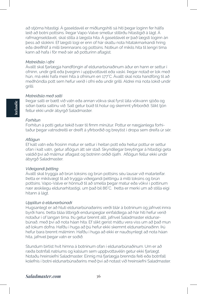að stjórna hitastigi. Á gaseldavél er miðlungshiti sá hiti þegar loginn fer hálfa leið að botni pottsins. Þegar Vapo-Valve smellur stillirðu hitastigið á lágt. Á rafmagnseldavél, skal stilla á lægsta hita. Á gaseldavél er það lægsti loginn án þess að slokkni. Ef lægsti logi er enn of hár skaltu nota hitatakmarkandi hring eða dreifihlíf á milli brennarans og pottsins. Notkun of mikils hita til lengri tíma kann að hafa í för með sér að potturinn aflagist.

#### *Matreiðsla í ofni*

Ávallt skal fjarlægja handföngin af eldunarbúnaðinum áður en hann er settur í ofninn, undir grill eða þveginn í uppþvottavél eða vaski. Þegar notað er lok með hún, má ekki hafa meiri hita á ofninum en 177°C. Ávallt skal nota handföng til að meðhöndla pott sem hefur verið í ofni eða undir grilli. Aldrei má nota lokið undir grilli.

## *Matreiðsla með salti*

Þegar salti er bætt við vatn eða annan vökva skal fyrst láta vökvann sjóða og síðan bæta saltinu við. Salt getur búið til holur og skemmt yfirborðið. Slíkt tjón fellur ekki undir ábyrgð Saladmaster.

## *Forhitun*

Forhitun á potti getur tekið tvær til fimm mínútur. Pottur er nægjanlega forhitaður þegar vatnsdreitli er dreift á yfirborðið og breytist í dropa sem dreifa úr sér.

#### *Aflögun*

Ef kalt vatn eða frosinn matur er settur í heitan pott eða heitur pottur er settur ofan í kalt vatn, getur aflögun átt sér stað. Skyndilegar breytingar á hitastigi geta valdið því að málmur aflagast og botninn orðið ójafn. Aflögun fellur ekki undir ábyrgð Saladmaster.

## *Viðeigandi þétting*

Ávallt skal tryggja að brún loksins og brún pottsins séu lausar við matarleifar. Þetta er mikilvægt til að tryggja viðeigandi þéttingu á milli loksins og brún pottsins. Vapo-Valve er hönnuð til að smella þegar matur eða vökvi í pottinum nær æskilegu eldunarhitastigi, um það bil 86°C. Þetta er merki um að stilla eigi hitann á lágt.

## *Upplitun á eldunarbúnaði*

Hugsanlegt er að hluti eldunarbúnaðarins verði blár á botninum og jafnvel innra byrði hans. Þetta bláa litbrigði endurspeglar einfaldlega að hár hiti hefur verið notaður í of langan tíma. Þú getur brennt allt, jafnvel Saladmaster eldunarbúnað, með því að nota háan hita. Ef slíkt gerist máttu vera viss um að það mun að lokum dofna. Hafðu í huga að þú hefur ekki skemmt eldunarbúnaðinn. Þú hefur bara brennt málminn. Hafðu í huga að ekki er nauðsynlegt að nota háan hita, jafnvel þegar vatn er soðið.

Stundum birtist hvít himna á botninum ofan í eldunarbúnaðinum. Um er að ræða botnfall natríums og kalsíum sem uppþvottavélin getur ekki fjarlægt. Notaðu hreinsiefni Saladmaster. Einnig má fjarlægja brennda feiti eða botnfall kolefnis í botni eldunarbúnaðarins með því að notast við hreinsiefni Saladmaster.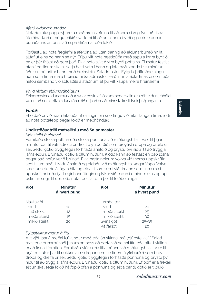## *Áferð eldunarbúnaðar*

Notaðu raka pappírsþurrku með hreinsiefninu til að koma í veg fyrir að rispa áferðina. Það er nógu mikið svarfefni til að þrífa innra byrði og botn eldunarbúnaðarins án þess að rispa hliðarnar eða lokið.

Forðastu að nota fægiefni á áferðina að utan þannig að eldunarbúnaðinn líti alltaf út eins og hann sé nýr. Ef þú vilt nota ræstipúða með sápu á innra byrðið þá er þér frjálst að gera það. Ekki nota slíkt á ytra byrði pottsins. Ef matur festist ofan í pottinum skaltu setja heitt vatn í hann og láta það standa í 10 mínútur áður en þú þrífur hann með hreinsiefni Saladmaster. Fylgdu þrifleiðbeiningunum sem finna má á hreinsiefni Saladmaster. Farðu inn á Saladmaster.com eða hafðu samband við söluaðila á staðnum ef þú vilt kaupa meira hreinsiefni.

## *Val á réttum eldunaráhöldum*

Saladmaster eldunarbúnaður skilar bestu afköstum þegar valin eru rétt eldunaráhöld. Þú ert að nota rétta eldunaráhaldið ef það er að minnsta kosti tveir þriðjungar fullt.

## *Varúð:*

Ef eldað er við háan hita eða ef einingin er í snertingu við hita í langan tíma, ætti að nota pottalepp þegar lokið er meðhöndlað.

## **Undirstöðuatriði matreiðslu með Saladmaster**

#### *Kjöt steikt á eldavél*

Forhitaðu steikarpottinn eða steikarpönnuna við miðlungshita í tvær til þrjár mínútur þar til vatnsdreitli er dreift á yfirborðið sem breytist í dropa og dreifa úr sér. Settu kjötið tryggilega í forhitaða áhaldið og þrýstu því niður til að tryggja jafna eldun. Brúnaðu kjötið á öllum hliðum. Kjötið kann að festast en það losnar þegar það hefur verið brúnað. Ekki bæta neinum vökva við (nema uppskriftin segi til um það). Hyldu áhaldið og eldaðu við miðlungshita. Þegar Vapo-Valve smellur seturðu á lágan hita og eldar í samræmi við tímann sem finna má í uppskriftinni eða fjarlægir handföngin og lýkur við eldun í ofninum eins og uppskriftin segir til um, eða notar þessa töflu þér til leiðbeiningar.

| <b>Kjöt</b>      | Mínútur<br>á hvert pund | Kjöt         | Mínútur<br>á hvert pund |
|------------------|-------------------------|--------------|-------------------------|
| <b>Nautakjöt</b> |                         | Lambalæri    |                         |
| rautt            | 10                      | rautt        | 20                      |
| lítið steikt     | 12                      | meðalsteikt  | 25                      |
| meðalsteikt      | 15                      | mikið steikt | 30                      |
| mikið steikt     | 20                      | Svínakjöt    | $25 - 35$               |
|                  |                         | Kálfakjöt    | 20                      |

## *Djúpsteiktur matur á fitu*

Allt kjöt, þar á meðal kjúklingur með eða án skinns, má "djúpsteikja" í Saladmaster eldunarbúnaði þínum án þess að bæta við neinni fitu eða olíu. Lykilinn er að finna í forhitun. Forhitaðu stóra eða litla pönnu við miðlungshita í tvær til þrjár mínútur þar til nokkrir vatnsdropar sem settir eru á yfirborðið sem breytist í dropa og dreifa úr sér. Settu kjötið tryggilega í forhitaða pönnuna og þrýstu því niður til að tryggja jafna eldun. Brúnaðu kjötið á öllum hliðum. Ef þörf er á frekari eldun skal setja lokið hálfopið ofan á pönnuna og elda þar til kjötið er tilbúið.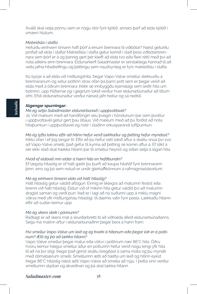Ávallt skal velja pönnu sem er nógu stór fyrir kjötið, annars þarf að elda kjötið í smærri hlutum.

## *Matreiðsla í stafla*

Hefurðu einhvern tímann haft þörf á einum brennara til viðbótar? Næst geturðu prófað að elda í stafla! Matreiðsla í stafla getur komið í stað þess viðbótarbrennara sem þörf er á og þannig gert þér kleift að elda tvo eða fleiri rétti með því að nota aðeins einn brennara. Eldunarkerfi Saladmaster er sérstaklega hannað til að veita jafna hitadreifingu og þéttingu sem nauðsynleg er fyrir matreiðslu í stafla.

Þú byrjar á að elda við miðlungshita. Þegar Vapo-Valve smellur slekkurðu á brennaranum og setur pottinn strax ofan þá þann pott sem er þegar verið að elda með á öðrum brennara. Þökk sé innbyggðu kjarnalagi sem leiðir hita um botninn, upp hliðarnar og í gegnum lokið verður hver eldunarbúnaður að litlum ofni. Efsti eldunarbúnaður verður nánast jafn heitur og sá neðsti.

# **Algengar spurningar:**

# *Má ég setja Saladmaster eldunarbúnað í uppþvottavél?*

Já. Við mælum með að handföngin séu þvegin í höndunum þar sem þvottur í uppþvottavél getur gert þau litlaus. Við mælum með að þú forðist að nota hitaþurrkun í uppþvottavél og notir í staðinn orkusparandi loftþurrkun.

*Má ég lyfta lokinu eftir að hitinn hefur verið lækkaður og þétting hefur myndast?* Kíktu ofan í ef þig langar til. Eftir að þú hefur sett lokið aftur á skaltu snúa því svo að Vapo-Valve smelli, það gefur til kynna að þétting sé komin aftur á. Ef slíkt á sér ekki stað skal hækka hitann þar til smellur heyrist og síðan setja á lágan hita.

#### *Hvað ef eldavél mín eldar á hærri hita en hefðbundin?*

Ef lægsta hitastig er of hátt gætir þú þurft að kaupa hitahlíf fyrir brennarann þinn, eins og þá sem notuð er undir glerkaffikönnum á rafmagnseldavélum.

## *Má ég einhvern tímann elda við hátt hitastig?*

Hátt hitastig getur valdið aflögun. Einnig er líklegra að maturinn festist eða brenni við hátt hitastig. Eldun við of mikinn hita getur valdið því að maturinn dragist saman og verði þurr. Það er í lagi að ná suðunni upp á miklu magni vökva með yfir miðlungsháu hitastigi, til dæmis vatn fyrir pasta. Lækkaðu hitann eftir að suðan kemur upp.

## *Má ég skera steik í pönnunni?*

Ráðlagt er að skera mat á skurðarbretti til að viðhalda áferð eldunarbúnaðarins. Setja má matinn aftur í eldunarbúnaðinn þegar bera á hann fram.

## *Hví smellur Vapo-Valve um leið og ég kveiki á hitanum eða þegar lok er á pottinum? Ætti ég þá að lækka hitann?*

Vapo-Valve smellur þegar matur eða vökvi í pottinum nær 86°C hita. Öðru hvoru kemur hægur smellur áður en potturinn hefur verið nógu lengi yfir hita til að ná því stigi. Þegar það gerist skaltu bregðast á sama máta og þú myndir með ótímabærum smelli. Smellurinn ætti að hætta um leið og hitinn eykst. Þegar 86°C hitastig næst ætti Vapo-Valve að smella að nýju. Í þetta sinn verður smellurinn skjótari og ákveðnari og þá skal lækka hitann.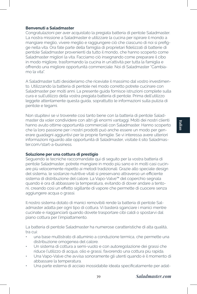## **Benvenuti a Saladmaster**

Congratulazioni per aver acquistato la pregiata batteria di pentole Saladmaster. La nostra missione a Saladmaster è utilizzare la cucina per ispirare il mondo a mangiare meglio, vivere meglio e raggiungere ciò che ciascuno di noi si prefigge nella vita. Ora fate parte della famiglia di proprietari fidelizzati di batterie di pentole Saladmaster provenienti da tutto il mondo, che hanno scoperto come Saladmaster migliori la vita. Facciamo ciò insegnando come preparare il cibo in modo migliore, trasformando la cucina in un'attività per tutta la famiglia e offrendo una migliore opportunità commerciale. Noi di Saladmaster "Cambiamo la vita".

A Saladmaster tutti desideriamo che riceviate il massimo dal vostro investimento. Utilizzando la batteria di pentole nel modo corretto potrete cucinare con Saladmaster per molti anni. La presente guida fornisce istruzioni complete sulla cura e sull'utilizzo della vostra pregiata batteria di pentole. Prima dell'utilizzo leggete attentamente questa guida, soprattutto le informazioni sulla pulizia di pentole e tegami.

Non stupitevi se vi troverete così tanto bene con la batteria di pentole Saladmaster da voler condividere con altri gli enormi vantaggi. Molti dei nostri clienti hanno avuto ottime opportunità commerciali con Saladmaster. Hanno scoperto che la loro passione per i nostri prodotti può anche essere un modo per generare guadagni aggiuntivi per le proprie famiglie. Se vi interessa avere ulteriori informazioni riguardo alle opportunità di Saladmaster, visitate il sito Saladmaster.com/start-a-business.

## **Soluzione per una cottura di prestigio**

Seguendo le tecniche raccomandate qui di seguito per la vostra batteria di pentole Saladmaster, potrete mangiare in modo più sano e in molti casi cucinare più velocemente rispetto ai metodi tradizionali. Grazie allo speciale design del sistema, le sostanze nutritive vitali si preservano attraverso un efficiente sistema di distribuzione del calore. La Vapo-Valve™ del coperchio segnala quando è ora di abbassare la temperatura, evitando di dover andare a tentoni, creando così un effetto sigillante di vapore che permette di cuocere senza aggiungere acqua o grassi.

Il nostro sistema dotato di manici removibili rende la batteria di pentole Saladmaster adatta per ogni tipo di cottura. Vi basterà sganciare i manici mentre cucinate e riagganciarli quando dovete trasportare cibi caldi o spostarvi dal piano cottura per l'impiattamento.

La batteria di pentole Saladmaster ha numerose caratteristiche di alta qualità, tra cui:

- una base multistrato di alluminio a conduzione termica, che permette una distribuzione omogenea del calore.
- Un sistema di cottura a semi-vuoto e con autoregolazione dei grassi che riduce l'utilizzo di acqua, olio e grassi, favorendo una cottura più rapida.
- Una Vapo-Valve che avvisa sonoramente gli utenti quando è il momento di abbassare la temperatura.
- Una parte esterna di acciaio inossidabile ideata specificatamente per adat-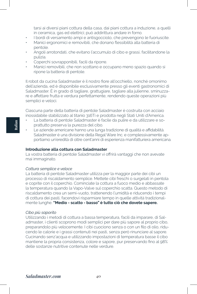tarsi ai diversi piani cottura della casa, dai piani cottura a induzione, a quelli in ceramica, gas ed elettrici; può addirittura andare in forno.

- I bordi di versamento ampi e antisgocciolo, che prevengono le fuoriuscite.
- Manici ergonomici e removibili, che donano flessibilità alla batteria di pentole.
- Angoli arrotondati, che evitano l'accumulo di cibo e grassi, facilitandone la pulizia.
- Coperchi sovrapponibili, facili da riporre.
- Manici removibili, che non scottano e occupano meno spazio quando si ripone la batteria di pentole.

Il robot da cucina Saladmaster è il nostro fiore all'occhiello, nonché omonimo dell'azienda, ed è disponibile esclusivamente presso gli eventi gastronomici di Saladmaster. È in grado di tagliare, grattugiare, tagliare alla julienne, sminuzzare e affettare frutta e verdura perfettamente, rendendo queste operazioni più semplici e veloci.

Ciascuna parte della batteria di pentole Saladmaster è costruita con acciaio inossidabile stabilizzato al titanio 316Ti e prodotta negli Stati Uniti d'America.

- La batteria di pentole Saladmaster è facile da pulire e da utilizzare e soprattutto preserva la purezza del cibo.
- Le aziende americane hanno una lunga tradizione di qualità e affidabilità. Saladmaster è una divisione della Regal Ware Inc. e complessivamente apportiamo un'eredità di oltre cent'anni di esperienza manifatturiera americana.

## **Introduzione alla cottura con Saladmaster**

La vostra batteria di pentole Saladmaster vi offrirà vantaggi che non avevate mai immaginato.

## *Cottura semplice e veloce*

La batteria di pentole Saladmaster utilizza per la maggior parte dei cibi un processo di riscaldamento semplice. Mettete cibi freschi o surgelati in pentola e coprite con il coperchio. Cominciate la cottura a fuoco medio e abbassate la temperatura quando la Vapo-Valve sul coperchio scatta. Questo metodo di riscaldamento crea un semi-vuoto, trattenendo l'umidità e riducendo i tempi di cottura dei pasti, facendovi risparmiare tempo in quelle attività tradizionalmente lunghe. **"Medio - scatto - basso" è tutto ciò che dovete sapere.**

#### *Cibo più saporito*

Utilizzando i metodi di cottura a bassa temperatura, facili da imparare, di Saladmaster, i clienti scoprono modi semplici per dare più sapore al proprio cibo, preparandolo più velocemente. I cibi cuociono senza o con un filo di olio, riducendo le calorie e i grassi contenuti nei pasti, senza però rinunciare al sapore. Cucinando senz'acqua e utilizzando impostazioni di temperatura basse il cibo mantiene la propria consistenza, colore e sapore, pur preservando fino al 98% delle sostanze nutritive contenute nelle verdure.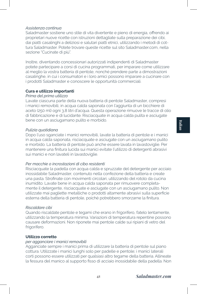## *Assistenza continua*

Saladmaster sostiene uno stile di vita divertente e pieno di energia, offrendo ai proprietari nuove ricette con istruzioni dettagliate sulla preparazione dei cibi, dai piatti casalinghi a deliziosi e salutari piatti etnici, utilizzando i metodi di cottura Saladmaster. Potete trovare queste ricette sul sito Saladmaster.com, nella sezione "Cucinate di più".

Inoltre, diventando concessionari autorizzati indipendenti di Saladmaster potete partecipare a corsi di cucina programmati, per imparare come utilizzare al meglio la vostra batteria di pentole, nonché prendere parte a dimostrazioni casalinghe, in cui i consumatori e i loro amici possono imparare a cucinare con i prodotti Saladmaster e conoscere le opportunità commerciali.

## **Cura e utilizzo importanti**

## *Prima del primo utilizzo*

Lavate ciascuna parte della nuova batteria di pentole Saladmaster, compresi i manici removibili, in acqua calda saponata con l'aggiunta di un bicchiere di aceto (250 ml) ogni 3,8 litri d'acqua. Questa operazione rimuove le tracce di olio di fabbricazione e di lucidante. Risciacquate in acqua calda pulita e asciugate bene con un asciugamano pulito e morbido.

## *Pulizia quotidiana*

Dopo l'uso sganciate i manici removibili, lavate la batteria di pentole e i manici in acqua calda saponata, risciacquate e asciugate con un asciugamano pulito e morbido. La batteria di pentole può anche essere lavata in lavastoviglie. Per mantenere una finitura lucida sui manici evitate l'utilizzo di detergenti abrasivi sui manici e non lavateli in lavastoviglie.

## *Per macchie o incrostazioni di cibo resistenti*

Risciacquate la padella con acqua calda e spruzzate del detergente per acciaio inossidabile Saladmaster, contenuto nella confezione della batteria e create una pasta. Strofinate con movimenti circolari, utilizzando del rotolo da cucina inumidito. Lavate bene in acqua calda saponata per rimuovere completamente il detergente, risciacquate e asciugate con un asciugamano pulito. Non utilizzate mai pagliette metalliche o prodotti altamente abrasivi sulla superficie esterna della batteria di pentole, poiché potrebbero smorzarne la finitura.

#### *Riscaldare cibi*

Quando riscaldate pentole e tegami che erano in frigorifero, fatelo lentamente, utilizzando la temperatura minima. Variazioni di temperatura repentine possono causare deformazioni. Non riponete mai pentole calde sui ripiani di vetro del frigorifero.

## **Utilizzo corretto**

#### *per agganciare i manici removibili*

Agganciate sempre i manici prima di utilizzare la batteria di pentole sul piano cottura. Utilizzate i manici lunghi solo per padelle e pentole; i manici laterali corti possono essere utilizzati per qualsiasi altro tegame della batteria. Allineate la fessura del manico al supporto fisso di acciaio inossidabile della padella. Non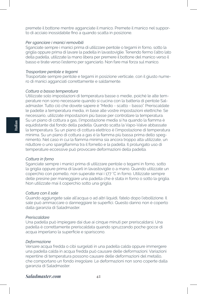premete il bottone mentre agganciate il manico. Premete il manico nel supporto di acciaio inossidabile fino a quando scatta in posizione.

## *Per sganciare i manici removibili*

Sganciate sempre i manici prima di utilizzare pentole o tegami in forno, sotto la griglia oppure prima di lavare la padella in lavastoviglie. Tenendo fermo l'altro lato della padella, utilizzate la mano libera per premere il bottone del manico verso il basso e tirate verso l'esterno per sganciarlo. Non fare mai forza sul manico.

## *Trasportare pentole e tegami*

Trasportate sempre pentole e tegami in posizione verticale, con il giusto numero di manici agganciati correttamente e saldamente.

#### *Cottura a bassa temperatura*

Utilizzate solo impostazioni di temperatura basse o medie, poiché le alte temperature non sono necessarie quando si cucina con la batteria di pentole Saladmaster. Tutto ciò che dovete sapere è "Medio - scatto - basso". Preriscaldate le padelle a temperatura media, in base alle vostre impostazioni elettriche. Se necessario, utilizzate impostazioni più basse per controllare la temperatura. Su un piano di cottura a gas, l'impostazione media si ha quando la fiamma è equidistante dal fondo della padella. Quando scatta la Vapo-Valve abbassate la temperatura. Su un piano di cottura elettrico è l'impostazione di temperatura minima. Su un piano di cottura a gas è la fiamma più bassa prima dello spegnimento. Nel caso in cui la fiamma minima sia ancora troppo alta utilizzate, un riduttore o uno spargifiamma tra il fornello e la padella. Il prolungato uso di temperature eccessive può provocare deformazioni della padella.

#### *Cottura in forno*

Sganciate sempre i manici prima di utilizzare pentole o tegami in forno, sotto la griglia oppure prima di lavarli in lavastoviglie o a mano. Quando utilizzate un coperchio con pomello, non superate mai i 177 °C in forno. Utilizzate sempre delle presine per maneggiare una padella che è stata in forno o sotto la griglia. Non utilizzate mai il coperchio sotto una griglia.

## *Cottura con il sale*

Quando aggiungete sale all'acqua o ad altri liquidi, fatelo dopo l'ebollizione. Il sale può ammaccare o danneggiare le superfici. Questo danno non è coperto dalla garanzia di Saladmaster.

## *Preriscaldare*

Una padella può impiegare dai due ai cinque minuti per preriscaldarsi. Una padella è correttamente preriscaldata quando spruzzando poche gocce di acqua imperlano la superficie e spariscono.

#### *Deformazione*

Versare acqua fredda o cibi surgelati in una padella calda oppure immergere una padella calda in acqua fredda può causare delle deformazioni. Variazioni repentine di temperatura possono causare delle deformazioni del metallo, che comportano un fondo irregolare. Le deformazioni non sono coperte dalla garanzia di Saladmaster.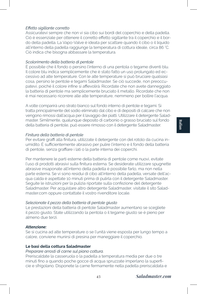## *Effetto sigillante corretto*

Assicuratevi sempre che non vi sia cibo sui bordi del coperchio e della padella. Ciò è essenziale per ottenere il corretto effetto sigillante tra il coperchio e il bordo della padella. La Vapo-Valve è ideata per scattare quando il cibo o il liquido all'interno della padella raggiunge la temperatura di cottura ideale, circa 86 °C. Ciò indica che bisogna abbassare la temperatura.

## *Scolorimento della batteria di pentole*

È possibile che il fondo o persino l'interno di una pentola o tegame diventi blu. Il colore blu indica semplicemente che è stato fatto un uso prolungato ed eccessivo ad alte temperature. Con le alte temperature si può bruciare qualsiasi cosa, persino le pentole e tegami Saladmaster. Se ciò succede, non preoccupatevi, poiché il colore infine si affievolirà. Ricordate che non avete danneggiato la batteria di pentole ma semplicemente bruciato il metallo. Ricordate che non è mai necessario ricorrere alle alte temperature, nemmeno per bollire l'acqua.

A volte comparirà uno strato bianco sul fondo interno di pentole e tegami. Si tratta principalmente del sodio eliminato dal cibo e di depositi di calcare che non vengono rimossi dall'acqua per il lavaggio dei piatti. Utilizzare il detergente Saladmaster. Similmente, qualunque deposito di carbonio o grasso bruciato sul fondo della batteria di pentole, può essere rimosso con il detergente Saladmaster.

## *Finitura della batteria di pentole*

Per evitare graffi alla finitura, utilizzate il detergente con del rotolo da cucina inumidito. È sufficientemente abrasivo per pulire l'interno e il fondo della batteria di pentole, senza graffiare i lati o la parte interna dei coperchi.

Per mantenere le parti esterne della batteria di pentole come nuovi, evitate l'uso di prodotti abrasivi sulla finitura esterna. Se desiderate utilizzare spugnette abrasive insaponate all'interno della padella è possibile farlo, ma non nella parte esterna. Se vi sono residui di cibo all'interno della padella, versate dell'acqua calda è aspettate 10 minuti prima di pulirla con il detergente Saladmaster. Seguite le istruzioni per la pulizia riportate sulla confezione del detergente Saladmaster. Per acquistare altro detergente Saladmaster, visitate il sito Saladmaster.com oppure contattate il vostro rivenditore locale.

## *Selezionate il pezzo della batteria di pentole giusto*

Le prestazioni della batteria di pentole Saladmaster aumentano se scegliete il pezzo giusto. State utilizzando la pentola o il tegame giusto se è pieno per almeno due terzi.

#### *Attenzione:*

Se si cucina ad alte temperature o se l'unità viene esposta per lungo tempo a calore, conviene munirsi di presina per maneggiare il coperchio.

# **Le basi della cottura Saladmaster**

## *Preparare arrosti di carne sul piano cottura.*

Preriscaldate la casseruola o la padella a temperatura media per due o tre minuti fino a quando poche gocce di acqua spruzzate imperlano la superficie e sfrigolano. Disponete la carne fermamente nella padella preriscaldata e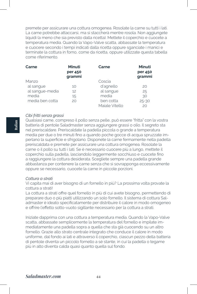premete per assicurare una cottura omogenea. Rosolate la carne su tutti i lati. La carne potrebbe attaccarsi, ma si staccherà mentre rosola. Non aggiungete liquidi (a meno che sia previsto dalla ricetta). Mettete il coperchio e cuocete a temperatura media. Quando la Vapo-Valve scatta, abbassate la temperatura e cuocere secondo i tempi indicati dalla ricetta oppure sganciate i manici e terminate la cottura in forno, come da ricetta, oppure utilizzate questa tabella come riferimento.

| Carne           | <b>Minuti</b><br>per 450<br>grammi | Carne          | <b>Minuti</b><br>per 450<br>grammi |
|-----------------|------------------------------------|----------------|------------------------------------|
| Manzo           |                                    | Coscia         |                                    |
| al sangue       | 10                                 | d'agnello      | 20                                 |
| al sangue-media | 12                                 | al sangue      | 25                                 |
| media           | 15                                 | media          | 30                                 |
| media ben cotta | 20                                 | ben cotta      | $25 - 30$                          |
|                 |                                    | Maiale Vitello | 20                                 |

#### *Cibi fritti senza grassi*

Qualsiasi carne, compreso il pollo senza pelle, può essere "fritta" con la vostra batteria di pentole Saladmaster senza aggiungere grassi o olio. Il segreto sta nel preriscaldare. Preriscaldate la padella piccola o grande a temperatura media per due o tre minuti fino a quando poche gocce di acqua spruzzate imperlano la superficie e sfrigolano. Disponete la carne fermamente nella padella preriscaldata e premete per assicurare una cottura omogenea. Rosolate la carne o il pollo su tutti i lati. Se è necessario cuocere più a lungo, mettete il coperchio sulla padella, lasciandolo leggermente socchiuso e cuocete fino a raggiungere la cottura desiderata. Scegliete sempre una padella grande abbastanza per contenere la carne senza che si sovrapponga eccessivamente oppure se necessario, cuocete la carne in piccole porzioni.

## *Cottura a strati*

Vi capita mai di aver bisogno di un fornello in più? La prossima volta provate la cottura a strati!

La cottura a strati offre quel fornello in più di cui avete bisogno, permettendo di preparare duo o più piatti utilizzando un solo fornello. Il sistema di cottura Saladmaster è ideato specificatamente per distribuire il calore in modo omogeneo e offrire l'effetto sotto-vuoto sigillante necessario per la cottura a strati.

Iniziate dapprima con una cottura a temperatura media. Quando la Vapo-Valve scatta, abbassate semplicemente la temperatura del fornello e impilate immediatamente una padella sopra a quella che sta già cuocendo su un altro fornello. Grazie allo strato centrale integrato che conduce il calore in modo uniforme, dal fondo ai lati e attraverso il coperchio, ciascun pezzo della batteria di pentole diventa un piccolo fornello a sé stante, in cui la padella o tegame più in alto diventa calda quasi quanto quella sul fondo.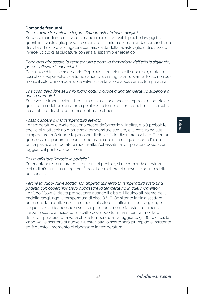# **Italian**

## **Domande frequenti:**

## *Posso lavare le pentole e tegami Saladmaster in lavastoviglie?*

Sì. Raccomandiamo di lavare a mano i manici removibili poiché lavaggi frequenti in lavastoviglie possono smorzare la finitura dei manici. Raccomandiamo di evitare il ciclo di asciugatura con aria calda della lavastoviglie e di utilizzare invece il ciclo di asciugatura con aria a risparmio energetico.

## *Dopo aver abbassato la temperatura e dopo la formazione dell'effetto sigillante, posso sollevare il coperchio?*

Date un'occhiata, se necessario. Dopo aver riposizionato il coperchio, ruotarlo così che la Vapo-Valve scatti, indicando che si è sigillata nuovamente. Se non aumenta il calore fino a quando la valvola scatta, allora abbassare la temperatura.

## *Che cosa devo fare se il mio piano cottura cuoce a una temperatura superiore a quella normale?*

Se le vostre impostazioni di cottura minima sono ancora troppo alte, potete acquistare un riduttore di fiamma per il vostro fornello, come quelli utilizzati sotto le caffettiere di vetro sui piani di cottura elettrici.

## *Posso cuocere a una temperatura elevata?*

Le temperature elevate possono creare deformazioni. Inoltre, è più probabile che i cibi si attacchino o brucino a temperature elevate, e la cottura ad alte temperature può ridurre la porzione di cibo e farlo diventare asciutto. È comunque possibile portare ad ebollizione grandi quantità di liquidi, come l'acqua per la pasta, a temperatura medio-alta. Abbassate la temperatura dopo aver raggiunto il punto di ebollizione.

## *Posso affettare l'arrosto in padella?*

Per mantenere la finitura della batteria di pentole, si raccomanda di estrarre i cibi e di affettarli su un tagliere. È possibile mettere di nuovo il cibo in padella per servirlo.

# *Perché la Vapo-Valve scatta non appena aumento la temperatura sotto una*

*padella con coperchio? Devo abbassare la temperatura in quel momento?* La Vapo-Valve è ideata per scattare quando il cibo o il liquido all'interno della padella raggiunge la temperatura di circa 86 °C. Ogni tanto inizia a scattare prima che la padella sia stata esposta al calore a sufficienza per raggiungere quel livello. Quando ciò si verifica, procedete come fareste solitamente, senza lo scatto anticipato. Lo scatto dovrebbe terminare con l'aumentare della temperatura. Una volta che la temperatura ha raggiunto gli 86 °C circa, la Vapo-Valve scatterà di nuovo. Questa volta lo scatto sarà più rapido e insistente ed è questo il momento di abbassare la temperatura.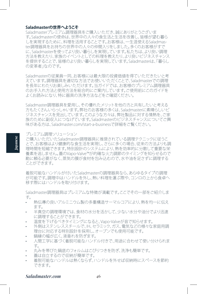#### **Saladmasterの世界へようこそ**

Saladmasterプレミアム調理器具をご購入いただき、誠にありがとうございま す。Saladmasterの使命は、世界中の人々の食生活と生活を改善し、皆様が望む暮ら しを実現するために、料理を活用することです。お客様は、一生涯使えるSaladmaster調理器具をお持ちの世界中の人々の仲間入りをしました。多くのお客様がすで に、Saladmasterを使ってより良い暮らしを実現しています。私たちは、より良い調理 方法を教えたり、家族のイベントとしての料理を教えたり、より良いビジネスチャンス を提供することで、皆様のより良い暮らしを実現しています。Saladmasterは、「暮らし の変革者 はのです。

Saladmasterの従業員一同、お客様には最大限の投資価値を得ていただきたいと考 えています。調理器具を適切な方法でお使いいただくことで、Saladmasterでの調理 を長年にわたりお楽しみいただけます。当ガイドでは、お客様のプレミアム調理器具 のお手入れ方法と使用方法を総合的にご案内しています。ご使用前にこのガイドを よくお読みになり、特に器具の洗浄方法などをご確認ください。

Saladmaster調理器具を愛用し、その優れたメリットを他の方と共有したいと考える 方もたくさんいらっしゃいます。弊社のお客様の多くは、Saladmasterに素晴らしいビ ジネスチャンスを見出しています。このような方々は、弊社製品に対する情熱を、ご家 族のために副収入につなげています。Saladmasterのビジネスチャンスについてご興 味がある方は、Saladmaster.com/start-a-businessで詳細をご覧ください。

プレミアム調理ソリューション

ご購入いただいたSaladmaster調理器具に推奨されている調理テクニックに従うこ とで、お客様はより健康的な食生活を実現し、さらに多くの場合、従来の方法よりも調 理時間を短縮できます。特別設計のシステムにより、熱を効率的に分散して重要な栄 養素を逃しません。蓋のVapo-Valve™が的確な火力調節のタイミングを知らせるので 勘に頼る必要がなく、蒸気の膜が食材を包み込むので、水や油を足さずに調理する ことができます。

着脱可能なハンドルが付いたSaladmasterの調理器具なら、あらゆるタイプの調理 が可能です。調理中はハンドルを外し、熱い料理を運ぶ際や、コンロの上から食卓へ 移す際にはハンドルを取り付けます。

Saladmaster調理器具はプレミアムな特徴が満載です。ここでその一部をご紹介しま す。

- 熱伝導の良いアルミニウム製の多重構造サーマルコアにより、熱を均一に伝え ます。
- 半真空の調理環境では、食材の水分を活かして、少ない水分や油分でより迅速 に調理することができます。
- 温度を下げるべきタイミングになると、Vapo-Valveが音で知らせます。
- 外側はステンレススチールで、IH、セラミック、ガス、雷気などの様々な家庭用調 理台に対応する特別設計を採用し、オーブンでも使用可能です。
- 鍋縁の幅が広く、液垂れを防ぎます。
- 人間工学に基づく着脱可能なハンドル付きで、用途に合わせて使い分けられま す。
- • 丸みを帯びた鍋底のフォルムはこびりつきを防ぎ、洗浄も簡単です。
- 蓋は自立するので収納が簡単です。
- 着脱可能なハンドルは熱くならず、ハンドルを外せば収納時にスペースを節約 できます。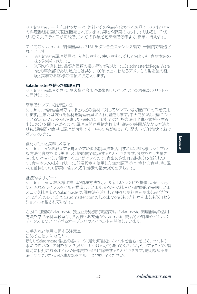Saladmasterフードプロセッサーは、弊社とその名前を代表する製品で、Saladmaster の料理番組を通じて限定販売されています。果物や野菜のカット、すりおろし、千切 り、細切り、スライスが可能で、これらの作業を短時間で効率よく、簡単に行えます。

すべてのSaladmaster調理器具は、316Tiチタン合金ステンレス製で、米国内で製造さ れています。

- Saladmaster調理器具は、洗浄しやすく、使いやすく、そして何よりも、食材本来の 味や栄養を守ります。
- 米国の企業には、品質と信頼の長い歴史があります。SaladmasterはRegal Ware, Inc.の事業部であり、私たちは共に、100年以上にわたるアメリカの製造業の経 験と実績でお客様の信頼にお応えします。

#### **Saladmasterを使った調理入門**

Saladmaster調理器具は、お客様が今まで想像もしなかったような多彩なメリットを お届けします。

## 簡単でシンプルな調理方法

Saladmaster調理器具では、ほとんどの食材に対してシンプルな加熱プロセスを使用 します。生または凍った食材を調理器具に入れ、蓋をします。中火で加熱し、蓋につい ているVapo-Valveの音が鳴ったら弱火にします。この加熱方法は半真空環境を生み 出し、水分を閉じ込めるので、調理時間が短縮されます。従来の時間がかかる方法よ りも、短時間で簡単に調理が可能です。「中火、音が鳴ったら、弱火」とだけ覚えておけ ばいいのです。

## 食材がもっと美味しくなる

Saladmasterがお教えする覚えやすい低温調理法を活用すれば、お客様はシンプル な方法で食材をより美味しく、短時間で調理することができます。食材をごく少量の 油、または油なしで調理することができるので、食事に含まれる脂肪分を減らしつ つ、食材本来の味を守ります。低温設定を使用した無水調理では、食材の食感、色、風 味を維持しつつ、野菜に含まれる栄養素の最大98%を保ちます。

#### 継続的なサポート

Saladmasterは、お客様に詳しい調理方法を示した新しいレシピを提供し、楽しく元 気あふれるライフスタイルを推進しています。心安らぐ料理から健康的で美味しいエ スニック料理まで、Saladmasterの調理法を活用して様々なお料理をお楽しみくださ い。これらのレシピは、Saladmaster.comの「Cook More(もっと料理を楽しもう)」セク ションに掲載されています。

さらに、加盟のSaladmaster独立正規販売特約店では、Saladmaster調理器具の活用 方法を学べる料理教室や、お客様とお友達がSaladmaster製品での調理やビジネス チャンスについて学べるオープンハウスイベントを開催しています。

## お手入れと使用に関する注意点

#### 初めてお使いになる前に

新しいSaladmaster製品の各パーツ(着脱可能なハンドルを含む)を、3.8リットルの 水につき250mlの酢を加えた温かいせっけん水で洗ってください。そうすることで、製 造時に使用されるオイルや研磨材を完全に除去することができます。透明なぬるま 湯ですすぎ、柔らかい清潔なタオルでよく拭いてください。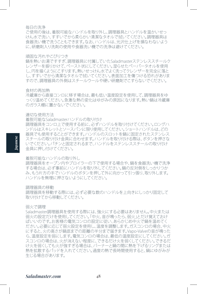#### 毎日の洗浄

ご使用の後は、着脱可能なハンドルを取り外し、調理器具とハンドルを温かいせっ けん水で洗い、すすいでから柔らかい清潔なタオルで拭いてください。調理器具は 食器洗い機で洗うこともできます。なお、ハンドルは、光沢仕上げを損なわないよう に、研磨剤入り洗剤の使用や食器洗い機での洗浄は避けてください。

#### 頑固な汚れやこびりつき

鍋を熱いお湯ですすぎ、調理器具に付属していたSaladmasterステンレススチールク レンザーを振りかけて、ペースト状にしてください。湿らせたペーパータオルを使用 し、円を描くようにこすります。熱いせっけん水でよく洗ってクレンザーを完全に落と し、すすいでから清潔なタオルで拭いてください。表面加工を傷つける恐れがありま すので、調理器具の外側はスチールウールや硬い研磨剤でこすらないでください。

#### 食材の再加熱

冷蔵庫から直接コンロに移す場合は、最も低い温度設定を使用して、調理器具をゆ っくり温めてください。急激な熱の変化はゆがみの原因になります。熱い鍋は冷蔵庫 のガラス棚に置かないでください。

#### 適切な使用方法

着脱可能なSaladmasterハンドルの取り付け

調理器具をコンロ上で使用する前に、必ずハンドルを取り付けてください。ロングハ ンドルはスキレットとソースパンに限り使用してください。ショートハンドルは、どの 器具でも使用することができます。ハンドルのスロットを鍋に固定されたステンレス スチールの取り付け金具に合わせます。ハンドルを取り付ける際は、ボタンを押さな いでください。パチンと固定されるまで、ハンドルをステンレススチールの取り付け 金具に押し付けてください。

## 着脱可能なハンドルの取り外し

調理器具をオーブン内やブロイラーの下で使用する場合や、鍋を食器洗い機で洗浄 する場合は、必ず事前にハンドルを取り外してください。鍋の反対側をしっかりつか み、もう片方の手でハンドルのボタンを押して外に向かって引っ張り、取り外します。 ハンドルを無理に押さないようにしてください。

#### 調理器具の移動

調理器具を移動する際には、必ず必要な数のハンドルを上向きにしっかり固定して 取り付けてから移動してください。

## 弱火で調理

Saladmaster調理器具を使用する際には、強火にする必要はありません。中火または 弱火の設定だけを使用してください。「中火、音が鳴ったら、弱火」とだけ覚えておけ ばいいのです。お客様の電気コンロの設定に従い、あらかじめ中火で鍋を温めてく ださい。必要に応じて弱火設定を使用し、温度を調整します。ガスコンロの場合、中火 にすると、火の高さが鍋底までの距離の半分まで届きます。Vapo-Valveの音が鳴った ら、温度設定を弱にします。電気コンロの場合は、最低の温度設定にしてください。ガ スコンロの場合は、火が消えない程度に、できるだけ火を弱くしてください。できるだ け火を弱くしても火が強すぎる場合は、バーナーと鍋の間に熱を下げるリングまたは 熱を拡散するパッドを入れてください。過度の熱で長時間使用すると、鍋にゆがみが 生じる場合があります。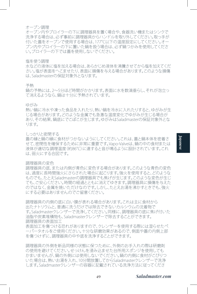#### オーブン調理

オーブン内やブロイラーの下に調理器具を置く場合や、食器洗い機またはシンクで 洗浄する場合は、必ず事前に調理器具からハンドルを取り外してください。取っ手が 付いた蓋をオーブンで使用する場合は、177°C以下の温度設定にしてください。オー ブン内やブロイラーの下に置いた鍋を扱う場合は、必ず鍋つかみを使用してくださ い。ブロイラーの下では蓋を使用しないでください。

#### 塩を使う調理

水などの液体に塩を加える場合は、あらかじめ液体を沸騰させてから塩を加えてくだ さい。塩が表面をへこませたり、表面に損傷を与える場合があります。このような損傷 は、Saladmasterの保証対象外となります。

#### 予熱

鍋の予熱には、2~5分ほど時間がかかります。表面に水を数滴垂らし、それが泡立っ て消えるようなら、鍋は十分に予熱されています。

#### ゆがみ

熱い鍋に冷水や凍った食品を入れたり、熱い鍋を冷水に入れたりすると、ゆがみが生 じる場合があります。どのような金属でも急激な温度変化でゆがみが生じる場合が あり、その結果、鍋底にでこぼこが生じます。ゆがみはSaladmasterの保証対象外とな ります。

しっかりと密閉する

蓋の縁と鍋の縁に食材がつかないようにしてください。これは、蓋と鍋本体を密着さ せて、密閉性を確保するために非常に重要です。Vapo-Valveは、鍋の中の食材または 液体が適切な調理温度(約86°C)に達すると音が鳴るように設計されています。これ は、弱火にする合図です。

## 調理器具の変色

調理器具の底、または内側が青色に変色する場合があります。このような青色の変色 は、過度に長時間強火にさらされた場合に起こります。強火を使用すると、どのような ものでも、たとえSaladmasterの調理器具でも焦げが生じます。このような変色が生じ ても、ご安心ください。時間の経過とともに消えてゆきます。調理器具に損傷を与えた のではなく、金属を焼いただけなのです。しかし、たとえお湯を沸かすときでも、強火 にする必要はありませんのでご留意ください。

調理器具の内側の底に白い膜が表れる場合があります。これは主に食材から 出たナトリウムと、普通に洗うだけでは除去できないカルシウムの沈着物で す。Saladmasterクレンザーで洗浄してください。同様に、調理器具の底に焦げ付いた 油脂や炭素堆積物も、Saladmasterクレンザーで除去することができます。 調理器具の表面加工

表面加工を傷つける恐れがありますので、クレンザーを使用する際には湿らせたペ ーパータオルをご使用ください。十分な研磨効果があるので、側面や蓋の内側上部 を傷つけずに、調理器具の中や底を洗浄することができます。

調理器具の外側を新品同様の状態に保つために、外側のお手入れの際は研磨剤 の使用を避けてください。せっけんを浸み込ませた台所用スポンジを使用しても かまいませんが、鍋の外側には使用しないでください。鍋の内側に食材がこびりつ いた場合は、熱いお湯を入れ、10分間放置してからSaladmasterクレンザーで洗浄 します。Saladmasterクレンザーの容器に記載されている洗浄方法に従ってくださ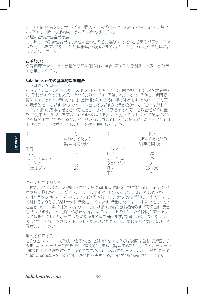い。Saladmasterクレンザーの追加購入をご希望の方は、Saladmaster.comをご覧い ただくか、お近くの販売店までお問い合わせください。 調理に合う調理器具を選択 Saladmasterの調理器具は、調理に合うものをお選びいただくと最高のパフォーマン スを発揮します。少なくとも調理器具の3分の2まで満たされていれば、その調理に合 う適切な器具です。

#### **あぶない:**

**Japanese**

高温調理時やユニットが長時間熱に晒された場合、蓋を取り扱う際には鍋つかみ等 を使用してください。

## **Saladmasterでの基本的な調理法**

コンロで肉をローストする

あらかじめロースターまたはスキレットを中火で2~3分間予熱します。水を数滴垂ら し、それが泡立って跳ねるようなら、鍋は十分に予熱されています。予熱した調理器 具に肉をしっかりと置き、均一に焦げ目がつくように押し付けます。肉のすべての面 に焼き色をつけます。肉がくっつく場合もありますが、焼き色が付くに従いはがれや すくなります。液体は足さないでください(レシピで指示されている場合を除く)。蓋 をして、中火で加熱します。Vapo-Valveの音が鳴ったら弱火にし、レシピに記載されて いる時間に従い加熱するか、ハンドルを取り外してレシピの指示通りにオーブンで仕 上げるか、またはガイドとして以下の表を使用してください。

| 肉          | 1ポンド       | 肉     | 1ポンド       |
|------------|------------|-------|------------|
|            | (454g)あたりの |       | (454g)あたりの |
|            | 調理時間(分)    |       | 調理時間(分)    |
| 牛肉         |            | ラムレッグ |            |
| $\sqrt{I}$ | 10         | レア    | 20         |
| ミディアムレア    |            | ミディアム | 25         |
| ミディアム      |            | ウェルダン | 30         |
| ウェルダン      | 20         | 豚肉    | $25 - 30$  |
|            |            | 子生    |            |

#### 油を使わずに炒める

皮付き、または皮なしの鶏肉を含むあらゆる肉は、油脂を足さずにSaladmasterの調 理器具で「炒める」ことができます。その秘密は、予熱にあります。あらかじめ大型ま たは小型のスキレットを中火で2~3分間予熱します。水を数滴垂らし、それが泡立っ て跳ねるようなら、鍋は十分に予熱されています。予熱したスキレットに肉をしっかり と置き、均一に焦げ目がつくように押し付けます。肉または鶏肉のすべての面に焼き 色をつけます。さらに加熱が必要な場合は、スキレットの上に、やや隙間ができるよ うに蓋をかぶせ、お好みの状態になるまで火を通します。肉同士がくっつかないよう に、必ず十分な大きさのスキレットをお選びいただくか、必要に応じて数回に分けて 調理してください。

#### 重ねて調理する

もうひとつバーナーが欲しいと思ったことはありますか?では次回は重ねて調理して みましょう!バーナーの数を増やさなくても、重ねて調理することで、1つのバーナーで 2種類以上の料理を作ることができます。Saladmasterの調理システムは、熱を均一に 分散し、重ね調理を可能にする密閉性を実現するように特別に設計されています。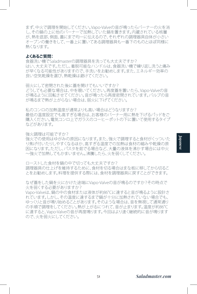まず、中火で調理を開始してください。Vapo-Valveの音が鳴ったらバーナーの火を消 し、その鍋の上に他のバーナーで加熱していた鍋を置きます。内蔵されている核層 が、熱を底部、側面、蓋にまで均一に伝えるので、それぞれの調理器具自体が小さい オーブンの働きをして、一番上に置いてある調理器具も一番下のものとほぼ同様に 熱くなります。

#### **よくあるご質問:**

食器洗い機でSaladmasterの調理器具を洗っても大丈夫ですか? はい、大丈夫です。ただし、着脱可能なハンドルは、食器洗い機で繰り返し洗うと痛み が早くなる可能性がありますので、手洗いをお勧めします。また、エネルギー効率の 良い空気乾燥を選び、熱乾燥は避けてください。

弱火にして密閉された後に蓄を開けてもいいですか? どうしても必要な場合は、中を覗いてください。再度蓋を置いたら、Vapo-Valveの音 が鳴るように回転させてください。音が鳴ったら再度密閉されています。バルブの音 が鳴るまで熱が上がらない場合は、弱火に下げてください。

私のコンロの加熱温度が通常よりも高い場合はどうなりますか? 最低の温度設定でも高すぎる場合は、お客様のバーナー用に熱を下げるパッドをご 購入ください。電気コンロ上でガラスのコーヒーポットの下に置いて使用するタイプ などがあります。

強火調理は可能ですか?

強火での使用はゆがみの原因になります。また、強火で調理すると食材がくっついた り焦げ付いたりしやすくなるほか、高すぎる温度での加熱は食材の縮みや乾燥の原 因になります。ただし、パスタを茹でる場合など、大量の液体を沸かす場合には中火 ~強火で加熱してもかまいません。沸騰したら、火を弱くしてください。

ローストした食材を鍋の中で切っても大丈夫ですか? 調理器具の什上げを維持するために、食材を切る場合はまな板に移してから切るこ とをお勧めします。料理を提供する際には、食材を調理器具に戻すことができます。

なぜ蓋をした鍋を火にかけた途端にVapo-Valveの音が鳴るのですか?その時点で 火を弱くする必要がありますか?

Vapo-Valveは、鍋の中の食材または液体が約86°Cに達すると音が鳴るように設計さ れています。しかし、その温度に達するまで鍋が十分に加熱されていない場合でも、 ゆっくりと音が鳴り始めることがあります。そのような場合は、音を無視して通常通り の手順で調理をしてください。熱が上がるにつれて、音が止まります。温度が約86℃ に達すると、Vapo-Valveの音が再度鳴ります。今回はより速く継続的に音が鳴ります ので、火を弱火にしてください。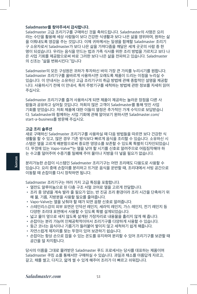## **Saladmaster를 찾아주셔서 감사합니다.**

Saladmaster 고급 조리기구를 구매하신 것을 축하드립니다. Saladmaster의 사명은 요리 라는 수단을 활용해 세상 사람들이 보다 건강한 식생활과 보다 나은 삶을 영위하며, 원하는 삶 을 이뤄내도록 영감을 주는 것입니다. 이제 귀하께서는 일생을 함께할 Saladmaster 조리기 구 소유자로서 Saladmaster가 보다 나은 삶을 가져다줌을 깨달은 세계 곳곳의 사람 중 한 명이 되셨습니다. 우리는 음식을 만드는 법과 가족 식사를 위한 조리 방법을 가르치고 보다 나 은 사업 기회를 제공함으로써 바로 그러한 보다 나은 삶을 전파하고 있습니다. Saladmaster 의 신조는 "삶을 변화시킨다."입니다

Saladmaster의 모든 구성원은 귀하가 투자하신 바의 가장 큰 가치를 누리시기를 원합니다. Saladmaster 조리기구를 올바르게 사용하시면 오래도록 제품이 드리는 이점을 누리실 수 있습니다. 이 안내서는 소유하신 고급 조리기구의 취급 방법에 관해 종합적인 설명을 제공합 니다. 사용하시기 전에 이 안내서, 특히 주방기구를 세척하는 방법에 관한 정보를 자세히 읽어 주십시오.

Saladmaster 조리기구를 즐겨 사용하시게 되면 제품이 제공하는 놀라운 장점을 다른 사 람들과 공유하고 싶어질 것입니다. 저희의 많은 고객이 Saladmaster를 통해 멋진 사업 기회를 얻었습니다. 저희 제품에 대한 이들의 열정은 추가적인 가계 수익으로 보답받습니 다. Saladmaster와 함께하는 사업 기회에 관해 알아보기 원하시면 Saladmaster.com/ start-a-business를 방문해 주십시오.

## **고급 조리 솔루션**

새로 구매하신 Saladmaster 조리기구를 사용하실 때 다음 방법들을 따르면 보다 건강한 식 생활을 할 수 있고, 많은 경우 기존 방식보다 빠르게 음식을 조리할 수 있습니다. 소유하신 시 스템은 열을 고르게 배분함으로써 중요한 영양소를 보존할 수 있도록 특별히 디자인되었습니 다. 뚜껑에 있는 Vapo-Valve™는 열을 낮야 할 시기를 신호로 알려주므로 어림짐작해야 하 는 수고를 덜어주며 수증기를 밀폐해 주어 물이나 지방을 더 넣을 필요가 없습니다.

분리가능한 손잡이 시스템인 Saladmaster 조리기구는 어떤 조리에도 다용도로 사용할 수 있습니다. 요리 중에 손잡이를 분리하고 뜨거운 음식을 운반할 때, 조리대에서 서빙 공간으로 이동할 때 손잡이를 다시 장착하면 됩니다.

Saladmaster 조리기구는 여러 가지 고급 특징을 포함합니다.

- 열전도 알루미늄으로 된 다층 구조 서멀 코어로 열을 고르게 전달합니다.
- 조리 중 양념을 계속 발라 줄 필요가 없는, 반 진공 조리 환경이라 조리 시간을 단축하기 위 해 물, 기름, 지방분을 사용할 필요를 줄여줍니다.
- Vapo-Valve는 열을 낮춰야 할 때가 되면 음향 신호로 알려줍니다.
- 스테인리스강의 외부 표면은 인덕션 레인지, 세라믹 레인지, 가스 레인지, 전기 레인지 등 다양한 조리대 표면에서 사용할 수 있도록 특별 설계되었습니다.
- 넓고 물이 옆으로 새지 않도록 설계된 가장자리로 내용물을 흘리지 않게 해 줍니다.
- 손잡이는 분리 가능며 인체공학적이어서 조리기구를 다양하게 사용할 수 있습니다.
- 둥근 코너는 음식이나 기름기가 들러붙어 쌓이지 않고 세척하기 쉽게 해줍니다.
- 자연스럽게 제자리를 찾는 뚜껑이 있어 보관하기 쉽습니다.
- 손잡이는 항상 손으로 잡을 수 있는 온도를 유지하며 분리할 수 있어 조리기구를 보관할 때 공간을 덜 차지합니다.

당사의 이름을 그대로 물려받은 Saladmaster 푸드 프로세서는 당사를 대표하는 제품이며 Saladmaster 쿠킹 쇼를 통해서만 구매하실 수 있습니다. 과일과 채소를 아름답게 자르고, 갈고, 채를 썰고, 다지고, 얇게 썰 수 있게 해주어 조리가 더 빠르고 쉬워집니다.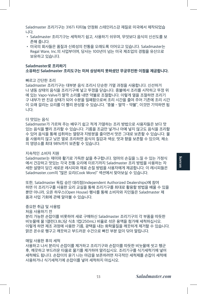Saladmaster 조리기구는 316Ti 티타늄 안정화 스테인리스강 재질로 미국에서 제작되었습 니다.

- Saladmaster 조리기구는 세척하기 쉽고, 사용하기 쉬우며, 무엇보다 음식의 신선도를 보 존해 줍니다.
- 미국의 회사들은 품질과 신뢰성의 전통을 오래도록 이어오고 있습니다. Saladmaster는 Regal Ware, Inc.의 사업부이며, 당사는 100년이 넘는 미국 제조업의 경험을 유산으로 보유하고 있습니다.

## **Saladmaster로 조리하기 소유하신 Saladmaster 조리도구는 미처 상상하지 못하셨던 무궁무진한 이점을 제공합니다.**

#### 빠르고 간단한 조리

Saladmaster 조리기구는 대부분 음식 조리시 단순한 가열 과정을 사용합니다. 신선하거 나 냉동 상태의 음식을 조리기구에 넣고 뚜껑을 닫습니다. 중불에서 조리를 시작하고 뚜껑 위 에 있는 Vapo-Valve가 딸깍 소리를 내면 약불로 조절합니다. 이렇게 열을 조절하면 조리기 구 내부가 반 진공 상태가 되어 수분을 밀폐함으로써 조리 시간을 줄여 주어 기존에 조리 시간 이 오래 걸리는 요리를 더 빨리 완성할 수 있습니다. "중불 - 딸깍 - 약불", 이것만 기억하면 됩 니다.

#### 더 맛있는 음식

Saladmaster가 가르쳐 주는 배우기 쉽고 적게 가열하는 조리 방법으로 사용자들은 보다 맛 있는 음식을 빨리 조리할 수 있습니다. 기름을 조금만 넣거나 아예 넣지 않고도 음식을 조리할 수 있어 음식을 통해 섭취하는 열량과 지방분을 줄이면서 맛은 그대로 보존할 수 있습니다. 물 을 사용하지 않고 낮은 열로 조리하면 음식의 질감과 색상, 맛과 향을 보존할 수 있으며, 채소 의 영양소를 최대 98%까지 보존할 수 있습니다.

#### 지속적인 소비자 지원

Saladmaster는 재미와 활기로 가득한 삶을 추구합니다. 엄마의 손길을 느낄 수 있는 가정식 에서 건강하고 맛있는 각국 전통 요리에 이르기까지 Saladmaster 조리 방법을 사용하는 자 세한 설명이 담긴 새로운 레시피와 재료 손질 방법을 사용자에게 제공합니다. 이 레시피들은 Saladmaster.com의 "많은 요리(Cook More)" 섹션에서 찾아보실 수 있습니다.

또한, Saladmaster 독립 승인 대리점(Independent Authorized Dealerships)에 참여 하면 이 조리기구를 사용한 요리 교실을 통해 조리기구를 최대로 활용할 방법을 배울 수 있을 뿐만 아니라, 오픈 하우스(Open House) 행사를 통해 소비자와 지인들은 Saladmaster 제 품과 사업 기회에 관해 알아볼 수 있습니다.

## 중요한 취급 및 사용법

처음 사용하기 전

분리 가능한 손잡이를 비롯하여 새로 구매하신 Saladmaster 조리기구의 각 부품을 따듯한 비눗물에 물 1갤런(3.8L)당 식초 1컵(250mL) 비율로 섞은 용액을 첨가해 세척하십시오. 이렇게 하면 제조 과정에 사용한 기름, 광택을 내는 화학물질을 깨끗하게 제거할 수 있습니다. 맑은 온수로 헹구고 깨끗하고 부드러운 수건으로 빠진 부분 없이 닦아 말립니다.

#### 매일 사용한 후의 세척

사용하고 나서 분리식 손잡이를 제거하고 조리기구와 손잡이를 따듯한 비눗물에 씻고 헹군 후, 깨끗하고 부드러운 타올로 물기를 제거하여 말리십시오. 조리기구를 식기세척기에 넣어 세척해도 됩니다. 손잡이의 윤기 나는 마감을 보존하려면 자극적인 세척제를 손잡이 세척에 사용하거나 식기세척기에 손잡이를 넣어 세척하지 마십시오.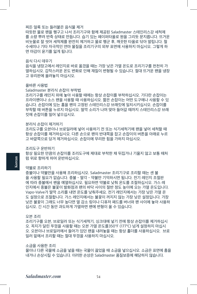## 찌든 얼룩 또는 들러붙은 음식물 제거

따듯한 물로 팬을 헹구고 나서 조리기구와 함께 제공된 Saladmaster 스테인리스강 세척제 를 소량 뿌려 반죽 상태로 만듭니다. 습기 있는 페이퍼타올로 원을 그리듯 문지릅니다. 뜨거운 비눗물로 잘 씻어 세척제를 완전히 제거하고 물로 헹군 후, 깨끗한 타올로 닦아 말립니다. 철 수세미나 기타 자극적인 연마 물질을 조리기구의 외부 표면에 사용하지 마십시오. 그렇게 하 면 마감이 윤기를 잃게 됩니다.

#### 음식 다시 데우기

음식을 냉장고에서 레인지로 바로 옮겼을 때는 가장 낮은 가열 온도로 조리기구를 천천히 가 열하십시오. 갑작스러운 온도 변화로 인해 재질이 변형될 수 있습니다. 절대 뜨거운 팬을 냉장 고 유리판에 올려놓지 마십시오.

## 올바른 사용법

Saladmaster 분리식 손잡이 부착법

조리기구를 레인지 위에 놓아 사용할 때에는 항상 손잡이를 부착하십시오. 기다란 손잡이는 프라이팬이나 소스 팬을 사용할 때 사용하십시오. 짧은 손잡이는 어떤 도구에나 사용할 수 있 습니다. 손잡이에 있는 홈을 팬의 고정된 스테인리스강 브래킷에 일치시키십시오. 손잡이를 부착할 때 버튼을 누르지 마십시오. 딸깍 소리가 나며 맞아 들어갈 때까지 스테인리스강 브래 킷에 손잡이를 밀어 넣으십시오.

#### 분리식 손잡이 제거하기

조리도구를 오븐이나 브로일러에 넣어 사용하기 전 또는 식기세척기에 팬을 넣어 세척할 때 항상 손잡이를 제거하십시오. 다른 손으로 팬의 반대쪽을 잡고 손잡이의 버튼을 아래로 누르 고 바깥쪽으로 당겨 제거하십시오. 손잡이에 무리한 힘을 가하지 마십시오.

#### 조리도구 운반하기

항상 필요한 만큼의 손잡이를 조리도구에 제대로 부착한 채 뒤집거나 기울지 않고 보통 때처 럼 위로 향하게 하여 운반하십시오.

#### 약불로 조리하기

**Korean**

중불이나 약불만을 사용해 조리하십시오. Saladmaster 조리기구로 조리할 때는 센 불 을 사용할 필요가 없습니다. 중불 - 딸각 - 약불만 기억하시면 됩니다. 전기 레인지 조절판 에 따라 중불에서 팬을 예열하십시오. 필요하면 약불로 낮춰 온도를 조절하십시오. 가스 레 인지에서 중불은 불꽃이 발화점과 팬의 바닥 사이의 절반 정도 높이에 오는 가열 온도입니다. Vapo-Valve가 딸깍 소리를 내면 온도를 낮춰주세요. 전기 레인지에서는 가장 낮은 가열 온 도 설정으로 조절합니다. 가스 레인지에서는 불꽃이 꺼지지 않는 가장 낮은 설정입니다. 가장 낮은 불꽃이 그래도 너무 높다면 열 감소 링이나 디퓨저 패드를 버너와 팬 사이에 놓아 사용하 십시오. 긴 시간 동안 과도하게 가열하면 팬에 변형이 올 수 있습니다.

#### 오븐 조리

조리기구를 오븐, 브로일러 또는 식기세척기, 싱크대에 넣기 전에 항상 손잡이를 제거하십시 오. 꼭지가 달린 뚜껑을 사용할 때는 오븐 가열 온도를350°F (177°C) 넘게 설정하지 마십시 오. 오븐이나 브로일러에서 들어가 있던 팬을 내려놓을 때는 항상 홀더를 사용하십시오. 브로 일러 밑에서 조리할 때는 절대 뚜껑을 사용하지 마십시오.

#### 소금을 사용한 조리

물이나 다른 국물에 소금을 넣을 때는 국물이 끓었을 때 소금을 넣으십시오. 소금은 표면에 흠을 내거나 손상시킬 수 있습니다. 이러한 손상은 Saladmaster 품질보증에 해당하지 않습니다.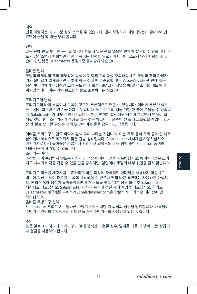## 예열

팬을 예열하는 데 2~5분 정도 소요될 수 있습니다. 팬이 적절하게 예열되었는지 알아보려면 표면에 물을 몇 방울 뿌려 봅니다.

## 변형

달군 팬에 찬물이나 언 음식을 넣거나 찬물에 달군 팬을 넣으면 변형이 발생할 수 있습니다. 온 도가 갑작스럽게 변화하면 어떤 금속이든 변형을 일으키며 바닥이 고르지 않게 변형될 수 있 습니다. 변형은 Saladmaster 품질보증에 해당하지 않습니다.

#### 올바른 밀폐

뚜껑의 테두리와 팬의 테두리에 음식이 끼지 않도록 항상 주의하십시오. 뚜껑과 팬의 가장자 리가 올바르게 밀폐되려면 이렇게 하는 것이 매우 중요합니다. Vapo-Valve는 팬 안에 있는 음식이나 액체가 이상적인 조리 온도인 약 187°F(86°C)가 되었을 때 딸깍 소리를 내도록 설 계되었습니다. 이는 가열 온도를 약불로 조절하라는 신호입니다.

#### 조리기구의 변색

조리기구의 바닥 부품이나 안쪽이 고르게 푸른색으로 변할 수 있습니다. 이러한 푸른 변색은 높은 열이 과도한 기간 가해졌다는 뜻입니다. 높은 온도의 열을 가할 때 불에 그을릴 수 있습니 다. Saladmaster라 해도 마찬가지입니다. 이런 변색이 발생해도 시간이 흐르면서 변색이 탈 색될 것입니다. 조리기구가 손상을 입은 것은 아닙니다. 금속이 센 불에 그을렸을 뿐입니다. 가 장 센 불로 요리할 필요는 전혀 없으며 이는 물을 끓일 때도 적용됩니다.

이따금 조리기구의 안쪽 바닥에 흰색 막이 나타날 것입니다. 이는 주로 음식 조리 중에 탄 나트 륨이거나 세척으로 제거되지 않은 칼슘 침착입니다. Saladmaster 세척제를 사용하십시오. 마찬가지로 타서 눌어붙은 기름기나 조리기구 밑바닥의 탄소 침착 또한 Saladmaster 세척 제를 사용해 제거할 수 있습니다.

조리기구 마감

마감을 긁어 손상하지 않도록 세척제를 적신 페이퍼타올을 사용하십시오. 페이퍼타올은 조리 기구 내부와 바닥을 닦을 수 있을 만큼 강하지만, 옆면이나 뚜껑의 내부 윗면을 긁지 않습니다.

조리기구 외부를 새것처럼 보존하려면 바깥 마감에 자극적인 연마제를 사용하지 마십시오. 비누에 적신 수세미 패드를 안쪽에 사용하실 수 있으나 팬의 바깥 표면에는 사용하지 마십시 오. 팬의 안쪽에 음식이 눌어붙었으면 뜨거운 물을 붓고 10분 정도 불린 후 Saladmaster 세척제로 닦으십시오. Saladmaster 세척제 용기에 적힌 세척 설명을 따르십시오. 추가로 Saladmaster 세척제를 구매하려면 Saladmaster.com을 방문하거나 가까운 대리점에 연 락하십시오.

올바른 주방기구 선택

Saladmaster 조리기구는 올바른 주방기구를 선택할 때 최적의 성능을 발휘합니다. 내용물이 주방기구 깊이의 2/3 정도로 찬다면 올바른 주방기구를 사용하고 있는 것입니다.

## **주의:**

높은 열로 조리하거나 조리기구가 열에 장시간 노출될 경우, 덮개를 다룰 때 냄비 드는 장갑이 나 헝겊을 사용해야 합니다.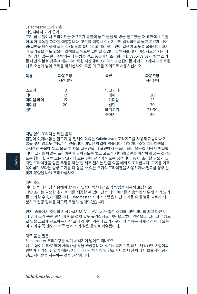## Saladmaster 조리 기초

레인지에서 고기 굽기

고기 굽는 틀이나 프라이팬을 2~3분간 중불에 놓고 물을 몇 방울 떨구었을 때 표면에서 구슬 이 되어 요동칠 때까지 예열합니다. 고기를 예열된 주방기구에 밀착되도록 놓고 고르게 시어 링(겉면을 바삭하게 굽는 것) 되도록 합니다. 고기의 모든 면이 갈색이 되도록 굽습니다. 고기 가 들러붙을 수도 있으나 갈색으로 익으면 떨어질 것입니다. 액체를 넣지 마십시오(레시피에 나와 있지 않는 한). 주방기구에 뚜껑을 덮고 중불에서 조리합니다. Vapo-Valve가 딸깍 소리 를 내면 약불로 낮추고 레시피에 적힌 시간대로 조리하거나 손잡이를 제거하고 레시피에 적힌 대로 오븐에 넣어 조리를 마치십시오. 혹은 이 표를 가이드로 사용하십시오.

| 육류                               | 파운드당<br>시간(분)        | 육류                                      | 파운드당<br>시간(분)                     |
|----------------------------------|----------------------|-----------------------------------------|-----------------------------------|
| 소고기<br>레어<br>미디엄 레어<br>미디엄<br>윀던 | 10<br>12<br>15<br>20 | 양고기다리<br>레어<br>미디엄<br>윀던<br>돼지고기<br>송아지 | 20<br>25<br>30<br>$25 - 30$<br>20 |

지방 없이 조리하는 튀긴 음식

껍질이 있거나 없는 닭고기 등 일체의 육류는 Saladmaster 조리기구를 사용해 지방이나 기 름을 넣지 않고도 "튀길" 수 있습니다. 비밀은 예열에 있습니다. 대형이나 소형 프라이팬을 2~3분간 중불에 놓고 물을 몇 방울 떨구었을 때 표면에서 구슬이 되어 요동칠 때까지 예열합 니다. 고기를 예열된 프라이팬에 밀착되도록 놓고 고르게 시어링(겉면을 바삭하게 굽는 것) 되 도록 합니다. 육류 또는 닭고기의 모든 면이 갈색이 되도록 굽습니다. 좀 더 조리할 필요가 있 다면 프라이팬을 덮은 뚜껑을 약간 연 채로 원하는 만큼 익을 때까지 조리합니다. 고기를 가득 욱여넣기 보다는 항상 고기를 다 담을 수 있는 크기의 프라이팬을 사용하거나 필요할 경우 알 맞게 분량을 나눠 조리하십시오.

다단 조리

**Korean**

버너를 하나 이상 사용해야 할 때가 있습니까? 다단 조리 방법을 사용해 보십시오! 다단 조리는 필요한 추가 버너를 제공할 수 있어 단 하나의 버너를 사용하면서 두세 개의 요리 를 조리할 수 있게 해줍니다. Saladmaster 조리 시스템은 다단 조리를 위해 열을 고르게 배 분하고 진공 밀폐를 하도록 특별히 설계되었습니다.

먼저, 중불에서 조리를 시작하십시오. Vapo-Valve가 딸깍 소리를 내면 버너를 끄고 다른 버 너 위에 조리 중인 팬 위에 팬을 겹쳐 쌓듯 올리십시오. 바닥으로부터 옆면으로, 그리고 뚜껑으 로 열을 고르게 전도하는 내장 코어 레이어 덕분에 조리기구의 각 부위는 자체적인 미니 오븐 이 되어 위쪽 팬도 아래쪽 팬과 거의 같은 온도로 가열됩니다.

#### 자주 묻는 질문:

Saladmaster 조리기구를 식기 세척기에 넣어도 되나요? 예. 손잡이는 따로 떼어 세척하실 것을 권장합니다. 식기세척기로 여러 번 세척하면 손잡이의 광택이 사라질 수 있기 때문입니다. 식기세척기의 열 건조 사이클 대신 에너지 효율적인 공기 건조 사이클을 사용하는 것을 권장합니다.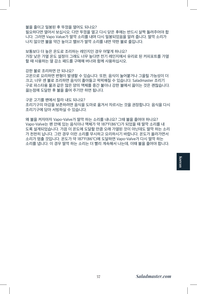불을 줄이고 밀봉된 후 뚜껑을 열어도 되나요? 필요하다면 열어서 보십시오. 다만 뚜껑을 열고 다시 닫은 후에는 반드시 살짝 돌려주어야 합 니다. 그러면 Vapo Value가 딸깍 소리를 내며 다시 밀봉되었음을 알려 줍니다. 딸깍 소리가 나지 않으면 불을 약간 높이고 밸브가 딸깍 소리를 내면 약한 불로 줄입니다.

보통보다 더 높은 온도로 조리하는 레인지인 경우 어떻게 하나요? 가장 낮은 가열 온도 설정이 그래도 너무 높다면 전기 레인지에서 유리로 된 커피포트를 가열 할 때 사용하는 열 감소 패드를 구매해 버너와 함께 사용하십시오.

강한 불로 조리하면 안 되나요?

왜 불을 켜자마자 Vapo-Valve가 딸깍 하는 소리를 내나요? 그때 불을 줄여야 하나요? Vapo-Valve는 팬 안에 있는 음식이나 액체가 약 187°F(86°C)가 되었을 때 딸깍 소리를 내 도록 설계되었습니다. 가끔 이 온도에 도달할 만큼 오래 가열된 것이 아닌데도 딸깍 하는 소리 가 천천히 납니다. 그런 경우 이런 소리를 무시하고 요리하시기 바랍니다. 온도가 올라가면서 소리가 멈출 것입니다. 온도가 약 187°F(86°C)에 도달하면 Vapo-Valve가 다시 딸깍 하는 소리를 냅니다. 이 경우 딸깍 하는 소리는 더 빨리 계속해서 나는데, 이때 불을 줄여야 합니다.

구운 고기를 팬에서 잘라 내도 되나요?

조리기구에 담아 서빙하실 수 있습니다.

고온으로 요리하면 변형이 발생할 수 있습니다. 또한, 음식이 눌어붙거나 그을릴 가능성이 더 크고, 너무 센 불로 조리하면 음식이 졸아들고 퍽퍽해질 수 있습니다. Saladmaster 조리기 구로 파스타용 물과 같은 많은 양의 액체를 중간 불이나 강한 불에서 끓이는 것은 괜찮습니다. 끓는점에 도달한 후 불을 줄여 주기만 하면 됩니다.

조리기구의 마감을 보존하려면 음식을 도마로 옮겨서 자르시는 것을 권장합니다. 음식을 다시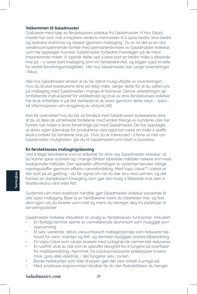## **Velkommen til Saladmaster**

Gratulerer med kjøp av førsteklasses kokekar fra Saladmaster. Vi hos Saladmaster har som mål å inspirere verdens mennesker til å spise bedre, leve bedre og realisere drømmer og idealer gjennom matlaging. Du er nå del av en stor, verdensomspennende familie med permanente eiere av Saladmaster-kokekar, som har oppdaget hvordan Saladmaster forbedrer hverdagen på de mest imponerende måter. Vi oppnår dette ved å lære bort en bedre måte å tilberede mat på – vi lærer bort matlaging som en familieaktivitet, og legger også til rette for bedre forretningsmuligheter. Her hos Saladmaster står varige livsendringer i fokus.

Alle hos Saladmaster ønsker at du får størst mulig utbytte av investeringen. Hvis du bruker kokekarene dine på riktig måte, sørger dette for at du setter pris på matlaging med Saladmaster i mange år fremover. Denne veiledningen gir omfattende instruksjoner for vedlikehold og bruk av dine førsteklasses kokekar. Før bruk anbefaler vi på det sterkeste at du leser gjennom dette nøye – spesielt informasjonen om rengjøring av utstyret ditt.

Ikke bli overrasket hvis du blir så fornøyd med Saladmaster-kokekarene dine at du vil dele de utmerkede fordelene med andre! Mange av kundene våre har funnet nye måter å drive forretninger på med Saladmaster. De har oppdaget at deres egen lidenskap for produktene våre også kan være en måte å skaffe ekstra inntekt for familiene sine på. Hvis du er interessert i å finne ut mer om Saladmaster-muligheten, går du til Saladmaster.com/start-a-business.

## **En førsteklasses matlagingsløsning**

Ved å følge teknikkene som er anbefalt for dine nye Saladmaster-kokekar, vil du kunne spise sunnere og i mange tilfeller tilberede måltider raskere enn med tradisjonelle metoder. Den spesielle utformingen av systemet bevarer viktige næringsstoffer gjennom effektiv varmefordeling. Med Vapo Valve™ i lokket er det slutt på all gjetting – du får signal om når du bør skru ned varmen, og det formes en dampbasert forsegling som gjør det mulig å tilberede mat uten å tilsette ekstra vann eller fett.

Systemet vårt med avtakbart håndtak gjør Saladmaster-kokekar passende til alle typer matlaging. Bare ta av håndtakene mens du tilbereder mat, og fest dem igjen når du leverer varm mat og mens du beveger deg fra platetopp til serveringssteder.

Saladmaster-kokekar inkluderer et utvalg av førsteklasses funksjoner, inkludert:

- En flerlags termisk kjerne av varmeførende aluminium som muliggjør jevn oppvarming.
- Et selv-vætende, delvis vakuumbasert matlagingsmiljø som reduserer behovet for vann, matoljer og fett, og dermed muliggjør raskere tilberedning.
- En Vapo-Valve som varsler brukere med lydsignal når varmen bør reduseres.
- Et rustfritt skall av stål som er spesifikt designet for å fungere på overflater for mattilberedning i hjemmet, fra induksjonsbaserte platetopper til keramisk, gass eller elektrisk – det fungerer selv i ovnen.
- Brede hellekanter som ikke drypper, gjør det såre enkelt å unngå søl.
- Med avtakbare ergonomiske håndtak får du den fleksibiliteten du trenger.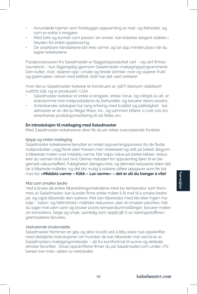- Avrundede hjørner som forebygger oppsamling av mat- og fettrester, og som er enkle å rengjøre.
- Med lokk og bunner som passer i en annen, kan kokekar elegant stables i høyden for enkel oppbevaring.
- De avtakbare håndtakene blir ikke varme, og tar opp mindre plass når du lagrer kokekarene.

Foodprosessoren fra Saladmaster er flaggskipproduktet vårt – og vårt firmas navnebror – kun tilgjengelig gjennom Saladmaster-matlagingsprogrammene. Den kutter, river, skjærer opp i smale og brede strimler, river og skjærer frukt og grønnsaker i skiver med letthet. Aldri har det vært enklere!

Hver del av Saladmaster-kokekar er konstruert av 316Ti titanium-stabilisert rustfritt stål, og er produsert i USA.

- Saladmaster-kokekar er enkle å rengjøre, enkle i bruk, og viktigst av alt, er skånsomme mot matproduktene du behandler, og bevarer deres essens.
- Amerikanske selskaper har lang erfaring med kvalitet og pålitelighet. Saladmaster er en del av Regal Ware, Inc., og sammen tilfører vi over 100 års amerikansk produksjonserfaring til vår felles arv.

## **En introduksjon til matlaging med Saladmaster**

Med Saladmaster-kokekarene dine får du en rekke overraskende fordeler.

#### *Kjapp og enkel matlaging*

Saladmaster-kokekarene benytter en enkel oppvarmingsprosess for de fleste matprodukter. Legg fersk eller frossen mat i kokekaret og sett på lokket. Begynn å tilberede maten over middels varme. Når Vapo-Valve på lokket klikker, reduserer du varmen til et lavt nivå. Denne metoden for oppvarming fører til en begrenset vakuumeffekt. Fuktigheten stenges inne, og dermed reduseres tiden det tar å tilberede måltider, og det blir mulig å raskere utføre oppgaver som før tok mye tid. **«Middels varme – Klikk – Lav varme» – det er alt du trenger å vite!**

## *Mat som smaker bedre*

Ved å bruke de enkle tilberedningsmetodene med lav temperatur som fremmes av Saladmaster, kan kunder finne enkle måter å få mat til å smake bedre på, og også tilberede den raskere. Mat kan tilberedes med lite eller ingen matolje – kalori- og fettinnhold i måltider reduseres uten at smaken påvirkes. Når du lager mat uten vann og bruker lavere temperaturinnstillinger, bevarer maten sin konsistens, farge og smak, samtidig som opptil 98 % av næringsstoffene i grønnsakene bevares.

## *Vedvarende brukerstøtte*

Saladmaster fremmer en gøy og aktiv livsstil ved å tilby eiere nye oppskrifter med detaljerte instruksjoner om hvordan de kan tilberede mat ved bruk av Saladmasters matlagingsmetoder – alt fra komfortmat til sunne og delikate etniske favoritter. Disse oppskriftene finner du på Saladmaster.com under «Tilbered mer mat»-delen av nettstedet.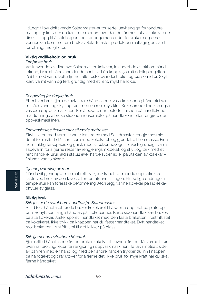I tillegg tilbyr deltakende Saladmaster-autoriserte, uavhengige forhandlere matlagingskurs der du kan lære mer om hvordan du får mest ut av kokekarene dine, i tillegg til å holde åpent hus-arrangementer der forbrukere og deres venner kan lære mer om bruk av Saladmaster-produkter i matlagingen samt forretningsmuligheter.

## **Viktig vedlikehold og bruk**

## *Før første bruk*

Vask hver del av dine nye Saladmaster-kokekar, inkludert de avtakbare håndtakene, i varmt såpevann der du har tilsatt én kopp (250 ml) eddik per gallon (3,8 L) med vann. Dette fjerner alle rester av industrioljer og pussemidler. Skyll i klart, varmt vann og tørk grundig med et rent, mykt håndkle.

## *Rengjøring for daglig bruk*

Etter hver bruk, fjern de avtakbare håndtakene, vask kokekar og håndtak i varmt såpevann, og skyll og tørk med en ren, myk klut. Kokekarene dine kan også vaskes i oppvaskmaskinen. For å bevare den polerte finishen på håndtakene, må du unngå å bruke slipende rensemidler på håndtakene eller rengjøre dem i oppvaskmaskinen.

## *For vanskelige flekker eller stivnede matrester*

Skyll kjelen med varmt vann eller strø på med Saladmaster-rengjøringsmiddelet for rustfritt stål som kom med kokekaret, og gjør dette til en masse. Finn frem fuktig tørkepapir, og gnikk med sirkulær bevegelse. Vask grundig i varmt såpevann for å fjerne rester av rengjøringsmiddelet, og skyll og tørk med et rent håndkle. Bruk aldri stålull eller harde slipemidler på utsiden av kokekar – finishen kan ta skade.

#### *Gjenoppvarming av mat*

Når du vil gjenoppvarme mat rett fra kjøleskapet, varmer du opp kokekaret sakte ved bruk av den laveste temperaturinnstillingen. Plutselige endringer i temperatur kan forårsake deformering. Aldri legg varme kokekar på kjøleskaphyller av glass.

## **Riktig bruk**

**Norwegian**

# *Slik fester du avtakbare håndtak fra Saladmaster*

Alltid fest håndtaket før du bruker kokekaret til å varme opp mat på platetoppen. Benytt kun lange håndtak på stekepanner. Korte sidehåndtak kan brukes på alle kokekar. Juster sporet i håndtaket med den faste braketten i rustfritt stål på kokekaret. Ikke trykk på knappen når du fester håndtaket. Dytt håndtaket mot braketten i rustfritt stål til det klikker på plass.

## *Slik fjerner du avtakbare håndtak*

Fjern alltid håndtakene før du bruker kokekaret i ovnen, før det får varme tilført ovenfra (broiling), eller før rengjøring i oppvaskmaskinen. Ta tak i motsatt side av pannen med én hånd, og med den andre hånden trykker du inn knappen på håndtaket og drar utover for å fjerne det. Ikke bruk for mye kraft når du skal fierne håndtaket.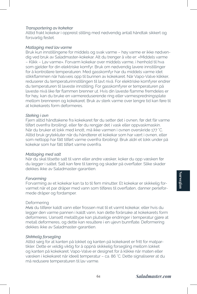## *Transportering av kokekar*

Alltid frakt kokekar i oppreist stilling med nødvendig antall håndtak sikkert og forsvarlig festet.

## *Matlaging med lav varme*

Bruk kun innstillingene for middels og svak varme – høy varme er ikke nødvendig ved bruk av Saladmaster-kokekar. Alt du trenger å vite er: «Middels varme – Klikk – Lav varme». Forvarm kokekar over middels varme, i henhold til hva som gjelder for din elektriske komfyr. Bruk om nødvendig lavere innstillinger for å kontrollere temperaturen. Med gasskomfyr har du middels varme idet stikkflammen når halvveis opp til bunnen av kokekaret. Når Vapo-Valve klikker, reduserer du temperaturinnstillingen til lavt nivå. For elektriske komfyrer endrer du temperaturen til laveste innstilling. For gasskomfyrer er temperaturen på laveste nivå like før flammen brenner ut. Hvis din laveste flamme fremdeles er for høy, kan du bruke en varmereduserende ring eller varmespredningsplate mellom brenneren og kokekaret. Bruk av sterk varme over lengre tid kan føre til at kokekarets form deformeres.

# *Steking i ovn*

Fjern alltid håndtakene fra kokekaret før du setter det i ovnen, før det får varme tilført ovenfra (broiling), eller før du rengjør det i vask eller oppvaskmaskin. Når du bruker et lokk med knott, må ikke varmen i ovnen overskride 177 °C. Alltid bruk grytekluter når du håndterer et kokekar som har vært i ovnen, eller som nettopp har fått tilført varme ovenfra (broiling). Bruk aldri et lokk under på kokekar som har fått tilført varme ovenfra.

#### *Matlaging med salt*

Når du skal tilsette salt til vann eller andre væsker, koker du opp væsken før du legger i saltet. Salt kan føre til tæring og skader på overflater. Slike skader dekkes ikke av Saladmaster-garantien.

#### *Forvarming*

Forvarming av et kokekar kan ta to til fem minutter. Et kokekar er skikkelig forvarmet når et par dråper med vann som tilføres til overflaten, danner perleformede dråper og fordamper.

#### **Deformering**

*Hvis* du tilfører kaldt vann eller frossen mat til et varmt kokekar, eller hvis du legger den varme pannen i kaldt vann, kan dette forårsake at kokekarets form deformeres. Uansett metalltype kan plutselige endringer i temperatur gjøre at metall deformeres, og dette kan resultere i en ujevn bunnflate. Deformering dekkes ikke av Saladmaster-garantien.

#### *Skikkelig forsegling*

Alltid sørg for at kanten på lokket og kanten på kokekaret er fritt for matpartikler. Dette er veldig viktig for å oppnå skikkelig forsegling mellom lokket og kanten på kokekaret. Vapo-Valve er designet for å klikke når maten eller væsken i kokekaret når ideell temperatur – ca. 86 °C. Dette signaliserer at du må redusere temperaturen til lav varme.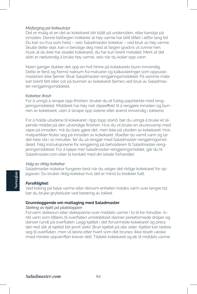## *Misfarging på kokeutstyr*

Det er mulig at en del av kokekaret blir blått på undersiden, eller kanskje på innsiden. Denne blåfargen indikerer at høy varme har blitt tilført i altfor lang tid. Du kan svi hva som helst – selv Saladmaster-kokekar – ved bruk av høy varme. Skulle dette skje, kan vi berolige deg med at fargen gradvis vil svinne hen. Husk at du ikke har skadet kokekaret, du har kun brent metallet. Merk at det aldri er nødvendig å bruke høy varme, selv når du koker opp vann.

Noen ganger dukker det opp en hvit hinne på kokekarets bunn innvendig. Dette er først og fremst natrium fra matvarer og kalkavleiringer som oppvaskmaskinen ikke fjerner. Bruk Saladmaster-rengjøringsmiddelet. På samme måte kan brent fett eller sot på bunnen av kokekaret fjernes ved bruk av Saladmaster-rengjøringsmiddelet.

#### *Kokekar-finish*

For å unngå å skrape opp finishen, bruker du et fuktig papirtørkle med rengjøringsmiddelet. Middelet har høy nok slipeeffekt til å rengjøre innsiden og bunnen av kokekaret, uten å skrape opp sidene eller øverst innvendig i lokkene.

For å holde utsidene til kokekaret i tipp topp stand, bør du unngå å bruke et slipende middel på den utvendige finishen. Hvis du vil bruke en skuresvamp med såpe på innsiden, må du bare gjøre det, men ikke på utsiden av kokekaret. Hvis matpartikler fester seg på innsiden av kokekaret, tilsetter du varmt vann og lar det hele stå i 10 minutter, før du så rengjør med Saladmaster-rengjøringsmiddelet. Følg instruksjonene for rengjøring på beholderen til Saladmaster-rengjøringsmiddelet. For å kjøpe mer Saladmaster-rengjøringsmiddel, går du til Saladmaster.com eller ta kontakt med din lokale forhandler.

#### *Valg av riktig kokekar*

Saladmaster-kokekar fungerer best når du velger det riktige kokekaret for oppgaven. Du bruker riktig kokekar hvis det er minst to tredeler fullt.

#### *Forsiktighet:*

Ved koking på høye varme eller dersom enheten holdes varm over lengre tid, bør du bruke grytekluter ved berøring av lokket.

#### **Grunnleggende om matlaging med Saladmaster**

#### *Steking av kjøtt på platetoppen*

Forvarm stekeovn eller stekepanne over middels varme i to til tre minutter, inntil vann som tilføres til overflaten umiddelbart danner perleformede dråper og danser rundt på overflaten. Legg kjøttet i det forvarmede kokekaret og press det ned slik at kjøttet blir jevnt stekt. Brun kjøttet på alle sider. Kjøttet kan klebre seg til overflaten, men vil løsne etter hvert som det brunes. Ikke tilsett væske (med mindre oppskriften krever det). Tildekk kokekaret og øk til middels varme.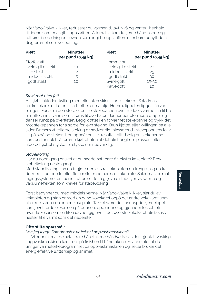Når Vapo-Valve klikker, reduserer du varmen til lavt nivå og venter i henhold til tidene som er angitt i oppskriften. Alternativt kan du fjerne håndtakene og fullføre tilberedningen i ovnen som angitt i oppskriften, eller bare benytt dette diagrammet som veiledning.

| Kjøtt             | <b>Minutter</b><br>per pund (0,45 kg) | Kjøtt             | <b>Minutter</b><br>per pund (0,45 kg) |
|-------------------|---------------------------------------|-------------------|---------------------------------------|
| Storfekjøtt       |                                       | Lammelår          |                                       |
| veldig lite stekt | 10                                    | veldig lite stekt | 20                                    |
| lite stekt        | 12                                    | middels stekt     | 25                                    |
| middels stekt     | 15                                    | godt stekt        | 30                                    |
| godt stekt        | 20                                    | Svinekjøtt        | $25 - 30$                             |
|                   |                                       | Kalvekjøtt        | 20                                    |

## *Stekt mat uten fett*

Alt kjøtt, inkludert kylling med eller uten skinn, kan «stekes» i Saladmaster-kokekaret ditt uten tilsatt fett eller matolje. Hemmeligheten ligger i forvarmingen. Forvarm den store eller lille stekepannen over middels varme i to til tre minutter, inntil vann som tilføres til overflaten danner perleformede dråper og danser rundt på overflaten. Legg kjøttet i en forvarmet stekepanne og trykk det mot stekepannen for å sørge for jevn steking. Brun kjøttet eller kyllingen på alle sider. Dersom ytterligere steking er nødvendig, plasserer du stekepannens lokk litt på skrå og steker til du oppnår ønsket resultat. Alltid velg en stekepanne som er stor nok til å romme kjøttet uten at det blir trangt om plassen, eller tilbered kjøttet stykke for stykke om nødvendig.

## *Stabelkoking*

Har du noen gang ønsket at du hadde hatt bare én ekstra kokeplate? Prøv stabelkoking neste gang!

Med stabelkoking kan du frigjøre den ekstra kokeplaten du trengte, og du kan dermed tilberede to eller flere retter med bare én kokeplate. Saladmaster-matlagingssystemet er spesielt utformet for å gi jevn distribusjon av varme og vakuumeffekten som kreves for stabelkoking.

Først begynner du med middels varme. Når Vapo-Valve klikker, slår du av kokeplaten og stabler med en gang kokekaret oppå det andre kokekaret som allerede står på en annen kokeplate. Takket være det innebygde kjernelaget som jevnt fordeler varmen på bunnen, opp sidene og gjennom lokket, blir hvert kokekar som en liten uavhengig ovn – det øverste kokekaret blir faktisk nesten like varmt som det nederste!

## **Ofte stilte spørsmål:**

## *Kan jeg legge Saladmaster-kokekar i oppvaskmaskinen?*

Ja. Vi anbefaler at de avtakbare håndtakene håndvaskes, siden gjentatt vasking i oppvaskmaskinen kan tære på finishen til håndtakene. Vi anbefaler at du unngår varmetørkeprogrammet på oppvaskmaskinen og heller bruker det energieffektive lufttørkeprogrammet.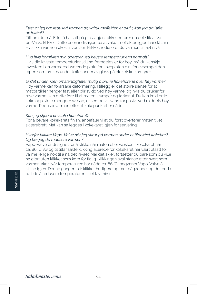## *Etter at jeg har redusert varmen og vakuumeffekten er aktiv, kan jeg da løfte av lokket?*

Titt om du må. Etter å ha satt på plass igjen lokket, roterer du det slik at Vapo-Valve klikker. Dette er en indikasjon på at vakuumeffekten igjen har slått inn. Hvis ikke varmen økes til ventilen klikker, reduserer du varmen til lavt nivå.

*Hva hvis komfyren min opererer ved høyere temperatur enn normalt?* Hvis din laveste temperaturinnstilling fremdeles er for høy, må du kanskje investere i en varmereduserende plate for kokeplaten din, for eksempel den typen som brukes under kaffekanner av glass på elektriske komfyrer.

## *Er det under noen omstendigheter mulig å bruke kokekarene over høy varme?*

Høy varme kan forårsake deformering. I tillegg er det større sjanse for at matpartikler henger fast eller blir svidd ved høy varme, og hvis du bruker for mye varme, kan dette føre til at maten krymper og tørker ut. Du kan imidlertid koke opp store mengder væske, eksempelvis vann for pasta, ved middels høy varme. Reduser varmen etter at kokepunktet er nådd.

## *Kan jeg skjære en stek i kokekaret?*

For å bevare kokekarets finish, anbefaler vi at du først overfører maten til et skjærebrett. Mat kan så legges i kokekaret igjen for servering.

## *Hvorfor klikker Vapo-Valve når jeg skrur på varmen under et tildekket kokekar? Og bør jeg da redusere varmen?*

Vapo-Valve er designet for å klikke når maten eller væsken i kokekaret når ca. 86 °C. Av og til tiltar sakte klikking allerede før kokekaret har vært utsatt for varme lenge nok til å nå det nivået. Når det skjer, fortsetter du bare som du ville ha gjort uten klikket som kom for tidlig. Klikkingen skal stanse etter hvert som varmen øker. Når temperaturen har nådd ca. 86 °C, begynner Vapo-Valve å klikke igjen. Denne gangen blir klikket hurtigere og mer pågående, og det er da på tide å redusere temperaturen til et lavt nivå.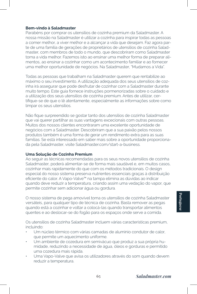## **Bem-vindo à Saladmaster**

Parabéns por comprar os utensílios de cozinha premium da Saladmaster. A nossa missão na Saladmaster é utilizar a cozinha para inspirar todas as pessoas a comer melhor, a viver melhor e a alcançar a vida que desejam. Faz agora parte de uma família de gerações de proprietários de utensílios de cozinha Saladmaster, com membros de todo o mundo, que descobriram como Saladmaster torna a vida melhor. Fazemos isto ao ensinar uma melhor forma de preparar alimentos, ao ensinar a cozinhar como um acontecimento familiar e ao fornecer uma melhor oportunidade de negócios. Na Saladmaster, "Mudamos a Vida".

Todas as pessoas que trabalham na Saladmaster querem que rentabilize ao máximo o seu investimento. A utilização adequada dos seus utensílios de cozinha irá assegurar que pode desfrutar de cozinhar com a Saladmaster durante muito tempo. Este guia fornece instruções pormenorizadas sobre o cuidado e a utilização dos seus utensílios de cozinha premium. Antes de utilizar, certifique-se de que o lê atentamente, especialmente as informações sobre como limpar os seus utensílios.

Não fique surpreendido se gostar tanto dos utensílios de cozinha Saladmaster que vai querer partilhar as suas vantagens excecionais com outras pessoas. Muitos dos nossos clientes encontraram uma excelente oportunidade de negócios com a Saladmaster. Descobriram que a sua paixão pelos nossos produtos também é uma forma de gerar um rendimento extra para as suas famílias. Se está interessado em saber mais sobre a oportunidade proporcionada pela Saladmaster, visite Saladmaster.com/start-a-business.

## **Uma Solução de Cozinha Premium**

Ao seguir as técnicas recomendadas para os seus novos utensílios de cozinha Saladmaster, poderá alimentar-se de forma mais saudável e, em muitos casos, cozinhar mais rapidamente do que com os métodos tradicionais. O design especial do nosso sistema preserva nutrientes essenciais graças à distribuição eficiente do calor. A Vapo-Valve™ na tampa elimina as dúvidas ao indicar quando deve reduzir a temperatura, criando assim uma vedação do vapor, que permite cozinhar sem adicionar água ou gordura.

O nosso sistema de pega amovível torna os utensílios de cozinha Saladmaster versáteis, para qualquer tipo de técnica de cozinha. Basta remover as pegas quando está a cozinhar e voltar a colocá-las quando transportar alimentos quentes e ao deslocar-se do fogão para os espaços onde serve a comida.

Os utensílios de cozinha Saladmaster incluem várias características premium, incluindo:

- Um núcleo térmico com várias camadas de alumínio condutor de calor, que permite um aquecimento uniforme.
- Um ambiente de cozedura em semivácuo que produz a sua própria humidade, reduzindo a necessidade de água, óleos e gorduras e permitido uma cozedura mais rápida.
- Uma Vapo-Valve que avisa os utilizadores através do som quando devem reduzir a temperatura.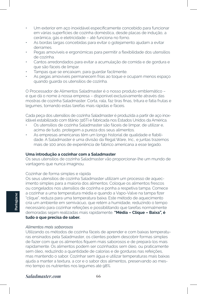- Um exterior em aço inoxidável especificamente concebido para funcionar em várias superfícies de cozinha doméstica, desde placas de indução, a cerâmica, gás e eletricidade – até funciona no forno.
- As bordas largas concebidas para evitar o gotejamento ajudam a evitar derrames.
- Pegas amovíveis e ergonómicas para permitir a flexibilidade dos utensílios de cozinha.
- Cantos arredondados para evitar a acumulação de comida e de gordura e que são fáceis de limpar.
- Tampas que se encaixam, para guardar facilmente.
- As pegas amovíveis permanecem frias ao toque e ocupam menos espaço quando guarda os utensílios de cozinha.

O Processador de Alimentos Saladmaster é o nosso produto emblemático – e que dá o nome à nossa empresa – disponível exclusivamente através das mostras de cozinha Saladmaster. Corta, rala, faz tiras finas, tritura e fatia frutas e legumes, tornando estas tarefas mais rápidas e fáceis.

Cada peça dos utensílios de cozinha Saladmaster é produzida a partir de aço inoxidável estabilizado com titânio 316Ti e fabricada nos Estados Unidos da América.

- Os utensílios de cozinha Saladmaster são fáceis de limpar, de utilizar e, acima de tudo, protegem a pureza dos seus alimentos.
- As empresas americanas têm um longo historial de qualidade e fiabilidade. A Saladmaster é uma divisão da Regal Ware, Inc., e juntas trazemos mais de 100 anos de experiência de fabrico americana a esse legado.

## **Uma introdução a cozinhar com a Saladmaster**

Os seus utensílios de cozinha Saladmaster vão proporcionar-lhe um mundo de vantagens que nunca imaginou.

#### Cozinhar de forma simples e rápida

Os seus utensílios de cozinha Saladmaster utilizam um processo de aquecimento simples para a maioria dos alimentos. Coloque os alimentos frescos ou congelados nos utensílios de cozinha e ponha a respetiva tampa. Comece a cozinhar a uma temperatura média e quando a Vapo-Valve na tampa fizer "clique", reduza para uma temperatura baixa. Este método de aquecimento cria um ambiente em semivácuo, que retém a humidade, reduzindo o tempo necessário para cozinhar refeições e possibilitando que tarefas normalmente demoradas sejam realizadas mais rapidamente. **"Média – Clique – Baixa", é tudo o que precisa de saber.**

#### *Alimentos mais saborosos*

**Portuguese**

Utilizando os métodos de cozinha fáceis de aprender e com baixas temperaturas ensinados pela Saladmaster, os clientes podem descobrir formas simples de fazer com que os alimentos fiquem mais saborosos e de prepará-los mais rapidamente. Os alimentos podem ser cozinhados sem óleo, ou praticamente sem óleo, reduzindo a quantidade de calorias e de gorduras nas refeições, mas mantendo o sabor. Cozinhar sem água e utilizar temperaturas mais baixas ajuda a manter a textura, a cor e o sabor dos alimentos, preservando ao mesmo tempo os nutrientes nos legumes até 98%.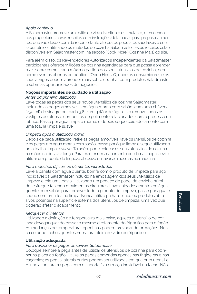## *Apoio contínuo*

A Saladmaster promove um estilo de vida divertido e estimulante, oferecendo aos proprietários novas receitas com instruções detalhadas para preparar alimentos, que vão desde comida reconfortante até pratos populares saudáveis e com sabor étnico, utilizando os métodos de cozinha Saladmaster. Estas receitas estão disponíveis em Saladmaster.com, na secção "Cook More" (Cozinhe Mais) do site.

Para além disso, os Revendedores Autorizados Independentes da Saladmaster participantes oferecem lições de cozinha agendadas para que possa aprender mais sobre como tirar o máximo partido dos seus utensílios de cozinha, bem como eventos abertos ao público ("Open House"), onde os consumidores e os seus amigos podem aprender mais sobre cozinhar com produtos Saladmaster e sobre as oportunidades de negócios.

## **Noções importantes de cuidado e utilização**

## *Antes da primeira utilização*

Lave todas as peças dos seus novos utensílios de cozinha Saladmaster, incluindo as pegas amovíveis, em água morna com sabão, com uma chávena (250 ml) de vinagre por cada 3,8 l (um galão) de água. Isto remove todos os vestígios de óleos e compostos de polimento relacionados com o processo de fabrico. Passe por água limpa e morna, e depois seque cuidadosamente com uma toalha limpa e suave.

## *Limpeza após a utilização diária*

Depois de cada utilização, retire as pegas amovíveis, lave os utensílios de cozinha e as pegas em água morna com sabão, passe por água limpa e seque utilizando uma toalha limpa e suave. Também pode colocar os seus utensílios de cozinha na máquina de lavar louça. Para manter um acabamento polido nas pegas, evite utilizar um produto de limpeza abrasivo ou lavar as mesmas na máquina.

## *Para manchas difíceis ou alimentos incrustados*

Lave a panela com água quente, borrife com o produto de limpeza para aço inoxidável da Saladmaster incluído na embalagem dos seus utensílios de limpeza e crie uma pasta. Utilizando um pedaço de papel de cozinha húmido, esfregue fazendo movimentos circulares. Lave cuidadosamente em água quente com sabão para remover todo o produto de limpeza, passe por água e seque com uma toalha limpa. Nunca utilize palha-de-aço ou produtos abrasivos potentes na superfície externa dos utensílios de limpeza, uma vez que poderão afetar o acabamento.

## *Reaquecer alimentos*

Utilizando a definição de temperatura mais baixa, aqueça o utensílio de cozinha devagar quando passar o mesmo diretamente do frigorífico para o fogão. As mudanças de temperatura repentinas podem provocar deformações. Nunca coloque tachos quentes numa prateleira de vidro do frigorífico.

## **Utilização adequada**

# *Para adicionar as pegas amovíveis Saladmaster*

Coloque sempre a pega antes de utilizar os utensílios de cozinha para cozinhar na placa do fogão. Utilize as pegas compridas apenas nas frigideiras e nas caçarolas; as pegas laterais curtas podem ser utilizadas em qualquer utensílio. Alinhe a ranhura na pega com o suporte fixo em aço inoxidável no tacho. Não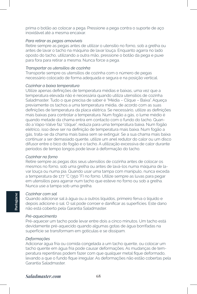prima o botão ao colocar a pega. Pressione a pega contra o suporte de aço inoxidável até a mesma encaixar.

## *Para retirar as pegas amovíveis*

Retire sempre as pegas antes de utilizar o utensílio no forno, sob a grelha ou antes de lavar o tacho na máquina de lavar louça. Enquanto agarra no lado oposto do tacho, utilizando a outra mão, pressione o botão da pega e puxe para fora para retirar a mesma. Nunca force a pega.

## *Transportar os utensílios de cozinha*

Transporte sempre os utensílios de cozinha com o número de pegas necessário colocado de forma adequada e segura e na posição vertical.

## *Cozinhar a baixa temperatura*

Utilize apenas definições de temperatura médias e baixas, uma vez que a temperatura elevada não é necessária quando utiliza utensílios de cozinha Saladmaster. Tudo o que precisa de saber é "Média – Clique – Baixa". Aqueça previamente os tachos a uma temperatura média, de acordo com as suas definições de temperatura da placa elétrica. Se necessário, utilize as definições mais baixas para controlar a temperatura. Num fogão a gás, o lume médio é quando metade da chama entra em contacto com o fundo do tacho. Quando a Vapo-Valve faz "clique", reduza para uma temperatura baixa. Num fogão elétrico, isso deve ser na definição de temperatura mais baixa. Num fogão a gás, trata-se da chama mais baixa sem se extinguir. Se a sua chama mais baixa continuar a ser demasiado quente, utilize um anel redutor do calor ou um disco difusor entre o bico do fogão e o tacho. A utilização excessiva de calor durante períodos de tempo longos pode levar à deformação do tacho.

## *Cozinhar no forno*

Retire sempre as pegas dos seus utensílios de cozinha antes de colocar os mesmos no forno, sob uma grelha ou antes de lavá-los numa máquina de lavar louça ou numa pia. Quando usar uma tampa com manípulo, nunca exceda a temperatura de 177 °C (350 °F) no forno. Utilize sempre as luvas para pegar em utensílios para agarrar num tacho que esteve no forno ou sob a grelha. Nunca use a tampa sob uma grelha.

## *Cozinhar com sal*

**Portuguese**

Quando adicionar sal à água ou a outros líquidos, primeiro ferva o líquido e depois adicione o sal. O sal pode corroer e danificar as superfícies. Este dano não está coberto pela Garantia Saladmaster.

## *Pré-aquecimento*

Pré-aquecer um tacho pode levar entre dois a cinco minutos. Um tacho está devidamente pré-aquecido quando algumas gotas de água borrifadas na superfície se transformam em gotículas e se dissipam.

#### *Deformações*

Adicionar água fria ou comida congelada a um tacho quente, ou colocar um tacho quente em água fria pode causar deformações. As mudanças de temperatura repentinas podem fazer com que qualquer metal fique deformado, levando a que o fundo fique irregular. As deformações não estão cobertas pela Garantia Saladmaster.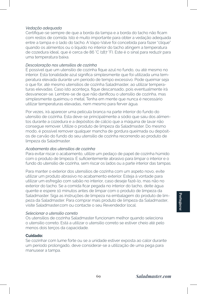## *Vedação adequada*

Certifique-se sempre de que a borda da tampa e a borda do tacho não ficam com restos de comida. Isto é muito importante para obter a vedação adequada entre a tampa e o lado do tacho. A Vapo-Valve foi concebida para fazer "clique" quando os alimentos ou o líquido no interior do tacho atingem a temperatura de cozedura ideal, que é cerca de 86 °C (187 °F). Este é o sinal para reduzir para uma temperatura baixa.

## *Descoloração nos utensílios de cozinha*

É possível que um utensílio de cozinha fique azul no fundo, ou até mesmo no interior. Esta tonalidade azul significa simplesmente que foi utilizada uma temperatura elevada durante um período de tempo excessivo. Pode queimar seja o que for, até mesmo utensílios de cozinha Saladmaster, ao utilizar temperaturas elevadas. Caso isto aconteça, fique descansado, pois eventualmente irá desvanecer-se. Lembre-se de que não danificou o utensílio de cozinha, mas simplesmente queimou o metal. Tenha em mente que nunca é necessário utilizar temperaturas elevadas, nem mesmo para ferver água.

Por vezes, irá aparecer uma película branca na parte interior do fundo do utensílio de cozinha. Esta deve-se principalmente a sódio que saiu dos alimentos durante a cozedura e a depósitos de cálcio que a máquina de lavar não consegue remover. Utilize o produto de limpeza da Saladmaster. Do mesmo modo, é possível remover qualquer mancha de gordura queimada ou depósitos de carvão do fundo do seu utensílio de cozinha recorrendo ao produto de limpeza da Saladmaster.

## *Acabamento dos utensílios de cozinha*

Para evitar riscar o acabamento, utilize um pedaço de papel de cozinha húmido com o produto de limpeza. É suficientemente abrasivo para limpar o interior e o fundo do utensílio de cozinha, sem riscar os lados ou a parte interior das tampas.

Para manter o exterior dos utensílios de cozinha com um aspeto novo, evite utilizar um produto abrasivo no acabamento exterior. Esteja à vontade para utilizar um esfregão com sabão no interior, caso deseje fazê-lo, mas não no exterior do tacho. Se a comida ficar pegada no interior do tacho, deite água quente e espere 10 minutos antes de limpar com o produto de limpeza da Saladmaster. Siga as instruções de limpeza na embalagem do produto de limpeza da Saladmaster. Para comprar mais produto de limpeza da Saladmaster, visite Saladmaster.com ou contacte o seu Revendedor local.

## *Selecionar o utensílio correto*

Os utensílios de cozinha Saladmaster funcionam melhor quando seleciona o utensílio correto. Está a utilizar o utensílio correto se estiver cheio até pelo menos dois terços da capacidade.

## **Cuidado:**

Se cozinhar com lume forte ou se a unidade estiver exposta ao calor durante um período prolongado, deve considerar-se a utilização de uma pega para manusear a tampa.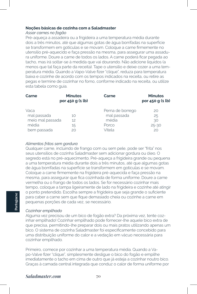## **Noções básicas de cozinha com a Saladmaster**

## *Assar carnes no fogão*

Pré-aqueça a assadeira ou a frigideira a uma temperatura média durante dois a três minutos, até que algumas gotas de água borrifadas na superfície se transformem em gotículas e se movam. Coloque a carne firmemente no utensílio pré-aquecido e faça pressão na mesma, para assegurar uma assadura uniforme. Doure a carne de todos os lados. A carne poderá ficar pegada ao tacho, mas irá soltar-se à medida que vai dourando. Não adicione líquidos (a menos que tal faça parte da receita). Tape o utensílio e deixe cozer a uma temperatura média. Quando a Vapo-Valve fizer "clique", reduza para temperatura baixa e cozinhe de acordo com os tempos indicados na receita, ou retire as pegas e termine de cozinhar no forno, conforme indicado na receita, ou utilize esta tabela como guia.

| Carne            | <b>Minutos</b><br>por 450 g (1 lb) | Carne            | <b>Minutos</b><br>por 450 g (1 lb) |
|------------------|------------------------------------|------------------|------------------------------------|
| Vaca             | 10                                 | Perna de borrego | 20                                 |
| mal passada      |                                    | mal passada      | 25                                 |
| meio mal passada | 12                                 | média            | 30                                 |
| média            | 15                                 | Porco            | $25 - 30$                          |
| bem passada      | 20                                 | Vitela           | 20                                 |

## *Alimentos fritos sem gordura*

Qualquer carne, incluindo de frango com ou sem pele, pode ser "frita" nos seus utensílios de cozinha Saladmaster sem adicionar gordura ou óleo. O segredo está no pré-aquecimento. Pré-aqueça a frigideira grande ou pequena a uma temperatura média durante dois a três minutos, até que algumas gotas de água borrifadas na superfície se transformem em gotículas e se movam. Coloque a carne firmemente na frigideira pré-aquecida e faça pressão na mesma, para assegurar que fica cozinhada de forma uniforme. Doure a carne vermelha ou o frango de todos os lados. Se for necessário cozinhar mais tempo, coloque a tampa ligeiramente de lado na frigideira e cozinhe até atingir o ponto pretendido. Escolha sempre a frigideira que seja grande o suficiente para caber a carne sem que fique demasiado cheia ou cozinhe a carne em pequenas porções de cada vez, se necessário.

## *Cozinhar empilhado*

**Portuguese**

Alguma vez precisou de um bico de fogão extra? Da próxima vez, tente cozinhar empilhado! Cozinhar empilhado pode fornecer-lhe aquele bico extra de que precisa, permitindo-lhe preparar dois ou mais pratos utilizando apenas um bico. O sistema de cozinha Saladmaster foi especificamente concebido para uma distribuição uniforme do calor e a vedação em vácuo necessária para cozinhar empilhado.

Primeiro, comece por cozinhar a uma temperatura média. Quando a Vapo-Valve fizer "clique", simplesmente desligue o bico do fogão e empilhe imediatamente o tacho em cima de outro que já esteja a cozinhar noutro bico. Graças à camada central integrada que conduz o calor de forma uniforme por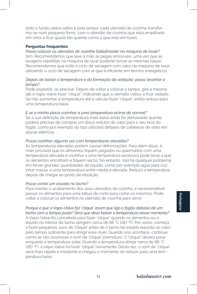todo o fundo, pelos lados e pela tampa, cada utensílio de cozinha transforma-se num pequeno forno, com o utensílio de cozinha que está empilhado em cima a ficar quase tão quente como o que está em baixo.

## **Perguntas frequentes:**

*Posso colocar os utensílios de cozinha Saladmaster na máquina de lavar?* Sim. Recomendamos que lave à mão as pegas amovíveis, uma vez que as lavagens repetidas na máquina de lavar poderão tornar as mesmas baças. Recomendamos que evite o ciclo de secagem com calor da máquina de lavar, utilizando o ciclo de secagem com ar que é eficiente em termos energéticos.

## *Depois de baixar a temperatura e da formação da vedação, posso levantar a tampa?*

Pode espreitar, se precisar. Depois de voltar a colocar a tampa, gire a mesma até à Vapo-Valve fazer "clique", indicando que o utensílio voltou a ficar vedado. Se não aumentar a temperatura até à válvula fazer "clique", então reduza para uma temperatura baixa.

## *E se a minha placa cozinhar a uma temperatura acima da normal?*

Se a sua definição de temperatura mais baixa ainda for demasiado quente, poderá precisar de comprar um disco redutor do calor para o seu bico do fogão, como por exemplo do tipo utilizado debaixo de cafeteiras de vidro em placas elétricas.

## *Posso cozinhar alguma vez com temperaturas elevadas?*

As temperaturas elevadas podem causar deformações. Para além disso, é mais provável que os alimentos fiquem pegados ou queimados com uma temperatura elevada e cozinhar a uma temperatura excessiva pode levar a que os alimentos encolham e fiquem secos. No entanto, não há qualquer problema em ferver grandes quantidades de líquido, como por exemplo água para cozinhar massa, a uma temperatura entre média e elevada. Reduza a temperatura depois de chegar ao ponto de ebulição.

#### *Posso cortar um assado no tacho?*

Para manter o acabamento dos seus utensílios de cozinha, é recomendável passar os alimentos para uma tábua de corte para cortar os mesmos. Pode voltar a colocar os alimentos no utensílio de cozinha para servir.

*Porque é que a Vapo-Valve faz "clique" assim que ligo o fogão debaixo de um tacho com a tampa posta? Será que devo baixar a temperatura nesse momento?* A Vapo-Valve foi concebida para fazer "clique" quando os alimentos ou o líquido no interior do tacho atingem cerca de 86 °C (187 °F). Por vezes, começa a fazer pequenos sons de "clique" antes de o tacho ter estado exposto ao calor pelo tempo suficiente para atingir esse nível. Quando isso acontece, continue como se não ocorresse o som de "clique" prematuro. O "clique" deverá parar enquanto a temperatura sobe. Quando a temperatura atingir cerca de 86 °C (187 °F), a Vapo-Valve irá fazer "clique" novamente. Desta vez, o som de "clique" será mais rápido e insistente e chegou o momento de reduzir para uma temperatura baixa.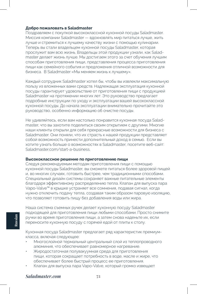## **Добро пожаловать в Saladmaster**

Поздравляем с покупкой высококлассной кухонной посуды Saladmaster. Миссия компании Saladmaster — вдохновлять мир питаться лучше, жить лучше и стремиться к лучшему качеству жизни с помощью кулинарии. Теперь вы стали владельцем кухонной посуды Saladmaster, которая прослужит вам всю жизнь. Владельцы этой продукции узнали, как Saladmaster делает жизнь лучше. Мы достигаем этого за счет обучения лучшим способам приготовления пищи, представления процесса приготовления пищи как семейного события и предложения отличной возможности для бизнеса. В Saladmaster «Мы меняем жизнь к лучшему».

Каждый сотрудник Saladmaster хотел бы, чтобы вы извлекли максимальную пользу из вложенных вами средств. Надлежащая эксплуатация кухонной посуды гарантирует удовольствие от приготовления пищи с продукцией Saladmaster на протяжении многих лет. Это руководство предлагает подробные инструкции по уходу и эксплуатации вашей высококлассной кухонной посуды. До начала эксплуатации внимательно прочитайте это руководство, особенно информацию об очистке посуды.

Не удивляйтесь, если вам настолько понравится кухонная посуда Saladmaster, что вы захотите поделиться своим открытием с другими. Многие наши клиенты открыли для себя прекрасные возможности для бизнеса с Saladmaster. Они поняли, что их страсть к нашей продукции представляет собой возможность принести дополнительный доход в семью. Если вы хотите узнать больше о возможностях в Saladmaster, посетите веб-сайт: Saladmaster.com/start-a-business.

### **Высококлассное решение по приготовлению пищи**

Следуя рекомендуемым методам приготовления пищи с помощью кухонной посуды Saladmaster, вы сможете питаться более здоровой пищей и, во многих случаях, готовить быстрее, чем традиционными способами. Специальный дизайн системы сохраняет важные питательные элементы благодаря эффективному распределению тепла. Клапан для выпуска пара Vapo-Valve™ в крышке устраняет все сомнения, подавая сигнал, когда нужно отключить подачу тепла, создавая таким образом паровую изоляцию, что позволяет готовить пищу без добавления воды или жира.

Наша система съемных ручек делает кухонную посуду Saladmaster подходящей для приготовления пищи любыми способами. Просто снимите ручки во время приготовления пищи, а затем снова наденьте их, если переносите кухонную посуду с горячей едой от плиты к столу.

Кухонная посуда Saladmaster предлагает ряд характеристик премиумкласса, включая следующее:

- Многослойной термальный центральный слой из теплопроводного алюминия, что обеспечивает равномерное нагревание.
- Жиродостаточная полувакуумная среда для приготовления пищи, которая сокращает потребность в воде, масле и жире, что обеспечивает более быстрый процесс ее приготовления.
- Клапан для выпуска пара Vapo-Valve, который громко извещает

## *Saladmaster.com* **72**

**Russian**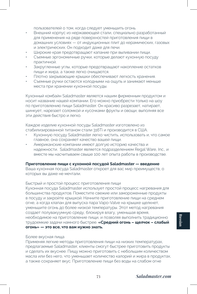пользователей о том, когда следует уменьшить огонь.

- Внешний корпус из нержавеющей стали, специально разработанный для применения на ряде поверхностей приготовления пищи в домашних условиях — от индукционных плит до керамических, газовых и электрических. Он подходит даже для печи.
- Широкие края предотвращают капание при выливании пищи.
- Съемные эргономичные ручки, которые делают кухонную посуду практичной.
- Закругленные углы, которые предотвращают накопление остатков пищи и жира, а также легко очищаются.
- Плотно закрывающие крышки обеспечивают легкость хранения.
- Съемные ручки остаются холодными на ощупь и занимают меньше места при хранении кухонной посуды.

Кухонный комбайн Saladmaster является нашим фирменным продуктом и носит название нашей компании. Его можно приобрести только на шоу по приготовлению пищи Saladmaster. Он красиво разрезает, натирает, шинкует, нарезает соломкой и кусочками фрукты и овощи, выполняя все эти действия быстро и легко.

Каждое изделие кухонной посуды Saladmaster изготовлено из стабилизированной титаном стали 316Ti и производится в США.

- Кухонную посуду Saladmaster легко чистить, использовать и, что самое главное, она сохраняет качество вашей пищи.
- Американские компании имеют долгую историю качества и надежности. Saladmaster является подразделением Regal Ware, Inc., и вместе мы насчитываем свыше 100 лет опыта работы в производстве.

## **Приготовление пищи с кухонной посудой Saladmaster — введение**

Ваша кухонная посуда Saladmaster откроет для вас мир преимуществ, о которых вы даже не мечтали.

## Быстрый и простой процесс приготовления пищи

Кухонная посуда Saladmaster использует простой процесс нагревания для большинства продуктов. Поместите свежие или замороженные продукты в посуду и закройте крышкой. Начните приготовление пищи на среднем огне, а когда клапан для выпуска пара Vapo-Valve на крышке щелкнет, уменьшите огонь до более низкой температуры. Этот метод нагревания создает полувакуумную среду, блокируя влагу, уменьшая время, необходимое на приготовление пищи, и позволяя выполнить традиционно трудоемкие задачи намного быстрее. **«Средний огонь – щелчок – слабый огонь» — это все, что вам нужно знать.**

## Более вкусная пища

Применяя легкие методы приготовления пищи на низких температурах, предлагаемые Saladmaster, клиенты смогут быстрее приготовить продукты и сделать их вкуснее. Пищу можно приготовить с небольшим количеством масла или без него, что уменьшает количество калорий и жира в продуктах, а также сохраняет вкус. Приготовление пищи без воды на слабом огне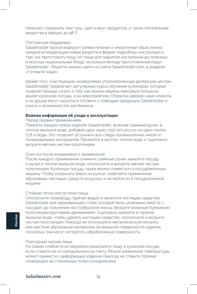помогает сохранить текстуру, цвет и вкус продуктов, а также питательные вещества в овощах до 98 %.

### Постоянная поддержка

Saladmaster пропагандирует увлекательный и энергичный образ жизни, предлагая владельцам новые рецепты в форме подробных инструкций о том, как приготовить пищу (от пищи для поднятия настроения до полезных и вкусных национальных блюд), используя методы приготовления пищи Saladmaster. Рецепты можно найти на сайте Saladmaster.com, в разделе «Готовьте чаще».

Кроме того, участвующие независимые уполномоченные дилерские центры Saladmaster предлагают регулярные курсы обучения кулинарии, которые позволят больше узнать о том, как можно извлечь максимум пользы из вашей кухонной посуды, а на мероприятиях Открытых дверей наши клиенты и их друзья могут научиться готовить с помощью продукции Saladmaster и узнать о возможностях для бизнеса.

## **Важная информация об уходе и эксплуатации**

Перед первым применением

Помойте каждое новое изделие Saladmaster, включая съемные ручки, в теплой мыльной воде, добавив одну чашку (250 мл) уксуса на один галлон (3,8 л) воды. Это позволит устранить все следы промышленных масел и полировальных материалов. Промойте в чистой, теплой воде и тщательно вытрите мягким чистым полотенцем.

### Очистка после ежедневного применения

После каждого применения снимите съемные ручки, вымойте посуду и ручки в теплой мыльной воде, ополосните и вытрите мягким чистым полотенцем. Кухонную посуду также можно поместить в посудомоечную машину. Чтобы сохранить блеск на ручках, избегайте применения абразивных чистящих средств на ручках и не мойте их в посудомоечной машине.

#### Стойкие пятна или остатки пищи

Ополосните сковороду горячей водой и нанесите чистящее средство Saladmaster для нержавеющей стали, которое было упаковано вместе с посудой, до получения пастообразной массы. Вытрите влажным бумажным полотенцем круговыми движениями. Тщательно вымойте в горячей мыльной воде, чтобы удалить чистящее средство, ополосните и вытрите чистым полотенцем. Никогда не используйте металлическую мочалку или жесткие абразивные материалы на внешней поверхности изделия, поскольку они могут испортить обработанную поверхность.

## Повторный нагрев пищи

На самом слабом огне медленно разогрейте пищу в кухонной посуде, если ставите ее из холодильника на плиту. Резкое изменение температуры может привести к деформации изделия. Никогда не ставьте горячие сковородки на стеклянные полки холодильника.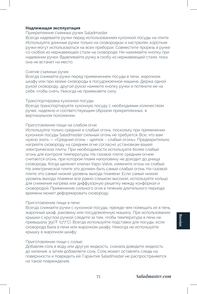## **Надлежащая эксплуатация**

#### Прикрепление съемных ручек Saladmaster

Всегда надевайте ручки перед использованием кухонной посуды на плите. Используйте длинные ручки только на сковородках и кастрюлях; короткие ручки могут использоваться на всех приборах. Совместите прорезь в ручке со скобой из нержавеющей стали на сковороде. Не нажимайте кнопку при надевании ручки. Вдавливайте ручку в скобу из нержавеющей стали, пока она не встанет на место.

## Снятие съемных ручек

Всегда снимайте ручки перед применением посуды в печи, жарочном шкафу или при мойке сковороды в посудомоечной машине. Держа одной рукой сковороду, другой рукой нажмите кнопку ручки и потяните ее на себя, чтобы снять. Никогда не применяйте силу.

#### Транспортировка кухонной посуды

Всегда транспортируйте кухонную посуду с необходимым количеством ручек, надежно и соответствующим образом прикрепленных, в вертикальном положении.

## Приготовление пищи на слабом огне

Используйте только средний и слабый огонь, поскольку при применении кухонной посуды Saladmaster сильный огонь не требуется. Все, что вам нужно знать — «Средний огонь – щелчок – слабый огонь». Предварительно нагрейте сковороду на среднем огне согласно установкам вашей электрической плиты. При необходимости используйте более слабый огонь для контроля температуры. На газовой плите средним огнем считается огонь, при котором пламя наполовину не доходит до днища сковороды. Когда щелкнет клапан Vapo-Valve, измените огонь на слабый. На электрической плите это должен быть самый слабый огонь. На газовой плите это самый низкий уровень выхода пламени. Если самый низкий уровень выхода пламени все равно слишком высокий, используйте кольцо для снижения нагрева или диффузорную решетку между конфоркой и сковородой. Применение сильного огня в течение длительного периода времени может деформировать сковороду.

#### Приготовление пищи в печи

Всегда снимайте ручки с кухонной посуды, прежде чем помещать их в печь, жарочный шкаф, раковину или посудомоечную машину. При использовании крышки с круглой ручкой следите за тем, чтобы температура в печи не превышала 350°F (177°C). Всегда используйте подставки для посуды, если сковорода была в печи или жарочном шкафу. Никогда не используйте крышку в жарочном шкафу.

#### Приготовление пищи с солью

Добавляя соль в воду или другую жидкость, сначала доведите жидкость до кипения, а затем добавляйте соль. Соль может оставлять следы на поверхности и повредить ей. Гарантия Saladmaster не распространяется на такое повреждение.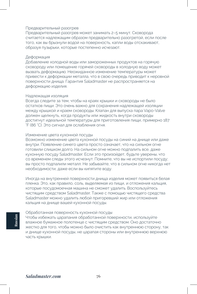## Предварительный разогрев

Предварительный разогрев может занимать 2–5 минут. Сковорода считается надлежащим образом предварительно разогретой, если после того, как вы брызнули водой на поверхность, капли воды отскакивают, образуя пузырьки, которые постепенно исчезают.

## Деформация

Добавление холодной воды или замороженных продуктов на горячую сковороду или помещение горячей сковороды в холодную воду может вызвать деформацию. Неожиданное изменение температуры может привести к деформации металла, что в свою очередь приводит к неровной поверхности днища. Гарантия Saladmaster не распространяется на деформацию изделия.

### Надлежащая изоляция

Всегда следите за тем, чтобы на краях крышки и сковороды не было остатков пищи. Это очень важно для сохранения надлежащей изоляции между крышкой и краем сковороды. Клапан для выпуска пара Vapo-Valve должен щелкнуть, когда продукты или жидкость внутри сковороды достигнут идеальной температуры для приготовления пищи, примерно 187 °F (86 °C). Это сигнал для ослабления огня.

## Изменение цвета кухонной посуды

Возможно изменение цвета кухонной посуды на синий на днище или даже внутри. Появление синего цвета просто означает, что на сильном огне готовили слишком долго. На сильном огне можно подпалить все, даже кухонную посуду Saladmaster. Если это произойдет, будьте уверены, что со временем следы этого исчезнут. Помните, что вы не испортили посуду; вы просто подпалили металл. Не забывайте, что в сильном огне никогда нет необходимости, даже если вы кипятите воду.

Иногда на внутренней поверхности днища изделия может появиться белая пленка. Это, как правило, соль, выделяемая из пищи, и отложения кальция, которые посудомоечная машина не сможет удалить. Воспользуйтесь чистящим средством Saladmaster. Также с помощью чистящего средства Saladmaster можно удалить любой пригоревший жир или отложения кальция на днище вашей кухонной посуды.

## Обработанная поверхность кухонной посуды

Чтобы избежать царапания обработанной поверхности, используйте влажное бумажное полотенце с чистящим средством. Оно достаточно жестко для того, чтобы можно было очистить как внутреннюю сторону, так и днище кухонной посуды, не царапая стороны или внутреннюю верхнюю часть крышки.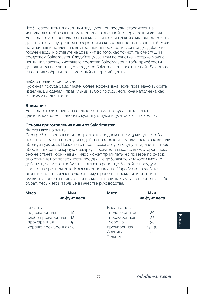Чтобы сохранить изначальный вид кухонной посуды, старайтесь не использовать абразивные материалы на внешней поверхности изделия. Если вы хотите воспользоваться металлической губкой с мылом, вы можете делать это на внутренней поверхности сковороды, но не на внешней. Если остатки пищи прилипли к внутренней поверхности сковороды, добавьте горячей воды и оставьте на 10 минут до того, как почистить с чистящим средством Saladmaster. Следуйте указаниям по очистке, которые можно найти на упаковке чистящего средства Saladmaster. Чтобы приобрести дополнительное чистящее средство Saladmaster, посетите сайт Saladmaster.com или обратитесь в местный дилерский центр.

#### Выбор правильной посуды

Кухонная посуда Saladmaster более эффективна, если правильно выбрать изделие. Вы сделали правильный выбор посуды, если она наполнена как минимум на две трети.

#### **Внимание:**

Если вы готовите пищу на сильном огне или посуда нагревалась длительное время, наденьте кухонную рукавицу, чтобы снять крышку.

#### **Основы приготовления пищи от Saladmaster**

#### Жарка мяса на плите

Разогрейте жаровню или кастрюлю на среднем огне 2–3 минуты, чтобы после того, как вы брызнули водой на поверхность, капли воды отскакивали, образуя пузырьки. Поместите мясо в разогретую посуду и надавите, чтобы обеспечить равномерную обжарку. Прожарьте мясо со всех сторон, пока оно не станет коричневым. Мясо может прилипать, но по мере прожарки оно отлипнет от поверхности посуды. Не добавляйте жидкости (можно добавить, если это требуется согласно рецепту). Закройте посуду и жарьте на среднем огне. Когда щелкнет клапан Vapo-Valve, ослабьте огонь и жарьте согласно указанному в рецепте времени, или снимите ручки и закончите приготовление мяса в печи, как указано в рецепте, либо обратитесь к этой таблице в качестве руководства.

| Мясо                  | Мин.<br>на фунт веса | Мясо         | Мин.<br>на фунт веса |
|-----------------------|----------------------|--------------|----------------------|
| овядина               |                      | Баранья нога |                      |
| недожаренная          | 10                   | недожаренная | 20                   |
| слабо прожаренная     | 12                   | прожаренная  | 25                   |
| прожаренная           | 15                   | ХОРОШО       | 30                   |
| хорошо прожаренная 20 |                      | прожаренная  | $25 - 30$            |
|                       |                      | Свинина      | 20                   |
|                       |                      | Телятина     |                      |

**Russian**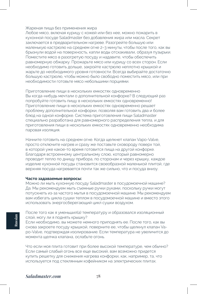## Жареная пища без применения жира

Любое мясо, включая курицу с кожей или без нее, можно пожарить в кухонной посуде Saladmaster без добавления жира или масла. Секрет заключается в предварительном нагреве. Разогрейте большую или маленькую кастрюлю на среднем огне 2–3 минуты, чтобы после того, как вы брызнули водой на поверхность, капли воды отскакивали, образуя пузырьки. Поместите мясо в разогретую посуду и надавите, чтобы обеспечить равномерную обжарку. Прожарьте мясо или курицу со всех сторон. Если необходимо готовить дольше, закройте кастрюлю неплотно крышкой и жарьте до необходимого уровня готовности. Всегда выбирайте достаточно большую кастрюлю, чтобы можно было свободно поместить мясо, или при необходимости готовьте мясо небольшими порциями.

Приготовление пищи в нескольких емкостях одновременно Вы когда-нибудь мечтали о дополнительной конфорке? В следующий раз попробуйте готовить пищу в нескольких емкостях одновременно! Приготовление пищи в нескольких емкостях одновременно решает проблему дополнительной конфорки, позволяя вам готовить два и более блюд на одной конфорке. Система приготовления пищи Saladmaster специально разработана для равномерного распределения тепла, и для приготовления пищи в нескольких емкостях одновременно необходима паровая изоляция.

Начните готовить на среднем огне. Когда щелкнет клапан Vapo-Valve, просто отключите нагрев и сразу же поставьте сковороду поверх той, в которой уже какое-то время готовится пища на другой конфорке. Благодаря встроенному центральному слою, который равномерно проводит тепло по днищу прибора, по сторонам и через крышку, каждое изделие кухонной посуды становится своеобразной маленькой плитой, где верхняя посуда нагревается почти так же сильно, что и посуда внизу.

### **Часто задаваемые вопросы:**

Можно ли мыть кухонную посуду Saladmaster в посудомоечной машине? Да. Мы рекомендуем мыть съемные ручки руками, поскольку ручки могут потускнеть из-за частого мытья в посудомоечной машине. Мы рекомендуем вам избегать цикла сушки теплом в посудомоечной машине и вместо этого использовать энергосберегающий цикл сушки воздухом.

После того как я уменьшил(а) температуру и образовался изоляционный слой, могу ли я поднять крышку?

Если необходимо, вы можете немного приподнять ее. После того, как вы снова закроете посуду крышкой, поверните ее, чтобы щелкнул клапан Vapo-Valve, подтверждая изолирование. Если температура не увеличится до момента щелчка клапана, ослабьте огонь.

Что если моя плита готовит при более высокой температуре, чем обычно? Если самый слабый огонь все еще высокий, вам возможно придется купить решетку для снижения нагрева конфорки, как, например, та, что используется под стеклянным кофейником на электрических плитах.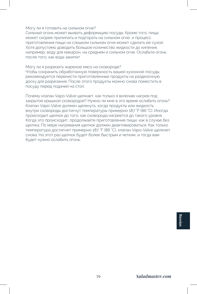## Могу ли я готовить на сильном огне?

Сильный огонь может вызвать деформацию посуды. Кроме того, пища может скорее прилипать и подгорать на сильном огне, и процесс приготовления пищи на слишком сильном огне может сделать ее сухой. Хотя допустимо доводить большое количество жидкости до кипения, например, воду для макарон, на среднем и сильном огне. Ослабьте огонь после того, как вода закипит.

Могу ли я разрезать жареное мясо на сковороде? Чтобы сохранить обработанную поверхность вашей кухонной посуды, рекомендуется перенести приготовленные продукты на разделочную доску для разрезания. После этого продукты можно снова поместить в посуду перед подачей на стол.

Почему клапан Vapo-Valve щелкает, как только я включаю нагрев под закрытой крышкой сковородой? Нужно ли мне в это время ослабить огонь? Клапан Vapo-Valve должен щелкнуть, когда продукты или жидкость внутри сковороды достигнут температуры примерно 187 °F (86 °C). Иногда происходит щелчок до того, как сковорода нагреется до такого уровня. Когда это происходит, продолжайте приготовление пищи, как в случае без щелчка. По мере нагревания щелчок должен деактивироваться. Как только температура достигнет примерно 187 °F (86 °C), клапан Vapo-Valve щелкнет снова. На этот раз щелчок будет более быстрым и четким, и тогда вам будет нужно ослабить огонь.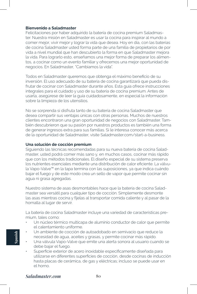### **Bienvenido a Saladmaster**

Felicitaciones por haber adquirido la batería de cocina premium Saladmaster. Nuestra misión en Saladmaster es usar la cocina para inspirar al mundo a comer mejor, vivir mejor y lograr la vida que desea. Hoy en día, con las baterías de cocina Saladmaster usted forma parte de una familia de propietarios de por vida a nivel mundial que han descubierto la forma en que Saladmaster mejora la vida. Para lograrlo esto, enseñamos una mejor forma de preparar los alimentos, a cocinar como un evento familiar y ofrecemos una mejor oportunidad de negocios. En Saladmaster, "Cambiamos la vida".

Todos en Saladmaster queremos que obtenga el máximo beneficio de su inversión. El uso adecuado de su batería de cocina garantizará que pueda disfrutar de cocinar con Saladmaster durante años. Esta guía ofrece instrucciones integrales para el cuidado y uso de su batería de cocina premium. Antes de usarla, asegúrese de leer la guía cuidadosamente, en especial la información sobre la limpieza de los utensilios.

No se sorprenda si disfruta tanto de su batería de cocina Saladmaster que desea compartir sus ventajas únicas con otras personas. Muchos de nuestros clientes encontraron una gran oportunidad de negocios con Saladmaster. También descubrieron que su pasión por nuestros productos es también una forma de generar ingresos extra para sus familias. Si le interesa conocer más acerca de la oportunidad de Saladmaster, visite Saladmaster.com/start-a-business.

### **Una solución de cocción premium**

Siguiendo las técnicas recomendadas para su nueva batería de cocina Saladmaster, usted podrá comer más sano y, en muchos casos, cocinar más rápido que con los métodos tradicionales. El diseño especial de su sistema preserva los nutrientes esenciales mediante una distribución de calor eficiente. La válvula Vapo-Valve™ en la tapa termina con las suposiciones, ya que indica cuándo bajar el fuego y de este modo crea un sello de vapor que permite cocinar sin agua ni grasa agregadas.

Nuestro sistema de asas desmontables hace que la batería de cocina Saladmaster sea versátil para cualquier tipo de cocción. Simplemente desmonte las asas mientras cocina y fíjelas al transportar comida caliente y al pasar de la hornalla al lugar de servir.

La batería de cocina Saladmaster incluye una variedad de características premium, tales como:

- Un núcleo térmico multicapa de aluminio conductor de calor que permite el calentamiento uniforme.
- Un ambiente de cocción de autoadobado en semivacío que reduce la necesidad de agua, aceites y grasas, y permite cocinar más rápido.
- Una válvula Vapo-Valve que emite una alerta sonora al usuario cuando se debe bajar el fuego.
- Superficie exterior de acero inoxidable específicamente diseñada para utilizarse en diferentes superficies de cocción, desde cocinas de inducción hasta placas de cerámica, de gas y eléctricas; incluso se puede usar en el horno.

# *Saladmaster.com* **80**

**Spanish**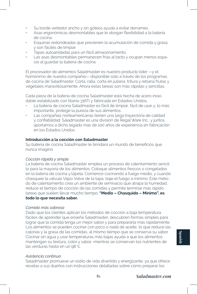- Su borde vertedor ancho y sin goteos ayuda a evitar derrames.
- Asas ergonómicas desmontables que le otorgan flexibilidad a la batería de cocina.
- Esquinas redondeadas que previenen la acumulación de comida y grasa, y son fáciles de limpiar.
- Tapas autoanidadas para un fácil almacenamiento.
- Las asas desmontables permanecen frías al tacto y ocupan menos espacio al guardar la batería de cocina.

El procesador de alimentos Saladmaster es nuestro producto líder —y el homónimo de nuestra compañía— disponible solo a través de los programas de cocina de Saladmaster. Corta, ralla, corta en juliana, tritura y rebana frutas y vegetales maravillosamente. Ahora estas tareas son más rápidas y sencillas.

Cada pieza de la batería de cocina Saladmaster está hecha de acero inoxidable estabilizado con titanio 316Ti y fabricada en Estados Unidos.

- La batería de cocina Saladmaster es fácil de limpiar, fácil de usar y, lo más importante, protege la pureza de sus alimentos.
- Las compañías norteamericanas tienen una larga trayectoria de calidad y confiabilidad. Saladmaster es una división de Regal Ware Inc., y juntos aportamos a dicho legado más de 100 años de experiencia en fabricación en los Estados Unidos.

## **Introducción a la cocción con Saladmaster**

Su batería de cocina Saladmaster le brindará un mundo de beneficios que nunca imaginó.

### *Cocción rápida y simple*

La batería de cocina Saladmaster emplea un proceso de calentamiento sencillo para la mayoría de los alimentos. Coloque alimentos frescos o congelados en la batería de cocina y tápela. Comience cocinando a fuego medio, y cuando chasquee la válvula Vapo-Valve de la tapa, baje el fuego a mínimo. Este método de calentamiento crea un ambiente de semivacío que atrapa la humedad, reduce el tiempo de cocción de las comidas y permite terminar más rápido tareas que suelen llevar mucho tiempo. **"Medio – Chasquido – Mínimo", es todo lo que necesita saber.**

## *Comida más sabrosa*

Dado que los clientes aplican los métodos de cocción a baja temperatura fáciles de aprender que enseña Saladmaster, descubren formas simples para lograr que la comida tenga un mejor sabor y para prepararla más rápidamente. Los alimentos se pueden cocinar con poco o nada de aceite, lo que reduce las calorías y la grasa de las comidas, al mismo tiempo que se conserva su sabor. Cocinar sin agua y usar temperaturas más bajas ayuda a que los alimentos mantengan su textura, color y sabor, mientras se conservan los nutrientes de las verduras hasta en un 98 %.

## *Asistencia continua*

Saladmaster promueve un estilo de vida divertido y energizante, ya que ofrece recetas a sus dueños con instrucciones detalladas sobre cómo preparar los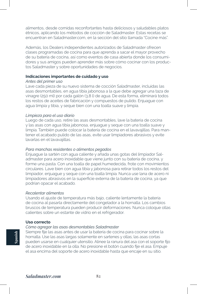alimentos, desde comidas reconfortantes hasta deliciosos y saludables platos étnicos, aplicando los métodos de cocción de Saladmaster. Estas recetas se encuentran en Saladmaster.com, en la sección del sitio llamada "Cocine más".

Además, los Dealers independientes autorizados de Saladmaster ofrecen clases programadas de cocina para que aprenda a sacar el mayor provecho de su batería de cocina, así como eventos de casa abierta donde los consumidores y sus amigos pueden aprender más sobre cómo cocinar con los productos Saladmaster y sobre oportunidades de negocios.

### **Indicaciones importantes de cuidado y uso**

#### *Antes del primer uso*

Lave cada pieza de su nuevo sistema de cocción Saladmaster, incluidas las asas desmontables, en agua tibia jabonosa a la que debe agregar una taza de vinagre (250 ml) por cada galón (3,8 l) de agua. De esta forma, eliminará todos los restos de aceites de fabricación y compuestos de pulido. Enjuague con agua limpia y tibia, y seque bien con una toalla suave y limpia.

## *Limpieza para el uso diario*

Luego de cada uso, retire las asas desmontables, lave la batería de cocina y las asas con agua tibia jabonosa, enjuague y seque con una toalla suave y limpia. También puede colocar la batería de cocina en el lavavajillas. Para mantener el acabado pulido de las asas, evite usar limpiadores abrasivos y evite lavarlas en el lavavajillas.

## *Para manchas resistentes o alimentos pegados*

Enjuague la sartén con agua caliente y añada unas gotas del limpiador Saladmaster para acero inoxidable que viene junto con su batería de cocina, y forme una pasta. Con una toalla de papel humedecida, frote con movimientos circulares. Lave bien con agua tibia y jabonosa para retirar todos los restos del limpiador, enjuague y seque con una toalla limpia. Nunca use lana de acero ni limpiadores abrasivos en la superficie externa de la batería de cocina, ya que podrían opacar el acabado.

### *Recalentar alimentos*

Usando el ajuste de temperatura más bajo, caliente lentamente la batería de cocina al pasarla directamente del congelador a la hornalla. Los cambios bruscos de temperatura pueden producir deformaciones. Nunca coloque ollas calientes sobre un estante de vidrio en el refrigerador.

### **Uso correcto**

## *Cómo agregar las asas desmontables Saladmaster*

Siempre fije las asas antes de usar la batería de cocina para cocinar sobre la hornalla. Use las asas largas solamente en sartenes y ollas; las asas cortas pueden usarse en cualquier utensilio. Alinee la ranura del asa con el soporte fijo de acero inoxidable en la olla. No presione el botón cuando fije el asa. Empuje el asa encima del soporte de acero inoxidable hasta que encaje en su sitio.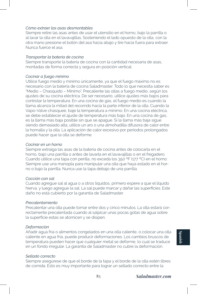## *Cómo extraer las asas desmontables*

Siempre retire las asas antes de usar el utensilio en el horno, bajo la parrilla o al lavar la olla en el lavavajillas. Sosteniendo el lado opuesto de la olla, con la otra mano presione el botón del asa hacia abajo y tire hacia fuera para extraer. Nunca fuerce el asa.

### *Transportar la batería de cocina*

Siempre transporte la batería de cocina con la cantidad necesaria de asas, montadas de forma correcta y segura en posición vertical.

## *Cocinar a fuego mínimo*

Utilice fuego medio y mínimo únicamente, ya que el fuego máximo no es necesario con la batería de cocina Saladmaster. Todo lo que necesita saber es "Medio – Chasquido – Mínimo". Precaliente las ollas a fuego medio, según los ajustes de su cocina eléctrica. De ser necesario, utilice ajustes más bajos para controlar la temperatura. En una cocina de gas, el fuego medio es cuando la llama alcanza la mitad del recorrido hacia la parte inferior de la olla. Cuando la Vapo-Valve chasquee, baje la temperatura a mínimo. En una cocina eléctrica, se debe establecer el ajuste de temperatura más bajo. En una cocina de gas, es la llama más baja posible sin que se apague. Si la llama más baja sigue siendo demasiado alta, utilice un aro o una almohadilla difusora de calor entre la hornalla y la olla. La aplicación de calor excesivo por períodos prolongados puede hacer que la olla se deforme.

## *Cocinar en un horno*

Siempre extraiga las asas de la batería de cocina antes de colocarla en el horno, bajo una parrilla o antes de lavarla en el lavavajillas o en el fregadero. Cuando utilice una tapa con perilla, no exceda los 350 ºF (177 ºC) en el horno. Siempre use una manopla para manipular una olla que haya estado en el horno o bajo la parrilla. Nunca use la tapa debajo de una parrilla.

#### *Cocción con sal*

Cuando agregue sal al agua o a otros líquidos, primero espere a que el líquido hierva, y luego agregue la sal. La sal puede marcar y dañar las superficies. Este daño no está cubierto por la garantía de Saladmaster.

#### *Precalentamiento*

Precalentar una olla puede tomar entre dos y cinco minutos. La olla estará correctamente precalentada cuando al salpicar unas pocas gotas de agua sobre la superficie estas se atomicen y se disipen.

#### *Deformación*

Añadir agua fría o alimentos congelados en una olla caliente, o colocar una olla caliente en agua fría, puede producir deformaciones. Los cambios bruscos de temperatura pueden hacer que cualquier metal se deforme, lo cual se traduce en un fondo irregular. La garantía de Saladmaster no cubre la deformación.

Siempre asegúrese de que el borde de la tapa y el borde de la olla estén libres de comida. Esto es muy importante para lograr un sellado correcto entre la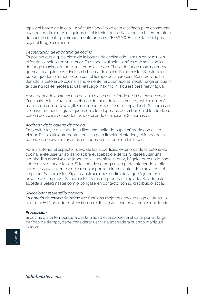tapa y el borde de la olla. La válvula Vapo-Valve está diseñada para chasquear cuando los alimentos o líquidos en el interior de la olla alcanzan la temperatura de cocción ideal, aproximadamente unos 187 °F (86 °C). Esta es la señal para bajar el fuego a mínimo.

## *Decoloración de la batería de cocina*

Es posible que alguna pieza de la batería de cocina adquiera un color azul en el fondo, o incluso en su interior. Este tono azul solo significa que se ha aplicado fuego máximo durante un tiempo excesivo. El uso de fuego máximo puede quemar cualquier cosa, incluso la batería de cocina Saladmaster. Si esto ocurre, puede quedarse tranquilo que con el tiempo desaparecerá. Recuerde: no ha dañado la batería de cocina, simplemente ha quemado el metal. Tenga en cuenta que nunca es necesario usar el fuego máximo, ni siquiera para hervir agua.

A veces, puede aparecer una película blanca en el fondo de la batería de cocina. Principalmente se trata de sodio cocido fuera de los alimentos, así como depósitos de calcio que el lavavajillas no puede extraer. Use el limpiador de Saladmaster. Del mismo modo, la grasa quemada o los depósitos de carbón en el fondo de su batería de cocina se pueden extraer usando el limpiador Saladmaster.

## *Acabado de la batería de cocina*

Para evitar rayar el acabado, utilice una toalla de papel húmeda con el limpiador. Es lo suficientemente abrasivo para limpiar el interior y el fondo de la batería de cocina sin rayar los costados ni el interior de las tapas.

Para mantener el aspecto nuevo de las superficies exteriores de la batería de cocina, evite usar un abrasivo sobre el acabado exterior. Si desea usar una almohadilla abrasiva con jabón en la superficie interior, hágalo, pero no lo haga sobre el exterior de la olla. Si la comida se pega en la parte interior de la olla, agregue agua caliente y deje remojar por 10 minutos antes de limpiar con el limpiador Saladmaster. Siga las instrucciones de limpieza que figuran en el envase del limpiador Saladmaster. Para comprar más limpiador Saladmaster, acceda a Saladmaster.com o póngase en contacto con su distribuidor local.

### *Seleccionar el utensilio correcto*

*La batería de cocina Saladmaster* funciona mejor cuando se elige el utensilio correcto. Está usando el utensilio correcto si está lleno en al menos dos tercios.

## *Precaución:*

Si cocina a alta temperatura o si la unidad está expuesta al calor por un largo período de tiempo, debe considerar usar una agarradera cuando manipule la tapa.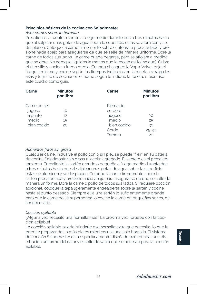## **Principios básicos de la cocina con Saladmaster**

## *Asar carnes sobre la hornalla*

Precaliente la fuente o sartén a fuego medio durante dos o tres minutos hasta que al salpicar unas gotas de agua sobre la superficie estas se atomicen y se desplacen. Coloque la carne firmemente sobre el utensilio precalentado y presione hacia abajo para asegurarse de que se selle de manera uniforme. Dore la carne de todos sus lados. La carne puede pegarse, pero se aflojará a medida que se dore. No agregue líquidos (a menos que la receta así lo indique). Cubra el utensilio y cocine a fuego medio. Cuando chasquee la Vapo-Valve, baje el fuego a mínimo y cocine según los tiempos indicados en la receta, extraiga las asas y termine de cocinar en el horno según lo indique la receta, o bien use este cuadro como guía.

| Carne                           | <b>Minutos</b><br>por libra | Carne                                              | <b>Minutos</b><br>por libra       |
|---------------------------------|-----------------------------|----------------------------------------------------|-----------------------------------|
| Carne de res<br>jugoso          | 10                          | Pierna de<br>cordero                               |                                   |
| a punto<br>medio<br>bien cocido | 12<br>15<br>20              | jugoso<br>medio<br>bien cocido<br>Cerdo<br>Ternera | 20<br>25<br>30<br>$25 - 30$<br>20 |

## *Alimentos fritos sin grasa*

Cualquier carne, inclusive el pollo con o sin piel, se puede "freír" en su batería de cocina Saladmaster sin grasa ni aceite agregado. El secreto es el precalentamiento. Precaliente la sartén grande o pequeña a fuego medio durante dos o tres minutos hasta que al salpicar unas gotas de agua sobre la superficie estas se atomicen y se desplacen. Coloque la carne firmemente sobre la sartén precalentada y presione hacia abajo para asegurarse de que se selle de manera uniforme. Dore la carne o pollo de todos sus lados. Si requiere cocción adicional, coloque la tapa ligeramente entreabierta sobre la sartén y cocine hasta el punto deseado. Siempre elija una sartén lo suficientemente grande para que la carne no se superponga, o cocine la carne en pequeñas series, de ser necesario.

## *Cocción apilable*

¿Alguna vez necesitó una hornalla más? La próxima vez, ¡pruebe con la cocción apilable!

La cocción apilable puede brindarle esa hornalla extra que necesita, lo que le permite preparar dos o más platos mientras usa una sola hornalla. El sistema de cocción Saladmaster está específicamente diseñado para brindar una distribución uniforme del calor y el sello de vacío que se necesita para la cocción apilable.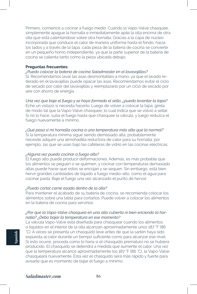Primero, comience a cocinar a fuego medio. Cuando la Vapo-Valve chasquee, simplemente apague la hornalla e inmediatamente apile la olla encima de otra olla que está calentándose sobre otra hornalla. Gracias a la capa de núcleo incorporada que conduce el calor de manera uniforme hasta el fondo, hacia los lados y a través de la tapa, cada pieza de la batería de cocina se convierte en un pequeño horno independiente, ya que la parte superior de la batería de cocina se calienta tanto como la pieza ubicada debajo.

#### **Preguntas frecuentes:**

*¿Puedo colocar la batería de cocina Saladmaster en el lavavajillas?*

Sí. Recomendamos lavar las asas desmontables a mano, ya que el lavado reiterado en el lavavajillas puede opacar las asas. Recomendamos evitar el ciclo de secado por calor del lavavajillas y reemplazarlo por un ciclo de secado por aire con ahorro de energía.

*Una vez que baje el fuego y se haya formado el sello, ¿puedo levantar la tapa?* Eche un vistazo si necesita hacerlo. Luego de volver a colocar la tapa, gírela de modo tal que la Vapo-Valve chasquee, lo cual indica que se volvió a sellar. Si no lo hace, suba el fuego hasta que chasquee la válvula, y luego reduzca el fuego nuevamente a mínimo.

*¿Qué pasa si mi hornalla cocina a una temperatura más alta que la normal?* Si la temperatura mínima sigue siendo demasiado alta, probablemente necesite adquirir una almohadilla reductora de calor para su hornalla; por ejemplo, las que se usan bajo las cafeteras de vidrio en las cocinas eléctricas.

## *¿Alguna vez puedo cocinar a fuego alto?*

El fuego alto puede producir deformaciones. Además, es más probable que los alimentos se peguen o se quemen, y cocinar con temperaturas demasiado altas puede hacer que estos se encojan y se sequen. Sin embargo, está bien hervir grandes cantidades de líquido a fuego medio-alto, como el agua para cocinar pasta. Baje el fuego una vez alcanzado el punto de hervor.

## *¿Puedo cortar carne asada dentro de la olla?*

Para mantener el acabado de su batería de cocina, se recomienda colocar los alimentos sobre una tabla para cortarlos. Puede volver a colocar los alimentos en la batería de cocina para servirlos.

## *¿Por qué la Vapo-Valve chasquea en una olla cubierta ni bien enciendo la hornalla? ¿Debo bajar la temperatura en ese momento?*

La válvula Vapo-Valve está diseñada para chasquear cuando los alimentos o líquidos en el interior de la olla alcanzan aproximadamente unos 187 °F (86 °C). A veces se presenta un chasquido leve antes de que la sartén haya sido expuesta al calor durante un tiempo suficiente como para alcanzar ese nivel. Si esto ocurre, proceda como lo haría si el chasquido prematuro no se hubiera producido. El chasquido se detendrá a medida que aumente el calor. Una vez que la temperatura alcance aproximadamente los 187 °F (86 °C), la Vapo-Valve chasqueará nuevamente. Esta vez el chasquido será más rápido y fuerte para avisarle que es momento de bajar el fuego a mínimo.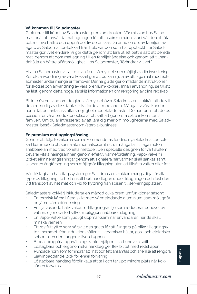## **Välkommen till Saladmaster**

Gratulerar till köpet av Saladmaster premium-kokkärl. Vår mission hos Saladmaster är att använda matlagningen för att inspirera människor i världen att äta bättre, leva bättre och uppnå det liv de önskar. Du är nu en del av familjen av ägare av Saladmaster-kokkärl från hela världen som har upptäckt hur Saladmaster gör livet enklare. Vi gör detta genom att lära ut ett bättre sätt att bereda mat, genom att göra matlagning till en familjehändelse och genom att tillhandahålla en bättre affärsmöjlighet. Hos Saladmaster, "förändrar vi livet."

Alla på Saladmaster vill att du ska få ut så mycket som möjligt av din investering. Korrekt användning av våra kokkärl gör att du kan njuta av att laga mat med Saladmaster under många år framöver. Denna guide ger omfattande instruktioner för skötsel och användning av våra premium-kokkärl. Innan användning, se till att ha läst igenom detta noga, särskilt informationen om rengöring av dina redskap.

Bli inte överraskad om du gläds så mycket över Saladmasters kokkärl att du vill dela med dig av dess fantastiska fördelar med andra. Många av våra kunder har hittat en fantastisk affärsmöjlighet med Saladmaster. De har funnit att deras passion för våra produkter också är ett sätt att generera extra inkomster till familjen. Om du är intresserad av att lära dig mer om möjligheterna med Saladmaster, besök Saladmaster.com/start-a-business.

## **En premium matlagningslösning**

Genom att följa teknikerna som rekommenderas för dina nya Saladmaster-kokkärl kommer du att kunna äta mer hälsosamt och, i många fall, tillaga maten snabbare än med traditionella metoder. Den speciella designen för vårt system bevarar vitala näringsämnen genom effektiv värmefördelning. Vapo-Valve™ i locket eliminerar gissningar genom att signalera när värmen skall sänkas samt skapar en ångförsegling som möjliggör tillagning utan att tillsätta vatten eller fett.

Vårt löstagbara handtagssystem gör Saladmasters kokkärl mångsidiga för alla typer av tillagning. Ta helt enkelt bort handtagen under tillagningen och fäst dem vid transport av het mat och vid förflyttning från spisen till serveringsplatsen.

Saladmasters kokkärl inkluderar en mängd olika premiumfunktioner såsom:

- En termisk kärna i flera skikt med värmeledande aluminium som möjliggör en jämn värmefördelning.
- En självösande halv-vakuum-tillagningsmiljö som reducerar behovet av vatten, oljor och fett vilket möjliggör snabbare tillagning.
- En Vapo-Valve som ljudligt uppmärksammar användaren när de skall minska värmen.
- Ett rostfritt yttre som särskilt designats för att fungera på olika tillagningsytor i hemmet, från induktionshällar, till keramiska hällar, gas- och elektriska spisar - och den fungerar även i ugnen.
- Breda, droppfria upphällningskanter hjälper till att undvika spill.
- Löstagbara och ergonomiska handtag ger flexibilitet med redskapen.
- Rundade hörn som förhindrar att mat och fett ansamlas och är enkla att rengöra.
- Självinbäddande lock för enkel förvaring.
- Löstagbara handtag förblir kalla att ta i och tar upp mindre plats när kokkärlen förvaras.

**Swedish**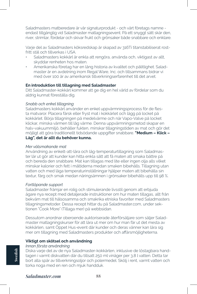Saladmasters matberedare är vår signaturprodukt - och vårt företags namne endast tillgänglig vid Saladmaster matlagningsevent. På ett snyggt sätt skär den, river, strimlar, fördelar och skivar frukt och grönsaker både snabbare och enklare.

Varje del av Saladmasters köksredskap är skapad av 316Ti titanstabiliserat rostfritt stål och tillverkas i USA.

- Saladmasters kokkärl är enkla att rengöra, använda och, viktigast av allt, skyddar renheten hos maten.
- Amerikanska företag har en lång historia av kvalitet och pålitlighet. Saladmaster är en avdelning inom Regal Ware, Inc. och tillsammans bidrar vi med över 100 år av amerikansk tillverkningserfarenhet till det arvet.

## **En introduktion till tillagning med Saladmaster**

Ditt Saladmaster-kokkärl kommer att ge dig en hel värld av fördelar som du aldrig kunnat föreställa dig.

#### *Snabb och enkel tillagning*

Saladmasters kokkärl använder en enkel uppvärmningsprocess för de flesta matvaror. Placera färsk eller fryst mat i kokkärlet och lägg på locket på kokkärlet. Börja tillagningen på medelvärme och när Vapo-Valve på locket klickar, minska värmen till låg värme. Denna uppvärmningsmetod skapar en halv-vakuummiljö, behåller fukten, minskar tillagningstiden av mat och gör det möjligt att göra traditionellt tidsödande uppgifter snabbare. **"Medium – Klick – Låg", det är allt du behöver kunna.**

### *Mer välsmakande mat*

Användning av enkelt-att-lära och låg-temperaturtillagning som Saladmaster lär ut gör att kunder kan hitta enkla sätt att få maten att smaka bättre på och bereda den snabbare. Mat kan tillagas med lite eller ingen olja alls vilket minskar kalorier och fett i måltiderna medan smaken bibehålls. Tillagning utan vatten och med låga temperaturinställningar hjälper maten att bibehålla sin textur, färg och smak medan näringsämnen i grönsaker bibehålls upp till 98 %.

## *Fortlöpande support*

Saladmaster främjar en rolig och stimulerande livsstil genom att erbjuda ägare nya recept med detaljerade instruktioner om hur maten tillagas, allt från bekväm mat till hälsosamma och smakrika etniska favoriter med Saladmasters tillagningsmetoder. Dessa recept hittar du på Saladmaster.com, under sektionen "Cook More" (Tillaga mer) på webbsidan.

Dessutom anordnar oberoende auktoriserade återförsäljare som säljer Saladmaster matlagningskurser för att lära ut mer om hur man får ut det mesta av kokkärlen, samt Öppet Hus-event där kunder och deras vänner kan lära sig mer om tillagning med Saladmasters produkter och affärsmöjligheterna.

## **Viktigt om skötsel och användning**

## *Innan första användning*

Diska varje del av de nya Saladmaster-kokkärlen, inklusive de löstagbara handtagen i varmt diskvatten där du tillsatt 250 ml vinäger per 3,8 l vatten. Detta tar bort alla spår av tillverkningsoljor och polermedel. Skölj i rent, varmt vatten och torka noga med en ren och mjuk handduk.

# *Saladmaster.com* **88**

**Swedish**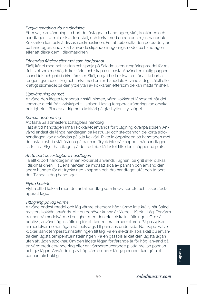## *Daglig rengöring vid användning*

Efter varje användning, ta bort de löstagbara handtagen, skölj kokkärlen och handtagen i varmt diskvatten, skölj och torka med en ren och mjuk handduk. Kokkärlen kan också diskas i diskmaskinen. För att bibehålla den polerade ytan på handtagen, undvik att använda slipande rengöringsmedel på handtagen eller att diska dem i diskmaskinen.

## *För envisa fläckar eller mat som har fastnat*

Skölj kärlet med hett vatten och spreja på Saladmasters rengöringsmedel för rostfritt stål som medföljde kokkärlet och skapa en pasta. Använd en fuktig pappershandduk och gnid i cirkelrörelser. Skölj noga i hett diskvatten för att ta bort allt rengöringsmedel, skölj och torka med en ren handduk. Använd aldrig stålull eller kraftigt slipmedel på den yttre ytan av kokkärlen eftersom de kan matta finishen.

## *Uppvärmning av mat*

Använd den lägsta temperaturinställningen, värm kokkärlet långsamt när det kommer direkt från kylskåpet till spisen. Hastig temperaturändring kan orsaka buktigheter. Placera aldrig heta kokkärl på glashyllor i kylskåpet.

## *Korrekt användning*

## Att fästa Saladmasters löstagbara handtag

Fäst alltid handtagen innan kokkärlet används för tillagning ovanpå spisen. Använd endast de långa handtagen på kastruller och stekpannor, de korta sidohandtagen kan användas på alla kokkärl. Rikta in öppningen på handtagen mot de fasta, rostfria stålfästena på pannan. Tryck inte på knappen när handtagen sätts fast. Skjut handtaget på det rostfria stålfästet tills den snäpper på plats.

## *Att ta bort de löstagbara handtagen*

Ta alltid bort handtagen innan kokkärlet används i ugnen, på grill eller diskas i diskmaskinen. Håll ena handen på motsatt sida av pannan och använd den andra handen för att trycka ned knappen och dra handtaget utåt och ta bort det. Tvinga aldrig handtaget.

#### *Flytta kokkärl*

Flytta alltid kokkärl med det antal handtag som krävs, korrekt och säkert fästa i upprätt läge.

## *Tillagning på låg värme*

Använd endast medel och låg värme eftersom hög värme inte krävs när Saladmasters kokkärl används. Allt du behöver kunna är Medel - Klick - Låg. Förvärm pannor på medelvärme i enlighet med den elektriska inställningen. Om så behövs, använd låg inställning för att kontrollera temperaturen. På gasspisar är medelvärme när lågan når halvvägs till pannans undersida. När Vapo-Valve klickar, sänk temperaturinställningen till låg. På en elektrisk spis skall du använda den lägsta temperaturinställningen. På en gasspis är det den lägsta lågan utan att lågan slocknar. Om den lägsta lågan fortfarande är för hög, använd då en värmereducerande ring eller en värmereducerande platta mellan pannan och gaslågan. Användning av hög värme under långa perioder kan göra att pannan blir buktig.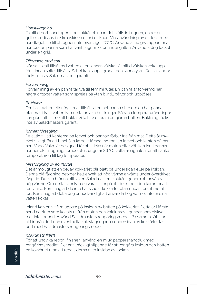## *Ugnstillagning*

Ta alltid bort handtagen från kokkärlet innan det ställs in i ugnen, under en grill eller diskas i diskmaskinen eller i diskhon. Vid användning av ett lock med handtaget, se till att ugnen inte överstiger 177 °C. Använd alltid grytlappar för att hantera en panna som har varit i ugnen eller under grillen. Använd aldrig locket under en grill.

#### *Tillagning med salt*

När salt skall tillsättas i vatten eller i annan vätska, låt alltid vätskan koka upp först innan saltet tillsätts. Saltet kan skapa gropar och skada ytan. Dessa skador täcks inte av Saladmasters garanti.

#### *Förvärmning*

Förvärmning av en panna tar två till fem minuter. En panna är förvärmd när några droppar vatten som sprejas på ytan blir till pärlor och upplöses.

## *Buktning*

Om kallt vatten eller fryst mat tillsätts i en het panna eller om en het panna placeras i kallt vatten kan detta orsaka buktningar. Sådana temperaturändringar kan göra att all metall buktar vilket resulterar i en ojämn botten. Buktning täcks inte av Saladmasters garanti.

#### *Korrekt försegling*

Se alltid till att kanterna på locket och pannan förblir fria från mat. Detta är mycket viktigt för att bibehålla korrekt försegling mellan locket och kanten på pannan. Vapo-Valve är designad för att klicka när maten eller vätskan inuti pannan når perfekt tillagningstemperatur, ungefär 86 °C. Detta är signalen för att sänka temperaturen till låg temperatur.

#### *Missfärgning av kokkärlet*

Det är möjligt att en del av kokkärlet blir blått på undersidan eller på insidan. Denna blå färgning betyder helt enkelt att hög värme använts under överdrivet lång tid. Du kan bränna allt, även Saladmasters kokkärl, genom att använda hög värme. Om detta sker kan du vara säker på att det med tiden kommer att försvinna. Kom ihåg att du inte har skadat kokkärlet utan endast bränt metallen. Kom ihåg att det aldrig är nödvändigt att använda hög värme, inte ens när vatten kokas.

Ibland kan en vit film uppstå på insidan av botten på kokkärlet. Detta är i första hand natrium som kokats ut från maten och kalciumavlagringar som diskvattnet inte tar bort. Använd Saladmasters rengöringsmedel. På samma sätt kan allt inbränt fett och eventuella kolavlagringar på undersidan av kokkärlet tas bort med Saladmasters rengöringsmedel.

#### *Kokkärlets finish*

För att undvika repor i finishen, använd en mjuk pappershandduk med rengöringsmedlet. Det är tillräckligt slipande för att rengöra insidan och botten på kokkärlet utan att repa sidorna eller insidan av locken.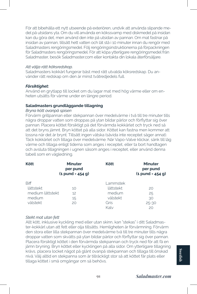För att bibehålla ett nytt utseende på exteriören, undvik att använda slipande medel på utsidans yta. Om du vill använda en kökssvamp med diskmedel på insidan kan du göra det, men använd den inte på utsidan av pannan. Om mat fastnar på insidan av pannan, tillsätt hett vatten och låt stå i 10 minuter innan du rengör med Saladmasters rengöringsmedel. Följ rengöringsinstruktionerna på förpackningen för Saladmasters rengöringsmedel. För att köpa ytterligare rengöringsmedel från Saladmaster, besök Saladmaster.com eller kontakta din lokala återförsäljare.

#### *Att välja rätt köksredskap.*

Saladmasters kokkärl fungerar bäst med rätt utvalda köksredskap. Du använder rätt redskap om den är minst tvåtredjedels full.

#### *Försiktighet:*

Använd en grytlapp till locket om du lagar mat med hög värme eller om enheten utsätts för värme under en längre period.

## **Saladmasters grundläggande tillagning**

### *Bryna kött ovanpå spisen*

Förvärm grillpannan eller stekpannan över medelvärme i två till tre minuter tills några droppar vatten som droppas på ytan bildar pärlor och förflyttar sig över pannan. Placera köttet försiktigt på det förvärmda kokkärlet och tryck ned så att det bryns jämnt. Bryn köttet på alla sidor. Köttet kan fastna men kommer att lossna när det är brynt. Tillsätt ingen vätska (såvida inte receptet säger annat). Täck kokkärlet och tillaga över medelvärme. När Vapo-Valve klickar, sänk till låg värme och tillaga enligt tiderna som anges i receptet, eller ta bort handtagen och avsluta tillagningen i ugnen såsom anges i receptet, eller använd denna tabell som en vägledning.

| <b>Kött</b>      | <b>Minuter</b><br>per pund<br>$(1$ pund = 454 g) | <b>Kött</b> | <b>Minuter</b><br>per pund<br>$(1$ pund = 454 g) |
|------------------|--------------------------------------------------|-------------|--------------------------------------------------|
| <b>Biff</b>      |                                                  | Lammstek    |                                                  |
| lättstekt        | 10                                               | lättstekt   | 20                                               |
| medium lättstekt | $12^{12}$                                        | medium      | 25                                               |
| medium           | 15                                               | välstekt    | 30                                               |
| välstekt         | 20                                               | Gris        | $25 - 30$                                        |
|                  |                                                  | Kalv        | 20                                               |

## *Stekt mat utan fett*

Allt kött, inklusive kyckling med eller utan skinn, kan "stekas" i ditt Saladmaster-kokkärl utan att fett eller olja tillsätts. Hemligheten är förvärmning. Förvärm den stora eller lilla stekpannan över medelvärme två till tre minuter tills några droppar vatten som skvätts på ytan bildar pärlor och förflyttar sig över pannan. Placera försiktigt köttet i den förvärmda stekpannan och tryck ned för att få en jämn bryning. Bryn köttet eller kycklingen på alla sidor. Om ytterligare tillagning krävs, placera locket något på glänt ovanpå stekpannan och tillaga till önskad nivå. Välj alltid en stekpanna som är tillräckligt stor så att köttet får plats eller tillaga köttet i små omgångar om så behövs.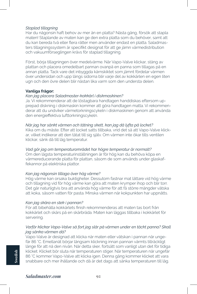## *Staplad tillagning*

Har du någonsin haft behov av mer än en platta? Nästa gång, försök att stapla maten! Staplande av maten kan ge den extra platta som du behöver, samt att du kan bereda två eller flera rätter men använder endast en platta. Saladmasters tillagningssystem är specifikt designat för att ge jämn värmedistribution och vakuumförseglingen krävs för staplad tillagning.

Först, börja tillagningen över medelvärme. När Vapo-Valve klickar, stäng av plattan och placera omedelbart pannan ovanpå en panna som tillagas på en annan platta. Tack vare det inbyggda kärnskiktet som jämnt fördelar värmen över undersidan och upp längs sidorna blir varje del av kokkärlen en egen liten ugn och den övre delen blir nästan lika varm som den understa delen.

## **Vanliga frågor:**

### *Kan jag placera Saladmaster-kokkärl i diskmaskinen?*

Ja. Vi rekommenderar att de löstagbara handtagen handdiskas eftersom upprepad diskning i diskmaskin kommer att göra handtagen matta. Vi rekommenderar att du undviker värmetorkningscykeln i diskmaskinen genom att använda den energieffektiva lufttorkningscykeln.

## *När jag har sänkt värmen och tätning skett, kan jag då lyfta på locket?*

Kika om du måste. Efter att locket satts tillbaka, vrid det så att Vapo-Valve klickar, vilket indikerar att den tätat till sig själv. Om värmen inte ökar tills ventilen klickar, sänk då till låg temperatur.

## *Vad gör jag om temperaturområdet har högre temperatur är normalt?*

Om den lägsta temperaturinställningen är för hög kan du behöva köpa en värmereducerande platta för plattan, såsom de som används under glaskaffekannor på elektriska plattor.

#### *Kan jag någonsin tillaga över hög värme?*

Hög värme kan orsaka buktigheter. Dessutom fastnar mat lättare vid hög värme och tillagning vid för hög värme kan göra att maten krymper ihop och blir torr. Det går naturligtvis bra att använda hög värme för att få större mängder vätska att koka, såsom vatten för pasta. Minska värmen när kokpunkten har uppnåtts.

#### *Kan jag skära en stek i pannan?*

För att bibehålla kokkärlets finish rekommenderas att maten tas bort från kokkärlet och skärs på en skärbräda. Maten kan läggas tillbaka i kokkärlet för servering.

## *Varför klickar Vapo-Valve så fort jag slår på värmen under en täckt panna? Skall jag sänka värmen då?*

Vapo-Valve är designad att klicka när maten eller vätskan i pannan når ungefär 86 °C. Emellanåt börjar långsam klickning innan pannan värmts tillräckligt länge för att nå den nivån. När detta sker, fortsätt som vanligt utan det för tidiga klicket. Klicket bör sluta när temperaturen stiger. När temperaturen når ungefär 86 °C kommer Vapo-Valve att klicka igen. Denna gång kommer klicket att vara snabbare och mer ihållande och då är det dags att sänka temperaturen till låg.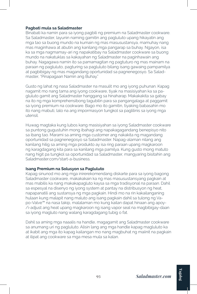## **Pagbati mula sa Saladmaster**

Binabati ka namin para sa iyong pagbili ng premium na Saladmaster cookware. Sa Saladmaster, layunin naming gamitin ang pagluluto upang hikayatin ang mga tao sa buong mundo na kumain ng mas masusustansya, mamuhay nang mas maginhawa at abutin ang kanilang mga pangarap sa buhay. Ngayon, isa ka sa mga nagmamay-ari ng napakatibay na Saladmaster cookware sa buong mundo na nakatuklas sa kakayahan ng Saladmaster na paginhawain ang buhay. Nagagawa namin ito sa pamamagitan ng pagtuturo ng mas mainam na paraan ng pagluluto, pagturing sa pagluluto bilang isang gawaing pampamilya at pagbibigay ng mas magandang oportunidad sa pagnenegosyo. Sa Saladmaster, "Pinapagaan Namin ang Buhay."

Gusto ng lahat ng nasa Saladmaster na masulit mo ang iyong puhunan. Kapag nagamit mo nang tama ang iyong cookware, tiyak na masisiyahan ka sa pagluluto gamit ang Saladmaster hanggang sa hinaharap. Makakakita sa gabay na ito ng mga komprehensibong tagubilin para sa pangangalaga at paggamit sa iyong premium na cookware. Bago mo ito gamitin, tiyaking babasahin mo ito nang mabuti, lalo na ang impormasyon tungkol sa paglilinis sa iyong mga utensil.

Huwag magtaka kung lubos kang masisiyahan sa iyong Saladmaster cookware sa puntong gugustuhin mong ibahagi ang napakagagandang benepisyo nito sa ibang tao. Marami sa aming mga customer ang nakakita ng magandang oportunidad sa pagnenegosyo sa Saladmaster. Napag-alaman nilang ang kanilang hilig sa aming mga produkto ay isa ring paraan upang magkaroon ng karagdagang kita para sa kanilang mga pamilya. Kung gusto mong matuto nang higit pa tungkol sa oportunidad sa Saladmaster, mangyaring bisitahin ang Saladmaster.com/start-a-business.

## **Isang Premium na Solusyon sa Pagluluto**

Kapag sinunod mo ang mga inirerekomendang diskarte para sa iyong bagong Saladmaster cookware, makakakain ka ng mas masusustansyang pagkain at mas mabilis ka nang makakapagluto kaysa sa mga tradisyonal na paraan. Dahil sa espesyal na disenyo ng iyong system at pantay na distribusyon ng heat, napapanatili ang sustansya ng mga pagkain. Hindi mo na rin kakailanganing hulaan kung malapit nang maluto ang isang pagkain dahil sa tulong ng Vapo-Valve™ na nasa takip, malalaman mo kung kailan dapat hinaan ang apoy- /i-adjust ang heat upang magkaroon ng isang vapor seal na magbibigay-daan sa iyong magluto nang walang karagdagang tubig o fat.

Dahil sa aming mga naaalis na handle, magagamit ang Saladmaster cookware sa anumang uri ng pagluluto. Alisin lang ang mga handle kapag magluluto ka at ikabit ang mga ito kapag kailangan mo nang magbuhat ng maiinit na pagkain at ilipat ang cookware sa mga mesa mula sa kalan.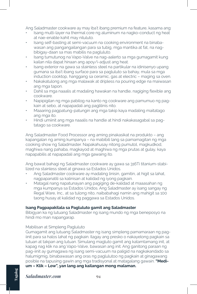Ang Saladmaster cookware ay may iba't ibang premium na feature, kasama ang:

- Isang multi-layer na thermal core ng aluminum na nagko-conduct ng heat at nae-enable kahit may niluluto.
- Isang self-basting at semi-vacuum na cooking environment na binabawasan ang pangangailangan para sa tubig, mga mantika at fat, na nagbibigay-daan sa mas mabilis na pagluluto.
- Isang tumutunog na Vapo-Valve na nag-aalerto sa mga gumagamit kung kailan nila dapat hinaan ang apoy/i-adjust ang heat.
- Isang exterior na gawa sa stainless steel na partikular na idinisenyo upang gumana sa iba't ibang surface para sa pagluluto sa bahay, mula sa mga induction cooktop, hanggang sa ceramic, gas at electric – maging sa oven.
- Nakakatulong ang mga malawak at dripless na pouring edge na maiwasan ang mga tapon.
- Dahil sa mga naaalis at madaling hawakan na handle, nagiging flexible ang cookware.
- Napipigilan ng mga pabilog na kanto ng cookware ang pamumuo ng pagkain at sebo, at napapadali ang paglilinis nito.
- Maaaring pagpatung-patungin ang mga takip kaya madaling maitatago ang mga ito.
- Hindi umiinit ang mga naaalis na handle at hindi nakakasagabal sa pagtatago sa cookware.

Ang Saladmaster Food Processor ang aming pinakasikat na produkto – ang kapangalan ng aming kumpanya – na mabibili lang sa pamamagitan ng mga cooking show ng Saladmaster. Napakahusay nitong pumutol, magkudkod, maghiwa nang pahaba, magkayod at maghiwa ng mga prutas at gulay, kaya napapabilis at napapadali ang mga gawaing ito.

Ang bawat bahagi ng Saladmaster cookware ay gawa sa 316Ti titanium-stabilized na stainless steel at ginawa sa Estados Unidos.

- Ang Saladmaster cookware ay madaling linisin, gamitin, at higit sa lahat, nagpapanatili sa kalinisan at kalidad ng iyong pagkain.
- Matagal nang napatunayan ang pagiging de-kalidad at maaasahan ng mga kumpanya sa Estados Unidos. Ang Saladmaster ay isang sangay ng Regal Ware, Inc., at sa tulong nito, naibabahagi namin ang mahigit sa 100 taong husay at kalidad ng paggawa sa Estados Unidos.

## **Isang Pagpapakilala sa Pagluluto gamit ang Saladmaster**

Bibigyan ka ng lutuang Saladmaster ng isang mundo ng mga beneposyo na hindi mo man napangarap.

## Mabilisan at Simpleng Pagluluto

Gumagamit ang lutuang Saladmaster ng isang simpleng pamamaraan ng pagiinit para sa halos lahat ng pagkain. Ilagay ang presko o nakayelong pagkain sa lutuan at takpan ang lutuan. Simulang magluto gamit ang katamtamang init, at kapag nag klik na ang Vapo-Valve, bawasan ang init. Ang ganitong paraan ng pag-iinit ay gumagawa ng isang semi-vacuum na paligid na nagkakandado sa halumigmig, binabawasan ang oras ng paglulutoo ng pagkain at ginagawang posible na tapusing gawin ang mga tradisyonal at matagalang gawain. **"Medium – Klik – Low", yan lang ang kailangan mong malaman.**

# *Saladmaster.com* **94**

**Tagalog**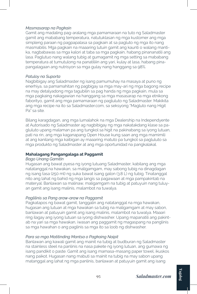## *Masmasarap na Pagkain*

Gamit ang madaling pag-aralang mga pamamaraan na tuto ng Saladmaster gamit ang mababang temperatura, natutuklasan ng mga kustomer ang mga simpleng paraan ng pagpapalasa sa pagkain at sa pagluto ng mga ito nang masmabilis. Mga pagkain na maaaring lutuin gamit ang kaunti o walang mantika, nagbabawas sa mga kalori at taba sa mga pagkain, habang pinananatili ang lasa. Paglutuo nang walang tubig at gumagamit ng mga setting sa mababang temperatura at tumutulong na panatiliiin ang yari, kulay at lasa, habang pinapangalagaan ang nutrisyon sa mga gulay nang hanggang sa 98%.

## *Patuloy na Suporta*

Nagbibigay ang Saladmaster ng isang pamumuhay na masaya at puno ng enerhiya, sa pamamahitan ng pagbigay sa mga may-ari ng mga bagong recipe na may detalyadong mga tagubilin sa pag handa ng mga pagkain, mula sa mga pagkaing nakagawian na hanggang sa mga masasarap na mga etnikong faborityo, gamit ang mga pamamaraan ng pagluluto ng Saladmaster. Makikita ang mga recipe na ito sa Saladmaster.com, sa seksyong "Magluto nang Higit Pa" sa site.

Bilang karagdagan, ang mga lumalahok na mga Dealership na Independyente at Autorisado ng Saladmaster ag nagbibigay ng mga nakatakdang klase sa pagluluto upang malaman pa ang tungkol sa higit na pakinabang sa iyong lutuan, pati na rin, ang mga kaganapang Open House kung saan ang mga mamimili at ang kanilang mga kaibigan ay maaaring matuto pa tungkol sa pagluluto sa mga produkto ng Saladmaster at ang mga oportunidad na pangkalakal.

# **Mahalagang Pangangalaga at Paggamit**

## *Bago Unang Gamitin*

Hugasan ang bawat pyesa ng iyong lutuang Saladmaster, kabilang ang mga natatanggal na hawakan, sa maligamgam, may sabong tubig na dinagdagan ng isang tasa (250 ml) ng suka bawat isang galon (3.8 L) ng tubig. Tinatanggal nito ang lahat ng bahid ng mga langis sa pagawaan at mga pampakintab na materyal. Banlawan sa malinaw, maligamgam na tubig at patuyuin nang tuluyan gamit ang isang malinis, malambot na tuwalya.

## *Paglilinis sa Pang araw-araw na Paggamit*

Pagkatapos ng bawat gamit, tanggalin ang natatanggal na mga hawakan, hugasan ang lutuan at mga hawakan sa tubig na maligamgam at may sabon, banlawan at patuyuin gamit ang isang malinis, malambot na tuwalya. Maaari ring ilagay ang iyong lutuan sa iyong dishwasher. Upang mapanatili ang pakintab na yari sa mga hawakan, iwasan ang paggamit ng magaspang na panglinis sa mga hawahan o ang paglinis sa mga ito sa loob ng dishwasher.

## *Para sa mga Matitinding Mantsa o Pagkaing Naipit*

Banlawan ang kawali gamit ang mainit na tubig at budburan ng Saladmaster na stainless steel na panlinis na nasa pakete ng iyong lutuan, ang gumawa ng isang pandikit o paste. Gamit ang isang mamasa-masang paper towel, ikuskos nang paikot. Hugasan nang mabuti sa mainit na tubig na may sabon upang matanggal ang lahat ng mga panlinis, banlawan at patuyuin gamit ang isang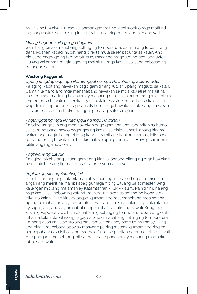malinis na tuwalya. Huwag kailanman gagamit ng steel wook o mga matitinding pangkaskas sa labas ng lutuan dahil maaaring mapalabo nito ang yari.

## *Muling Pagpapainit ng mga Pagkain*

Gamit ang pinakamababang setting ng temperatura, painitin ang lutuan nang dahan-dahan kapag inilipat nang direkta mula sa ref papunta sa kalan. Ang biglaang pagbago ng temperatura ay maaaring magdulot ng pagkabaluktot. Huwag kailanman maglalagay ng maiinit na mga kawali sa isang babasaging patungan sa ref.

## **Wastong Paggamit**

## *Upang Idagdag ang mga Natatanggal na mga Hawakan ng Saladmaster*

Palaging ikabit ang hawakan bago gamitin ang lutuan upang magluto sa kalan. Gamitin lamang ang mga mahahabang hawakan sa mga kawali at maliliit na kaldero; mga maiikling hawakan ay maaaring gamitin sa anumang gamit. Ihilera ang butas sa hawakan sa nakalagay na stainless steel na braket sa kawali. Huwag diinan ang buton kapag nagkakabit ng mga hawakan. Itulak ang hawakan sa stainless steel na braket hanggang mailagay ito sa lugar.

## *Pagtanggal ng mga Natatanggal na mga Hawakan*

Parating tanggalin ang mga hawakan bago gamiting ang kagamitan sa hurno, sa ilalim ng pang ihaw o paghugas ng kawali sa dishwasher. Habang hinahawakan ang magkabilang gilid ng kawali, gamit ang kabilang kamay, idiin pababa sa buton ng hawakan at hatakin palayo upang tanggalin. Huwag kailanman pilitin ang mga hawakan.

## *Pagbiyahe ng Lutuan*

Palaging ibiyahe ang lutuan gamit ang kinakailangang bilang ng mga hawakan na nakakabit nang ligtas at wasto sa posisyon nakatayo.

## *Pagluto gamit ang Kaunting Init*

Gamitin lamang ang katamtaman at kakaunting init na setting dahil hindi kailangan ang mainit na mainit kapag gumagamit ng lutuang Saladmaster. Ang kailangan mo lang malaman ay Katamtaman - Klik - Kaunti. Painitin muna ang mga kawali sa ibabaw ng katamtaman na init, ayon sa setting ng iyong elektrikal na kalan. Kung kinakailangan, gumamit ng masmababang mga setting upang pamahalaan ang temperatura. Sa isang gaas na kalan, ang katamtaman ay kapag ang apoy ay umaabot nang kalahati sa ilalim ng kawali. Kung magklik ang Vapo-Valve, pihitin paibaba ang setting ng temperatura. Sa isang elektrikal na kalan, dapat iyong ilagay sa pinakamababang setting ng temperatura. Sa isang gaas na kalan, ito ang pinakamaliit na apoy bago ito mamatay. Kung ang pinakamababang apoy ay masyado pa ring mataas, gumamit ng ring na nagpapabawas sa init o isang pad na diffuser sa pagitan ng burner at ng kawali. Ang paggamit ng sobrang init sa mahabang panahon ay maaaring magpakulubot sa kawali.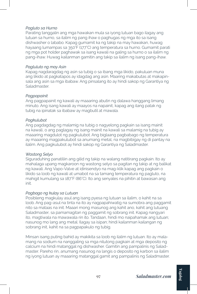## *Pagluto sa Hurno*

Parating tanggalin ang mga hawakan mula sa iyong lutuan bago ilagay ang lutuan sa hurno, sa ilalim ng pang ihaw o paghugas ng mga ito sa isang dishwasher o lababo. Kapag gumamit ka ng takip na may hawakan, huwag hayaang lumampas sa 350°F (177°C) ang temperatura sa hurno. Gumamit parati ng mga pot holder paghawak sa isang kawali na galing sa hurno o sa ilalim ng pang-ihaw. Huwag kailanman gamitin ang takip sa ilalim ng isang pang-ihaw.

## *Pagluluto ng may Asin*

Kapag nagdaragdag ng asin sa tubig o sa ibang mga likido, pakuluan muna ang likido at pagkatapos ay idagdag ang asin. Maaring makabutas at makapinsala ang asin sa mga ibabaw. Ang pinsalang ito ay hindi sakop ng Garantiya ng Saladmaster.

## *Pagpapainit*

Ang pagpapainit ng kawali ay maaaring abutin ng dalawa hanggang limang minuto. Ang isang kawali ay maayos na napainit, kapag ang ilang patak ng tubig na ipinatak sa ibabaw ay magbutil at mawala.

## *Pagkulubot*

Ang pagdagdag ng malamig na tubig o nagyelong pagkain sa isang mainit na kawali, o ang paglagay ng isang mainit na kawali sa malamig na tubig ay maaaring magdulot ng pagkulubot. Ang biglaang pagbabago ng temperatura ay maaaring magpakulubot sa anumang metal, na magbibigay ng di pantay na ilalim. Ang pagkulubot ay hindi sakop ng Garantiya ng Saladmaster.

## *Wastong Selyo*

Siguraduhing panatiliin ang gilid ng takip na walang natitirang pagkain. Ito ay mahalaga upang magkaroon ng wastong selyo sa pagitan ng takip at ng balikat ng kawali. Ang Vapo-Valve at idinisendyo na mag-klik kapag ang pagkain o likido sa loob ng kawali at umabot na sa tamang temperatura ng pagluto, na mahigit kumulang sa 187°F (86°C). Ito ang senyales na pihitin at bawasan ang init.

## *Pagbago ng kulay sa Lutuan*

Posibleng magkulay asul ang isang pyesa ng lutuan sa ilalim, o kahit na sa loob. Ang pag-asul na tinta na ito ay nagpapahiwatig na sumobra ang paggamit nito sa mataas na init. Maaari mong masunog ang kahit ano, kahit ang lutuang Saladmaster, sa pamamagitan ng paggamit ng sobrang init. Kapag nangyari ito, magtiwala na mawawala rin ito. Tandaan, hindi mo naipahamak ang lutuan; nasunog mo lang ang metal. Ilagay sa isipan; hindi kailanman kailangan ng sobrang init, kahit na sa pagpapakulo ng tubig.

Minsan isang puting bahid ay makikita sa loob ng ilalim ng lutuan. Ito ay malamang na sodium na nanggaling sa mga nilutong pagkain at mga deposito ng calcium na hindi matanggal ng dishwasher. Gamitin ang pampalinis ng Saladmaster. Pareho rin, anumang nasunog na langis o deposito ng karbon sa ilalim ng iyong lutuan ay maaaring matanggal gamit ang pampalinis ng Saladmaster.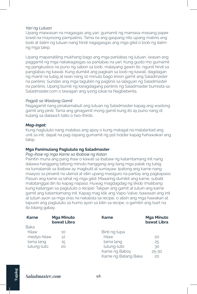## *Yari ng Lutuan*

Upang maiwasan na magasgas ang yari, gumamit ng mamasa-masang paper towel na mayroong pampalinis. Tama na ang gaspang nito upang malinis ang loob at ilalim ng lutuan nang hindi nagagasgas ang mga gilid o loob ng ilalim ng mga takip.

Upang mapanatiling mukhang bago ang mga panlabas ng lutuan, iwasan ang paggamit ng mga nakakagasgas sa panlabas na yari. Kung gusto mo gumamit ng pangkuskos na puno ng sabon sa loob, malayang gawin ito, ngunit hindi sa panglabas ng kawali. Kung dumikit ang pagkain sa loob ng kawali, dagdagan ng mainit na tubig at iwan nang 10 minuto bago linisin gamit ang Saladmaster na panlinis. Sundan ang mga tagubiin ng paglinis sa lalagyan ng Saladmaster na panlinis. Upang bumili ng karagdagang panlinis ng Saladmaster bumisita sa Saladmaster.com o tawagan ang iyong lokal na Nagbebenta.

## *Pagpili sa Wastong Gamit*

Nagagamit nang pinakamabuti ang lutuan ng Saladmaster kapag ang wastong gamit ang pinili. Tama ang ginagamit mong gamit kung ito ay puno nang di kulang sa dalawa't-tatlo o two-thirds.

## *Mag-ingat:*

Kung nagluluto nang malakas ang apoy o kung matagal na malalantad ang unit sa init, dapat na pag-isipang gumamit ng pot holder kapag hahawakan ang takip.

## **Mga Panimulang Pagluluto ng Saladmaster**

## *Pag-ihaw ng mga Karne sa Ibabaw ng Kalan*

Painitin muna ang pang ihaw o kawali sa ibabaw ng katamtamang init nang dalawa hanggang tatlong minuto hanggang ang ilang mga patak ng tubig na tumalansik sa ibabaw ay magbutil at sumayaw. Ipatong ang karne nang maayos sa pinainit na utensil at idiin upang masiguro na pantay ang pagkapaso. Pasuin ang karne sa lahat ng mga gilid. Maaaring dumikit ang karne, subalit matatanggal din ito kapag napaso. Huwag magdagdag ng likido (malibang kung kailangan sa pagluluto o recipe). Takpan ang gamit at lutuin ang karne gamit ang katamtamang init. Kapag mag klik ang Vapo-Valve, bawasan ang init at lutuin ayon sa mga oras na nakalista sa recipe, o alisin ang mga hawakan at tapusin ang pagluluto sa hurno ayon sa bilin sa recipe, o gamitin ang tsart na ito bilang gabay.

| <b>Karne</b> | <b>Mga Minuto</b><br>bawat Libra | <b>Karne</b>         | <b>Mga Minuto</b><br>bawat Libra |
|--------------|----------------------------------|----------------------|----------------------------------|
| Baka         |                                  |                      |                                  |
| hilaw        | 10 <sup>°</sup>                  | Binti ng tupa        |                                  |
| medyo hilaw  | $12^{12}$                        | hilaw                | 20                               |
| tama lang    | 15                               | tama lang            | 25                               |
| lutung-luto  | 20                               | lutung-luto          | 30                               |
|              |                                  | Karne ng Baboy       | $25 - 30$                        |
|              |                                  | Karne ng Batang Baka | 20                               |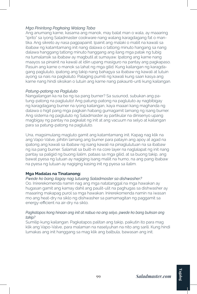## *Mga Piniritong Pagkaing Walang Taba*

Ang anumang karne, kasama ang manok, may balat man o wala, ay maaaring "iprito" sa iyong Saladmaster cookware nang walang karagdagang fat o mantika. Ang sikreto ay nasa pagpapainit. Ipainit ang malaki o maliit na kawali sa ibabaw ng katamtamang init nang dalawa o tatlong minuto hangang sa nang dalawa hanggang tatlong minuto hanggang ang ilang mga patak ng tubig na tumalansik sa ibabaw ay magbutil at sumayaw. Ipatong ang karne nang maayos sa pinainit na kawali at idiin upang masiguro na pantay ang pagkapaso. Pasuin ang karne o manok sa lahat ng mga gilid. Kung kailangan ng karagdagang pagluluto, ipatong ang takip nang bahagya sa ibabaw ng kawali at lutuin ayong sa nais na pagkaluto. Palaging pumili ng kawali kung saan kasya ang karne nang hindi siksikan o lutuin ang karne nang pakaunti-unti kung kailangan.

## *Patung-patong na Pagluluto*

Nangailangan ka na ba ng isa pang burner? Sa susunod, subukan ang patung-patong na pagluluto! Ang patung-patong na pagluluto ay nagbibigay ng karagdagang burner na iyong kailangan, kaya maaari kang maghanda ng dalawa o higit pang mga pagkain habang gumagamit lamang ng isang burner. Ang sistema ng pagluluto ng Saladmaster ay partikular na dinisenyo upang magbigay ng pantay na pagkalat ng init at ang vacuum na selyo at kailangan para sa patung-patong na pagluluto.

Una, magsimulang magluto gamit ang katamtamang init. Kapag nag klik na ang Vapo-Valve, pihitin lamang ang burner para patayin ang apoy at agad na ipatong ang kawali sa ibabaw ng isang kawali na pinaglulutuan na sa ibabaw ng isa pang burner. Salamat sa built-in na core layer na naglalapat ng init nang pantay sa paligid ng buong ilalim, pataas sa mga gilid, at sa buong takip, ang bawat pyesa ng lutuan ay nagiging isang maliit na hurno, na ang pang ibabaw na pyesa ng lutuan ay nagiging kasing init ng pyesa sa ilalim.

## **Mga Madalas na Tinatanong:**

# *Pwede ko bang ilagay nag lutuang Saladmaster sa dishwasher?*

Oo. Inirerekomenda namin nag ang mga natatanggal na mga hawakan ay hugasan gamit ang kamay dahil ang paulit-ulit na paghugas sa dishwasher ay maaaring makapag purol sa mga hawakan. Inirerekomenda namin na iwasan mo ang heat-dry na siklo ng dishwasher sa pamamagitan ng paggamit sa energy-efficient na air-dry na siklo.

## Pagkatapos kong hinaan ang init at nabuo na ang selyo, pwede ko bang buksan ang *takip?*

Sumilip kung kailangan. Pagkatapos palitan ang takip, paikutin ito para mag klik ang Vapo-Valve, para malaman na naselyuhan na nito ang sarili. Kung hindi lumakas ang init hanggang sa mag klik ang balbula, bawasan ang init.

**Tagalog**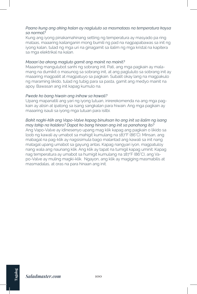## *Paano kung ang aking kalan ay nagluluto sa masmataas na temperatura kaysa sa normal?*

Kung ang iyong pinakamahinang setting ng temperatura ay masyado pa ring mataas, maaaring kailanganin mong bumili ng pad na nagpapabawas sa init ng iyong kalan, tulad ng mga uri na ginagamit sa ilalim ng mga kristal na kapitera sa mga elektrikal na kalan.

## *Maaari ba akong magluto gamit ang mainit na mainit?*

Maaaring mangulubot sanhi ng sobrang init. Pati, ang mga pagkain ay malamang na dumikit o masunog sa sobrang init, at ang pagluluto sa sobrang init ay maaaring magpaliit at magpatuyo sa pagkain. Subalit okay lang na magpakulo ng maraming likido, tulad ng tubig para sa pasta, gamit ang medyo mainit na apoy. Bawasan ang init kapag kumulo na.

## *Pwede ko bang hiwain ang inihaw sa kawali?*

Upang mapanatili ang yari ng iyong lutuan, inirerekomenda na ang mga pagkain ay alisin at ipatong sa isang sangkalan para hiwain. Ang mga pagkain ay maaaring isauli sa iyong mga lutuan para isilbi.

## *Bakit nagki-klik ang Vapo-Valve kapag binuksan ko ang init sa ilalim ng isang may takip na kaldero? Dapat ko bang hinaan ang init sa panahong ito?*

Ang Vapo-Valve ay idinesenyo upang mag klik kapag ang pagkain o likido sa loob ng kawali ay umabot sa mahigit kumulang na 187°F (86°C). Minsan, ang mabagal na pag-klik ay nagsisimula bago malantad ang kawali sa init nang matagal upang umabot sa gayung antas. Kapag nangyari iyon, magpatuloy nang wala ang naunang klik. Ang klik ay tapat na tumigil kapag uminit. Kapag nag temperatura ay umabot sa humigit kumulang na 187°F (86°C), ang Vapo-Valve ay muling magki-klik. Ngayon, ang klik ay magiging masmabilis at masmadalas, at oras na para hinaan ang init.